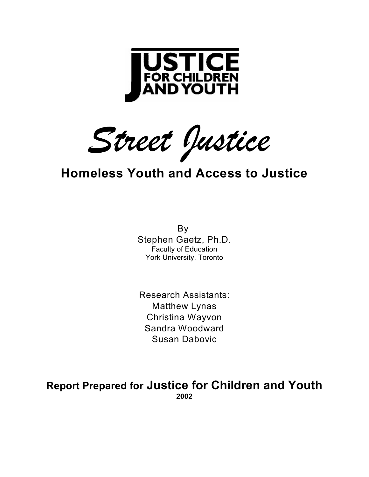

*Street Justice* 

### **Homeless Youth and Access to Justice**

By Stephen Gaetz, Ph.D. Faculty of Education York University, Toronto

Research Assistants: Matthew Lynas Christina Wayvon Sandra Woodward Susan Dabovic

**Report Prepared for Justice for Children and Youth 2002**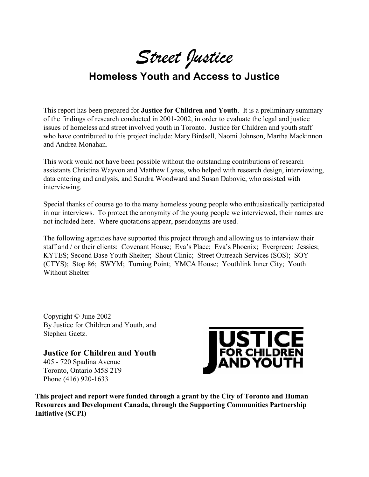*Street Justice*

### **Homeless Youth and Access to Justice**

This report has been prepared for **Justice for Children and Youth**. It is a preliminary summary of the findings of research conducted in 2001-2002, in order to evaluate the legal and justice issues of homeless and street involved youth in Toronto. Justice for Children and youth staff who have contributed to this project include: Mary Birdsell, Naomi Johnson, Martha Mackinnon and Andrea Monahan.

This work would not have been possible without the outstanding contributions of research assistants Christina Wayvon and Matthew Lynas, who helped with research design, interviewing, data entering and analysis, and Sandra Woodward and Susan Dabovic, who assisted with interviewing.

Special thanks of course go to the many homeless young people who enthusiastically participated in our interviews. To protect the anonymity of the young people we interviewed, their names are not included here. Where quotations appear, pseudonyms are used.

The following agencies have supported this project through and allowing us to interview their staff and / or their clients: Covenant House; Eva's Place; Eva's Phoenix; Evergreen; Jessies; KYTES; Second Base Youth Shelter; Shout Clinic; Street Outreach Services (SOS); SOY (CTYS); Stop 86; SWYM; Turning Point; YMCA House; Youthlink Inner City; Youth Without Shelter

Copyright © June 2002 By Justice for Children and Youth, and Stephen Gaetz.

**Justice for Children and Youth** 405 - 720 Spadina Avenue Toronto, Ontario M5S 2T9 Phone (416) 920-1633



**This project and report were funded through a grant by the City of Toronto and Human Resources and Development Canada, through the Supporting Communities Partnership Initiative (SCPI)**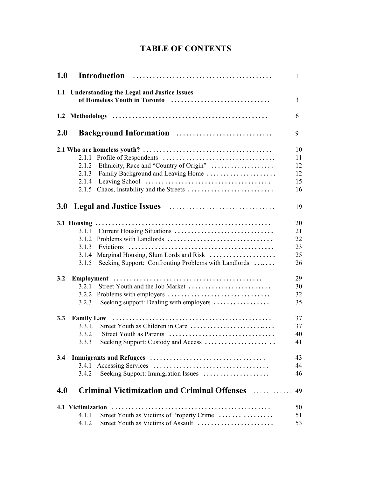#### **TABLE OF CONTENTS**

| <b>1.0</b> |                   |                                                      | 1  |
|------------|-------------------|------------------------------------------------------|----|
|            |                   | 1.1 Understanding the Legal and Justice Issues       |    |
|            |                   | of Homeless Youth in Toronto                         | 3  |
|            |                   |                                                      | 6  |
| 2.0        |                   | Background Information                               | 9  |
|            |                   |                                                      | 10 |
|            | 2.1.1             |                                                      | 11 |
|            | 2.1.2             | Ethnicity, Race and "Country of Origin"              | 12 |
|            | 2.1.3             | Family Background and Leaving Home                   | 12 |
|            | 2.1.4             |                                                      | 15 |
|            | 2.1.5             |                                                      | 16 |
| <b>3.0</b> |                   |                                                      | 19 |
|            |                   |                                                      | 20 |
|            | 3.1.1             | Current Housing Situations                           | 21 |
|            | 3.1.2             | Problems with Landlords                              | 22 |
|            | 3.1.3             |                                                      | 23 |
|            | 3.1.4             | Marginal Housing, Slum Lords and Risk                | 25 |
|            | 3.1.5             | Seeking Support: Confronting Problems with Landlords | 26 |
| 3.2        |                   |                                                      | 29 |
|            | 3.2.1             | Street Youth and the Job Market                      | 30 |
|            |                   |                                                      | 32 |
|            | 3.2.3             | Seeking support: Dealing with employers              | 35 |
| 3.3        | <b>Family Law</b> |                                                      | 37 |
|            | 3.3.1.            | Street Youth as Children in Care                     | 37 |
|            | 3.3.2             | Street Youth as Parents                              | 40 |
|            |                   | 3.3.3 Seeking Support: Custody and Access            | 41 |
| 3.4        |                   |                                                      | 43 |
|            | 3.4.1             |                                                      | 44 |
|            | 3.4.2             | Seeking Support: Immigration Issues                  | 46 |
| 4.0        |                   | Criminal Victimization and Criminal Offenses         | 49 |
|            | 4.1 Victimization |                                                      | 50 |
|            | 4.1.1             | Street Youth as Victims of Property Crime            | 51 |
|            | 4.1.2             | Street Youth as Victims of Assault                   | 53 |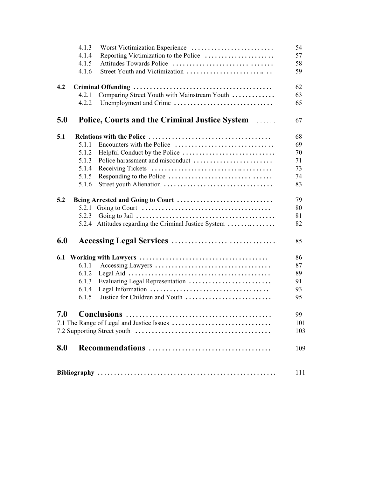|     | 4.1.3 | Worst Victimization Experience                                | 54  |
|-----|-------|---------------------------------------------------------------|-----|
|     | 4.1.4 |                                                               | 57  |
|     | 4.1.5 | Attitudes Towards Police                                      | 58  |
|     | 4.1.6 |                                                               | 59  |
| 4.2 |       |                                                               | 62  |
|     | 4.2.1 | Comparing Street Youth with Mainstream Youth                  | 63  |
|     | 4.2.2 | Unemployment and Crime                                        | 65  |
| 5.0 |       | <b>Police, Courts and the Criminal Justice System Alleman</b> | 67  |
| 5.1 |       |                                                               | 68  |
|     | 5.1.1 |                                                               | 69  |
|     | 5.1.2 |                                                               | 70  |
|     | 5.1.3 |                                                               | 71  |
|     | 5.1.4 |                                                               | 73  |
|     | 5.1.5 |                                                               | 74  |
|     | 5.1.6 |                                                               | 83  |
| 5.2 |       | Being Arrested and Going to Court                             | 79  |
|     | 5.2.1 |                                                               | 80  |
|     | 5.2.3 |                                                               | 81  |
|     |       | 5.2.4 Attitudes regarding the Criminal Justice System         | 82  |
| 6.0 |       |                                                               | 85  |
|     |       |                                                               | 86  |
|     | 6.1.1 |                                                               | 87  |
|     | 6.1.2 |                                                               | 89  |
|     | 6.1.3 | Evaluating Legal Representation                               | 91  |
|     | 6.1.4 |                                                               | 93  |
|     | 6.1.5 | Justice for Children and Youth                                | 95  |
| 7.0 |       | <b>Conclusions</b>                                            | 99  |
|     |       |                                                               | 101 |
|     |       |                                                               | 103 |
| 8.0 |       |                                                               | 109 |
|     | 111   |                                                               |     |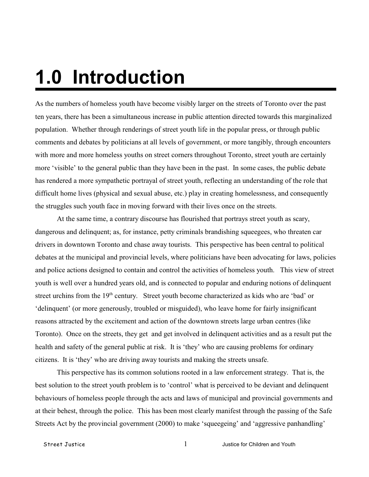# **1.0 Introduction**

As the numbers of homeless youth have become visibly larger on the streets of Toronto over the past ten years, there has been a simultaneous increase in public attention directed towards this marginalized population. Whether through renderings of street youth life in the popular press, or through public comments and debates by politicians at all levels of government, or more tangibly, through encounters with more and more homeless youths on street corners throughout Toronto, street youth are certainly more 'visible' to the general public than they have been in the past. In some cases, the public debate has rendered a more sympathetic portrayal of street youth, reflecting an understanding of the role that difficult home lives (physical and sexual abuse, etc.) play in creating homelessness, and consequently the struggles such youth face in moving forward with their lives once on the streets.

At the same time, a contrary discourse has flourished that portrays street youth as scary, dangerous and delinquent; as, for instance, petty criminals brandishing squeegees, who threaten car drivers in downtown Toronto and chase away tourists. This perspective has been central to political debates at the municipal and provincial levels, where politicians have been advocating for laws, policies and police actions designed to contain and control the activities of homeless youth. This view of street youth is well over a hundred years old, and is connected to popular and enduring notions of delinquent street urchins from the  $19<sup>th</sup>$  century. Street youth become characterized as kids who are 'bad' or 'delinquent' (or more generously, troubled or misguided), who leave home for fairly insignificant reasons attracted by the excitement and action of the downtown streets large urban centres (like Toronto). Once on the streets, they get and get involved in delinquent activities and as a result put the health and safety of the general public at risk. It is 'they' who are causing problems for ordinary citizens. It is 'they' who are driving away tourists and making the streets unsafe.

This perspective has its common solutions rooted in a law enforcement strategy. That is, the best solution to the street youth problem is to 'control' what is perceived to be deviant and delinquent behaviours of homeless people through the acts and laws of municipal and provincial governments and at their behest, through the police. This has been most clearly manifest through the passing of the Safe Streets Act by the provincial government (2000) to make 'squeegeing' and 'aggressive panhandling'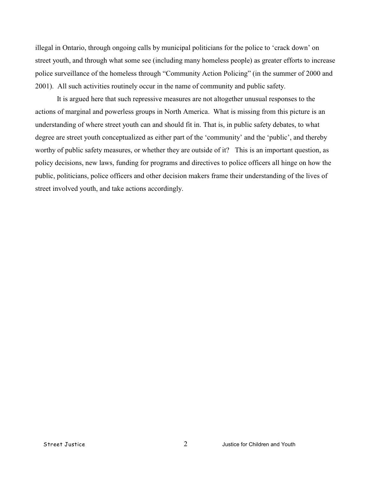illegal in Ontario, through ongoing calls by municipal politicians for the police to 'crack down' on street youth, and through what some see (including many homeless people) as greater efforts to increase police surveillance of the homeless through "Community Action Policing" (in the summer of 2000 and 2001). All such activities routinely occur in the name of community and public safety.

It is argued here that such repressive measures are not altogether unusual responses to the actions of marginal and powerless groups in North America. What is missing from this picture is an understanding of where street youth can and should fit in. That is, in public safety debates, to what degree are street youth conceptualized as either part of the 'community' and the 'public', and thereby worthy of public safety measures, or whether they are outside of it? This is an important question, as policy decisions, new laws, funding for programs and directives to police officers all hinge on how the public, politicians, police officers and other decision makers frame their understanding of the lives of street involved youth, and take actions accordingly.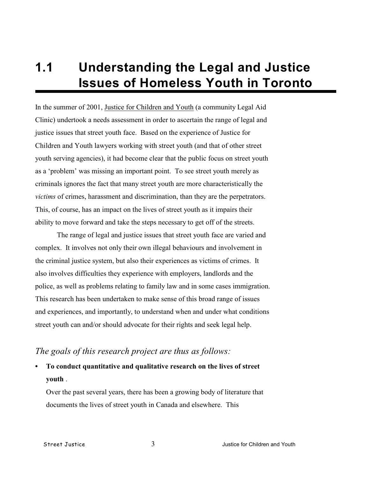## **1.1 Understanding the Legal and Justice Issues of Homeless Youth in Toronto**

In the summer of 2001, Justice for Children and Youth (a community Legal Aid Clinic) undertook a needs assessment in order to ascertain the range of legal and justice issues that street youth face. Based on the experience of Justice for Children and Youth lawyers working with street youth (and that of other street youth serving agencies), it had become clear that the public focus on street youth as a 'problem' was missing an important point. To see street youth merely as criminals ignores the fact that many street youth are more characteristically the *victims* of crimes, harassment and discrimination, than they are the perpetrators. This, of course, has an impact on the lives of street youth as it impairs their ability to move forward and take the steps necessary to get off of the streets.

The range of legal and justice issues that street youth face are varied and complex. It involves not only their own illegal behaviours and involvement in the criminal justice system, but also their experiences as victims of crimes. It also involves difficulties they experience with employers, landlords and the police, as well as problems relating to family law and in some cases immigration. This research has been undertaken to make sense of this broad range of issues and experiences, and importantly, to understand when and under what conditions street youth can and/or should advocate for their rights and seek legal help.

#### *The goals of this research project are thus as follows:*

**• To conduct quantitative and qualitative research on the lives of street youth** .

Over the past several years, there has been a growing body of literature that documents the lives of street youth in Canada and elsewhere. This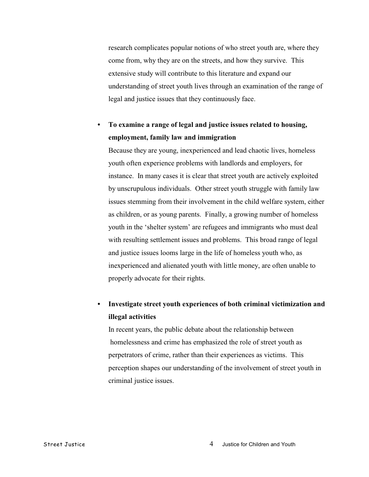research complicates popular notions of who street youth are, where they come from, why they are on the streets, and how they survive. This extensive study will contribute to this literature and expand our understanding of street youth lives through an examination of the range of legal and justice issues that they continuously face.

#### **• To examine a range of legal and justice issues related to housing, employment, family law and immigration**

Because they are young, inexperienced and lead chaotic lives, homeless youth often experience problems with landlords and employers, for instance. In many cases it is clear that street youth are actively exploited by unscrupulous individuals. Other street youth struggle with family law issues stemming from their involvement in the child welfare system, either as children, or as young parents. Finally, a growing number of homeless youth in the 'shelter system' are refugees and immigrants who must deal with resulting settlement issues and problems. This broad range of legal and justice issues looms large in the life of homeless youth who, as inexperienced and alienated youth with little money, are often unable to properly advocate for their rights.

#### **• Investigate street youth experiences of both criminal victimization and illegal activities**

In recent years, the public debate about the relationship between homelessness and crime has emphasized the role of street youth as perpetrators of crime, rather than their experiences as victims. This perception shapes our understanding of the involvement of street youth in criminal justice issues.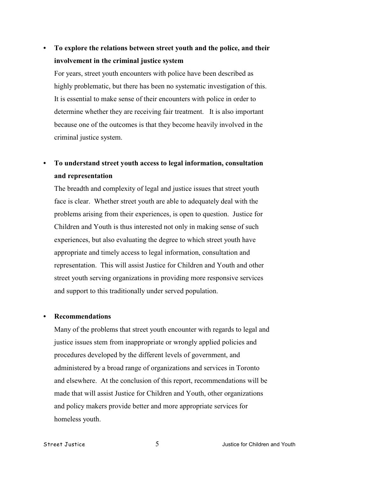#### **• To explore the relations between street youth and the police, and their involvement in the criminal justice system**

For years, street youth encounters with police have been described as highly problematic, but there has been no systematic investigation of this. It is essential to make sense of their encounters with police in order to determine whether they are receiving fair treatment. It is also important because one of the outcomes is that they become heavily involved in the criminal justice system.

#### **• To understand street youth access to legal information, consultation and representation**

The breadth and complexity of legal and justice issues that street youth face is clear. Whether street youth are able to adequately deal with the problems arising from their experiences, is open to question. Justice for Children and Youth is thus interested not only in making sense of such experiences, but also evaluating the degree to which street youth have appropriate and timely access to legal information, consultation and representation. This will assist Justice for Children and Youth and other street youth serving organizations in providing more responsive services and support to this traditionally under served population.

#### **• Recommendations**

Many of the problems that street youth encounter with regards to legal and justice issues stem from inappropriate or wrongly applied policies and procedures developed by the different levels of government, and administered by a broad range of organizations and services in Toronto and elsewhere. At the conclusion of this report, recommendations will be made that will assist Justice for Children and Youth, other organizations and policy makers provide better and more appropriate services for homeless youth.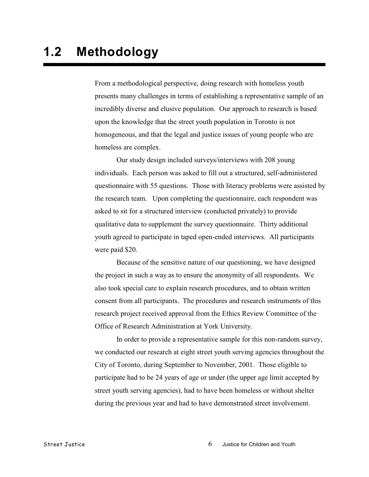From a methodological perspective, doing research with homeless youth presents many challenges in terms of establishing a representative sample of an incredibly diverse and elusive population. Our approach to research is based upon the knowledge that the street youth population in Toronto is not homogeneous, and that the legal and justice issues of young people who are homeless are complex.

Our study design included surveys/interviews with 208 young individuals. Each person was asked to fill out a structured, self-administered questionnaire with 55 questions. Those with literacy problems were assisted by the research team. Upon completing the questionnaire, each respondent was asked to sit for a structured interview (conducted privately) to provide qualitative data to supplement the survey questionnaire. Thirty additional youth agreed to participate in taped open-ended interviews. All participants were paid \$20.

Because of the sensitive nature of our questioning, we have designed the project in such a way as to ensure the anonymity of all respondents. We also took special care to explain research procedures, and to obtain written consent from all participants. The procedures and research instruments of this research project received approval from the Ethics Review Committee of the Office of Research Administration at York University.

In order to provide a representative sample for this non-random survey, we conducted our research at eight street youth serving agencies throughout the City of Toronto, during September to November, 2001. Those eligible to participate had to be 24 years of age or under (the upper age limit accepted by street youth serving agencies), had to have been homeless or without shelter during the previous year and had to have demonstrated street involvement.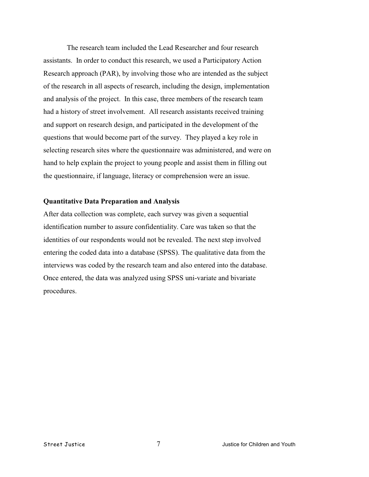The research team included the Lead Researcher and four research assistants. In order to conduct this research, we used a Participatory Action Research approach (PAR), by involving those who are intended as the subject of the research in all aspects of research, including the design, implementation and analysis of the project. In this case, three members of the research team had a history of street involvement. All research assistants received training and support on research design, and participated in the development of the questions that would become part of the survey. They played a key role in selecting research sites where the questionnaire was administered, and were on hand to help explain the project to young people and assist them in filling out the questionnaire, if language, literacy or comprehension were an issue.

#### **Quantitative Data Preparation and Analysis**

After data collection was complete, each survey was given a sequential identification number to assure confidentiality. Care was taken so that the identities of our respondents would not be revealed. The next step involved entering the coded data into a database (SPSS). The qualitative data from the interviews was coded by the research team and also entered into the database. Once entered, the data was analyzed using SPSS uni-variate and bivariate procedures.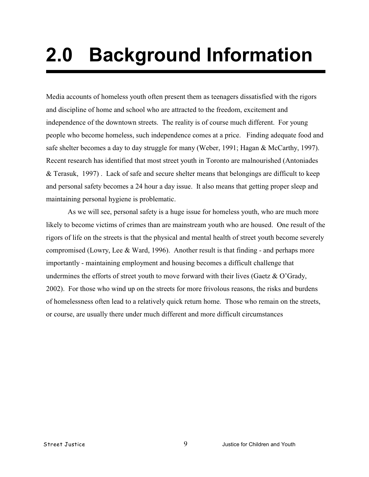# **2.0 Background Information**

Media accounts of homeless youth often present them as teenagers dissatisfied with the rigors and discipline of home and school who are attracted to the freedom, excitement and independence of the downtown streets. The reality is of course much different. For young people who become homeless, such independence comes at a price. Finding adequate food and safe shelter becomes a day to day struggle for many (Weber, 1991; Hagan & McCarthy, 1997). Recent research has identified that most street youth in Toronto are malnourished (Antoniades & Terasuk, 1997) . Lack of safe and secure shelter means that belongings are difficult to keep and personal safety becomes a 24 hour a day issue. It also means that getting proper sleep and maintaining personal hygiene is problematic.

As we will see, personal safety is a huge issue for homeless youth, who are much more likely to become victims of crimes than are mainstream youth who are housed. One result of the rigors of life on the streets is that the physical and mental health of street youth become severely compromised (Lowry, Lee & Ward, 1996). Another result is that finding - and perhaps more importantly - maintaining employment and housing becomes a difficult challenge that undermines the efforts of street youth to move forward with their lives (Gaetz  $\&$  O'Grady, 2002). For those who wind up on the streets for more frivolous reasons, the risks and burdens of homelessness often lead to a relatively quick return home. Those who remain on the streets, or course, are usually there under much different and more difficult circumstances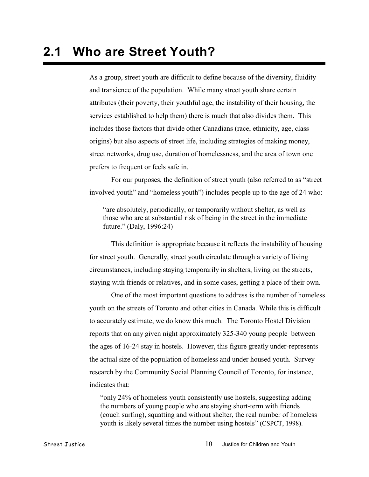As a group, street youth are difficult to define because of the diversity, fluidity and transience of the population. While many street youth share certain attributes (their poverty, their youthful age, the instability of their housing, the services established to help them) there is much that also divides them. This includes those factors that divide other Canadians (race, ethnicity, age, class origins) but also aspects of street life, including strategies of making money, street networks, drug use, duration of homelessness, and the area of town one prefers to frequent or feels safe in.

For our purposes, the definition of street youth (also referred to as "street involved youth" and "homeless youth") includes people up to the age of 24 who:

"are absolutely, periodically, or temporarily without shelter, as well as those who are at substantial risk of being in the street in the immediate future." (Daly, 1996:24)

This definition is appropriate because it reflects the instability of housing for street youth. Generally, street youth circulate through a variety of living circumstances, including staying temporarily in shelters, living on the streets, staying with friends or relatives, and in some cases, getting a place of their own.

One of the most important questions to address is the number of homeless youth on the streets of Toronto and other cities in Canada. While this is difficult to accurately estimate, we do know this much. The Toronto Hostel Division reports that on any given night approximately 325-340 young people between the ages of 16-24 stay in hostels. However, this figure greatly under-represents the actual size of the population of homeless and under housed youth. Survey research by the Community Social Planning Council of Toronto, for instance, indicates that:

"only 24% of homeless youth consistently use hostels, suggesting adding the numbers of young people who are staying short-term with friends (couch surfing), squatting and without shelter, the real number of homeless youth is likely several times the number using hostels" (CSPCT, 1998).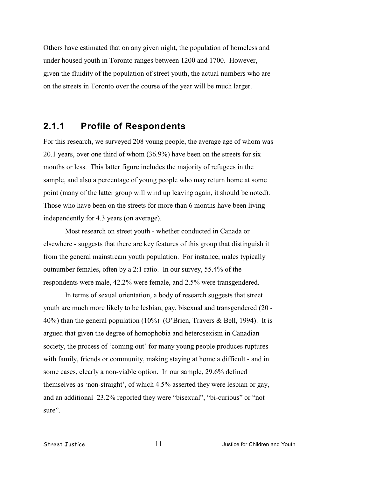Others have estimated that on any given night, the population of homeless and under housed youth in Toronto ranges between 1200 and 1700. However, given the fluidity of the population of street youth, the actual numbers who are on the streets in Toronto over the course of the year will be much larger.

#### **2.1.1 Profile of Respondents**

For this research, we surveyed 208 young people, the average age of whom was 20.1 years, over one third of whom (36.9%) have been on the streets for six months or less. This latter figure includes the majority of refugees in the sample, and also a percentage of young people who may return home at some point (many of the latter group will wind up leaving again, it should be noted). Those who have been on the streets for more than 6 months have been living independently for 4.3 years (on average).

Most research on street youth - whether conducted in Canada or elsewhere - suggests that there are key features of this group that distinguish it from the general mainstream youth population. For instance, males typically outnumber females, often by a 2:1 ratio. In our survey, 55.4% of the respondents were male, 42.2% were female, and 2.5% were transgendered.

In terms of sexual orientation, a body of research suggests that street youth are much more likely to be lesbian, gay, bisexual and transgendered (20 - 40%) than the general population (10%) (O'Brien, Travers & Bell, 1994). It is argued that given the degree of homophobia and heterosexism in Canadian society, the process of 'coming out' for many young people produces ruptures with family, friends or community, making staying at home a difficult - and in some cases, clearly a non-viable option. In our sample, 29.6% defined themselves as 'non-straight', of which 4.5% asserted they were lesbian or gay, and an additional 23.2% reported they were "bisexual", "bi-curious" or "not sure".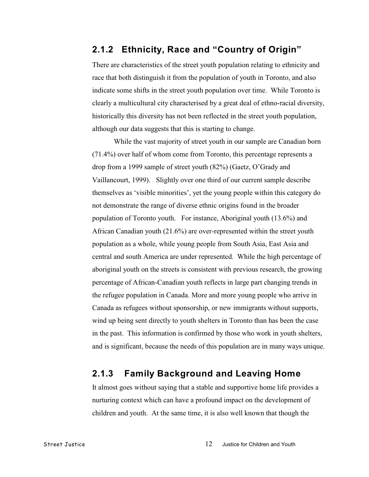#### **2.1.2 Ethnicity, Race and "Country of Origin"**

There are characteristics of the street youth population relating to ethnicity and race that both distinguish it from the population of youth in Toronto, and also indicate some shifts in the street youth population over time. While Toronto is clearly a multicultural city characterised by a great deal of ethno-racial diversity, historically this diversity has not been reflected in the street youth population, although our data suggests that this is starting to change.

While the vast majority of street youth in our sample are Canadian born (71.4%) over half of whom come from Toronto, this percentage represents a drop from a 1999 sample of street youth (82%) (Gaetz, O'Grady and Vaillancourt, 1999). Slightly over one third of our current sample describe themselves as 'visible minorities', yet the young people within this category do not demonstrate the range of diverse ethnic origins found in the broader population of Toronto youth. For instance, Aboriginal youth (13.6%) and African Canadian youth (21.6%) are over-represented within the street youth population as a whole, while young people from South Asia, East Asia and central and south America are under represented. While the high percentage of aboriginal youth on the streets is consistent with previous research, the growing percentage of African-Canadian youth reflects in large part changing trends in the refugee population in Canada. More and more young people who arrive in Canada as refugees without sponsorship, or new immigrants without supports, wind up being sent directly to youth shelters in Toronto than has been the case in the past. This information is confirmed by those who work in youth shelters, and is significant, because the needs of this population are in many ways unique.

#### **2.1.3 Family Background and Leaving Home**

It almost goes without saying that a stable and supportive home life provides a nurturing context which can have a profound impact on the development of children and youth. At the same time, it is also well known that though the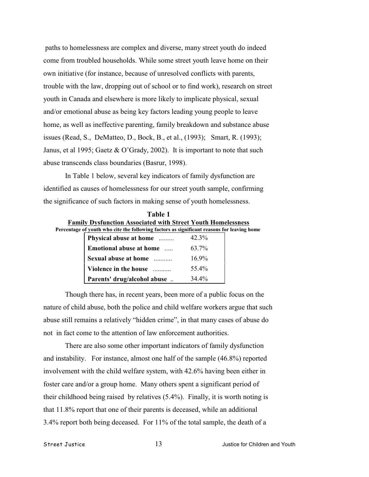paths to homelessness are complex and diverse, many street youth do indeed come from troubled households. While some street youth leave home on their own initiative (for instance, because of unresolved conflicts with parents, trouble with the law, dropping out of school or to find work), research on street youth in Canada and elsewhere is more likely to implicate physical, sexual and/or emotional abuse as being key factors leading young people to leave home, as well as ineffective parenting, family breakdown and substance abuse issues (Read, S., DeMatteo, D., Bock, B., et al., (1993); Smart, R. (1993); Janus, et al 1995; Gaetz & O'Grady, 2002). It is important to note that such abuse transcends class boundaries (Basrur, 1998).

In Table 1 below, several key indicators of family dysfunction are identified as causes of homelessness for our street youth sample, confirming the significance of such factors in making sense of youth homelessness.

| Table 1                                                                                    |                                                                     |       |  |  |
|--------------------------------------------------------------------------------------------|---------------------------------------------------------------------|-------|--|--|
|                                                                                            | <b>Family Dysfunction Associated with Street Youth Homelessness</b> |       |  |  |
| Percentage of youth who cite the following factors as significant reasons for leaving home |                                                                     |       |  |  |
|                                                                                            | Physical abuse at home                                              | 42.3% |  |  |
|                                                                                            | Emotional abuse at home                                             | 63.7% |  |  |
|                                                                                            | Sexual abuse at home                                                | 169%  |  |  |

**Violence in the house** ........... 55.4% **Parents' drug/alcohol abuse** .. 34.4%

Though there has, in recent years, been more of a public focus on the nature of child abuse, both the police and child welfare workers argue that such abuse still remains a relatively "hidden crime", in that many cases of abuse do not in fact come to the attention of law enforcement authorities.

There are also some other important indicators of family dysfunction and instability. For instance, almost one half of the sample (46.8%) reported involvement with the child welfare system, with 42.6% having been either in foster care and/or a group home. Many others spent a significant period of their childhood being raised by relatives (5.4%). Finally, it is worth noting is that 11.8% report that one of their parents is deceased, while an additional 3.4% report both being deceased. For 11% of the total sample, the death of a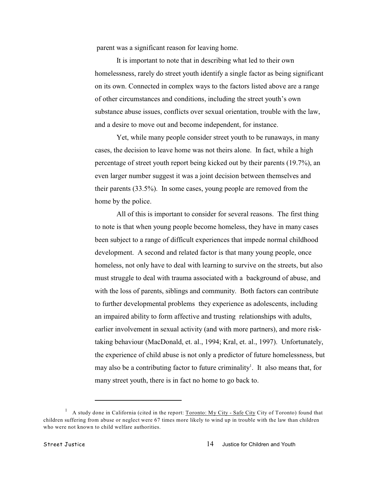parent was a significant reason for leaving home.

It is important to note that in describing what led to their own homelessness, rarely do street youth identify a single factor as being significant on its own. Connected in complex ways to the factors listed above are a range of other circumstances and conditions, including the street youth's own substance abuse issues, conflicts over sexual orientation, trouble with the law, and a desire to move out and become independent, for instance.

Yet, while many people consider street youth to be runaways, in many cases, the decision to leave home was not theirs alone. In fact, while a high percentage of street youth report being kicked out by their parents (19.7%), an even larger number suggest it was a joint decision between themselves and their parents (33.5%). In some cases, young people are removed from the home by the police.

All of this is important to consider for several reasons. The first thing to note is that when young people become homeless, they have in many cases been subject to a range of difficult experiences that impede normal childhood development. A second and related factor is that many young people, once homeless, not only have to deal with learning to survive on the streets, but also must struggle to deal with trauma associated with a background of abuse, and with the loss of parents, siblings and community. Both factors can contribute to further developmental problems they experience as adolescents, including an impaired ability to form affective and trusting relationships with adults, earlier involvement in sexual activity (and with more partners), and more risktaking behaviour (MacDonald, et. al., 1994; Kral, et. al., 1997). Unfortunately, the experience of child abuse is not only a predictor of future homelessness, but may also be a contributing factor to future criminality<sup>1</sup>. It also means that, for many street youth, there is in fact no home to go back to.

A study done in California (cited in the report: Toronto: My City - Safe City City of Toronto) found that <sup>1</sup> children suffering from abuse or neglect were 67 times more likely to wind up in trouble with the law than children who were not known to child welfare authorities.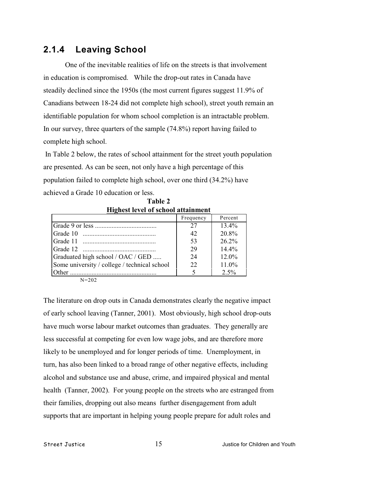#### **2.1.4 Leaving School**

One of the inevitable realities of life on the streets is that involvement in education is compromised. While the drop-out rates in Canada have steadily declined since the 1950s (the most current figures suggest 11.9% of Canadians between 18-24 did not complete high school), street youth remain an identifiable population for whom school completion is an intractable problem. In our survey, three quarters of the sample (74.8%) report having failed to complete high school.

 In Table 2 below, the rates of school attainment for the street youth population are presented. As can be seen, not only have a high percentage of this population failed to complete high school, over one third (34.2%) have achieved a Grade 10 education or less.

**Table 2**

| <b>Highest level of school attainment</b>    |           |          |
|----------------------------------------------|-----------|----------|
|                                              | Frequency | Percent  |
|                                              | 27        | $13.4\%$ |
|                                              | 42        | 20.8%    |
|                                              | 53        | $26.2\%$ |
|                                              | 29        | $14.4\%$ |
| Graduated high school / OAC / GED            | 24        | 12.0%    |
| Some university / college / technical school | 22        | 11.0%    |
| Other                                        |           | $2.5\%$  |

N=202

The literature on drop outs in Canada demonstrates clearly the negative impact of early school leaving (Tanner, 2001). Most obviously, high school drop-outs have much worse labour market outcomes than graduates. They generally are less successful at competing for even low wage jobs, and are therefore more likely to be unemployed and for longer periods of time. Unemployment, in turn, has also been linked to a broad range of other negative effects, including alcohol and substance use and abuse, crime, and impaired physical and mental health (Tanner, 2002). For young people on the streets who are estranged from their families, dropping out also means further disengagement from adult supports that are important in helping young people prepare for adult roles and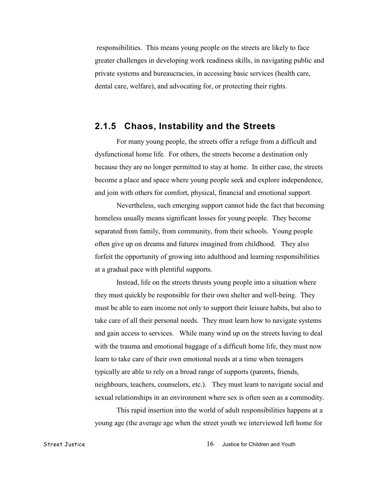responsibilities. This means young people on the streets are likely to face greater challenges in developing work readiness skills, in navigating public and private systems and bureaucracies, in accessing basic services (health care, dental care, welfare), and advocating for, or protecting their rights.

#### **2.1.5 Chaos, Instability and the Streets**

For many young people, the streets offer a refuge from a difficult and dysfunctional home life. For others, the streets become a destination only because they are no longer permitted to stay at home. In either case, the streets become a place and space where young people seek and explore independence, and join with others for comfort, physical, financial and emotional support.

Nevertheless, such emerging support cannot hide the fact that becoming homeless usually means significant losses for young people. They become separated from family, from community, from their schools. Young people often give up on dreams and futures imagined from childhood. They also forfeit the opportunity of growing into adulthood and learning responsibilities at a gradual pace with plentiful supports.

Instead, life on the streets thrusts young people into a situation where they must quickly be responsible for their own shelter and well-being. They must be able to earn income not only to support their leisure habits, but also to take care of all their personal needs. They must learn how to navigate systems and gain access to services. While many wind up on the streets having to deal with the trauma and emotional baggage of a difficult home life, they must now learn to take care of their own emotional needs at a time when teenagers typically are able to rely on a broad range of supports (parents, friends, neighbours, teachers, counselors, etc.). They must learn to navigate social and sexual relationships in an environment where sex is often seen as a commodity.

This rapid insertion into the world of adult responsibilities happens at a young age (the average age when the street youth we interviewed left home for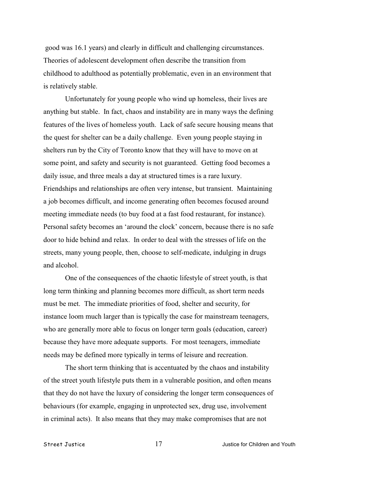good was 16.1 years) and clearly in difficult and challenging circumstances. Theories of adolescent development often describe the transition from childhood to adulthood as potentially problematic, even in an environment that is relatively stable.

Unfortunately for young people who wind up homeless, their lives are anything but stable. In fact, chaos and instability are in many ways the defining features of the lives of homeless youth. Lack of safe secure housing means that the quest for shelter can be a daily challenge. Even young people staying in shelters run by the City of Toronto know that they will have to move on at some point, and safety and security is not guaranteed. Getting food becomes a daily issue, and three meals a day at structured times is a rare luxury. Friendships and relationships are often very intense, but transient. Maintaining a job becomes difficult, and income generating often becomes focused around meeting immediate needs (to buy food at a fast food restaurant, for instance). Personal safety becomes an 'around the clock' concern, because there is no safe door to hide behind and relax. In order to deal with the stresses of life on the streets, many young people, then, choose to self-medicate, indulging in drugs and alcohol.

One of the consequences of the chaotic lifestyle of street youth, is that long term thinking and planning becomes more difficult, as short term needs must be met. The immediate priorities of food, shelter and security, for instance loom much larger than is typically the case for mainstream teenagers, who are generally more able to focus on longer term goals (education, career) because they have more adequate supports. For most teenagers, immediate needs may be defined more typically in terms of leisure and recreation.

The short term thinking that is accentuated by the chaos and instability of the street youth lifestyle puts them in a vulnerable position, and often means that they do not have the luxury of considering the longer term consequences of behaviours (for example, engaging in unprotected sex, drug use, involvement in criminal acts). It also means that they may make compromises that are not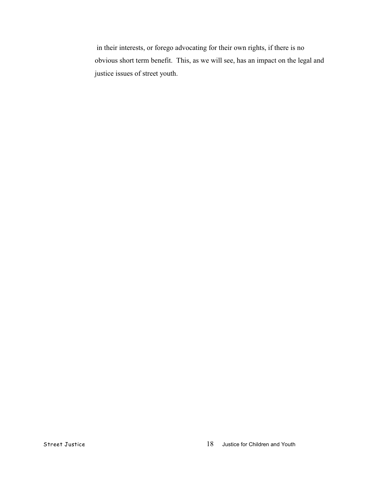in their interests, or forego advocating for their own rights, if there is no obvious short term benefit. This, as we will see, has an impact on the legal and justice issues of street youth.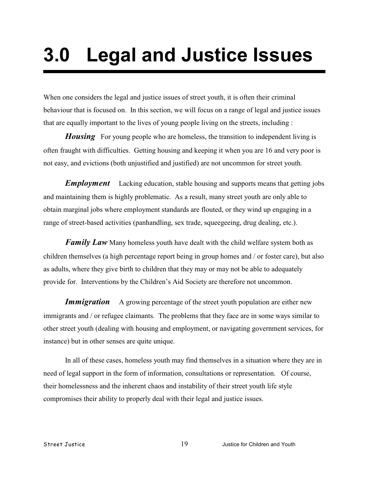# **3.0 Legal and Justice Issues**

When one considers the legal and justice issues of street youth, it is often their criminal behaviour that is focused on. In this section, we will focus on a range of legal and justice issues that are equally important to the lives of young people living on the streets, including :

*Housing* For young people who are homeless, the transition to independent living is often fraught with difficulties. Getting housing and keeping it when you are 16 and very poor is not easy, and evictions (both unjustified and justified) are not uncommon for street youth.

*Employment* Lacking education, stable housing and supports means that getting jobs and maintaining them is highly problematic. As a result, many street youth are only able to obtain marginal jobs where employment standards are flouted, or they wind up engaging in a range of street-based activities (panhandling, sex trade, squeegeeing, drug dealing, etc.).

*Family Law* Many homeless youth have dealt with the child welfare system both as children themselves (a high percentage report being in group homes and / or foster care), but also as adults, where they give birth to children that they may or may not be able to adequately provide for. Interventions by the Children's Aid Society are therefore not uncommon.

**Immigration** A growing percentage of the street youth population are either new immigrants and / or refugee claimants. The problems that they face are in some ways similar to other street youth (dealing with housing and employment, or navigating government services, for instance) but in other senses are quite unique.

In all of these cases, homeless youth may find themselves in a situation where they are in need of legal support in the form of information, consultations or representation. Of course, their homelessness and the inherent chaos and instability of their street youth life style compromises their ability to properly deal with their legal and justice issues.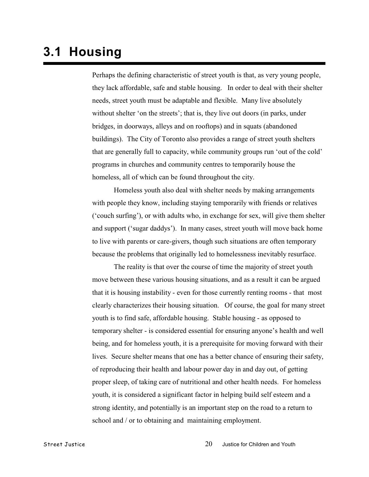### **3.1 Housing**

Perhaps the defining characteristic of street youth is that, as very young people, they lack affordable, safe and stable housing. In order to deal with their shelter needs, street youth must be adaptable and flexible. Many live absolutely without shelter 'on the streets'; that is, they live out doors (in parks, under bridges, in doorways, alleys and on rooftops) and in squats (abandoned buildings). The City of Toronto also provides a range of street youth shelters that are generally full to capacity, while community groups run 'out of the cold' programs in churches and community centres to temporarily house the homeless, all of which can be found throughout the city.

Homeless youth also deal with shelter needs by making arrangements with people they know, including staying temporarily with friends or relatives ('couch surfing'), or with adults who, in exchange for sex, will give them shelter and support ('sugar daddys'). In many cases, street youth will move back home to live with parents or care-givers, though such situations are often temporary because the problems that originally led to homelessness inevitably resurface.

The reality is that over the course of time the majority of street youth move between these various housing situations, and as a result it can be argued that it is housing instability - even for those currently renting rooms - that most clearly characterizes their housing situation. Of course, the goal for many street youth is to find safe, affordable housing. Stable housing - as opposed to temporary shelter - is considered essential for ensuring anyone's health and well being, and for homeless youth, it is a prerequisite for moving forward with their lives. Secure shelter means that one has a better chance of ensuring their safety, of reproducing their health and labour power day in and day out, of getting proper sleep, of taking care of nutritional and other health needs. For homeless youth, it is considered a significant factor in helping build self esteem and a strong identity, and potentially is an important step on the road to a return to school and / or to obtaining and maintaining employment.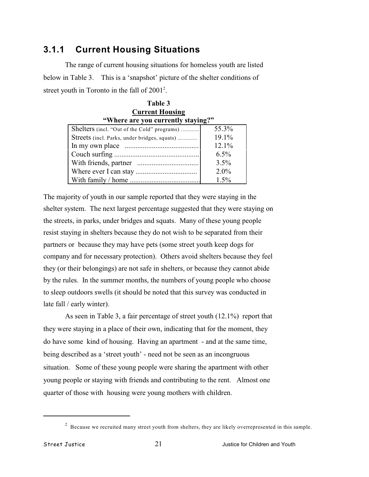#### **3.1.1 Current Housing Situations**

The range of current housing situations for homeless youth are listed below in Table 3. This is a 'snapshot' picture of the shelter conditions of street youth in Toronto in the fall of  $2001^2$ .

| Table 3                                      |         |  |
|----------------------------------------------|---------|--|
| <b>Current Housing</b>                       |         |  |
| "Where are you currently staying?"           |         |  |
| Shelters (incl. "Out of the Cold" programs)  | 55.3%   |  |
| Streets (incl. Parks, under bridges, squats) | 19.1%   |  |
|                                              | 12.1%   |  |
|                                              | $6.5\%$ |  |
|                                              | 3.5%    |  |
|                                              | 2.0%    |  |
|                                              | 1.5%    |  |

The majority of youth in our sample reported that they were staying in the shelter system. The next largest percentage suggested that they were staying on the streets, in parks, under bridges and squats. Many of these young people resist staying in shelters because they do not wish to be separated from their partners or because they may have pets (some street youth keep dogs for company and for necessary protection). Others avoid shelters because they feel they (or their belongings) are not safe in shelters, or because they cannot abide by the rules. In the summer months, the numbers of young people who choose to sleep outdoors swells (it should be noted that this survey was conducted in late fall / early winter).

As seen in Table 3, a fair percentage of street youth (12.1%) report that they were staying in a place of their own, indicating that for the moment, they do have some kind of housing. Having an apartment - and at the same time, being described as a 'street youth' - need not be seen as an incongruous situation. Some of these young people were sharing the apartment with other young people or staying with friends and contributing to the rent. Almost one quarter of those with housing were young mothers with children.

 $^2$  Because we recruited many street youth from shelters, they are likely overrepresented in this sample.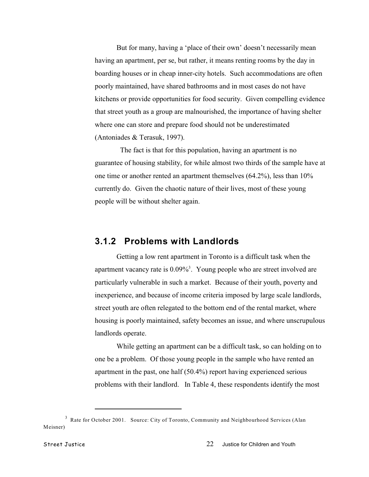But for many, having a 'place of their own' doesn't necessarily mean having an apartment, per se, but rather, it means renting rooms by the day in boarding houses or in cheap inner-city hotels. Such accommodations are often poorly maintained, have shared bathrooms and in most cases do not have kitchens or provide opportunities for food security. Given compelling evidence that street youth as a group are malnourished, the importance of having shelter where one can store and prepare food should not be underestimated (Antoniades & Terasuk, 1997).

 The fact is that for this population, having an apartment is no guarantee of housing stability, for while almost two thirds of the sample have at one time or another rented an apartment themselves (64.2%), less than 10% currently do. Given the chaotic nature of their lives, most of these young people will be without shelter again.

#### **3.1.2 Problems with Landlords**

Getting a low rent apartment in Toronto is a difficult task when the apartment vacancy rate is  $0.09\%$ <sup>3</sup>. Young people who are street involved are particularly vulnerable in such a market. Because of their youth, poverty and inexperience, and because of income criteria imposed by large scale landlords, street youth are often relegated to the bottom end of the rental market, where housing is poorly maintained, safety becomes an issue, and where unscrupulous landlords operate.

While getting an apartment can be a difficult task, so can holding on to one be a problem. Of those young people in the sample who have rented an apartment in the past, one half (50.4%) report having experienced serious problems with their landlord. In Table 4, these respondents identify the most

<sup>&</sup>lt;sup>3</sup> Rate for October 2001. Source: City of Toronto, Community and Neighbourhood Services (Alan Meisner)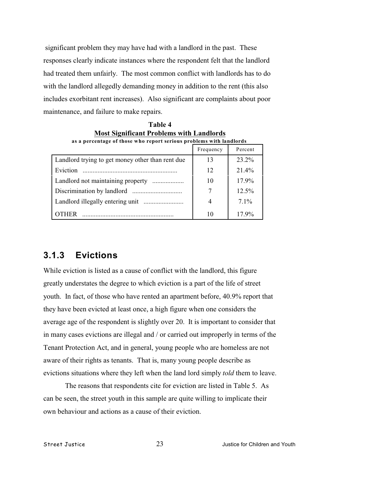significant problem they may have had with a landlord in the past. These responses clearly indicate instances where the respondent felt that the landlord had treated them unfairly. The most common conflict with landlords has to do with the landlord allegedly demanding money in addition to the rent (this also includes exorbitant rent increases). Also significant are complaints about poor maintenance, and failure to make repairs.

| as a percentage of those who report serious problems with landlords |           |          |
|---------------------------------------------------------------------|-----------|----------|
|                                                                     | Frequency | Percent  |
| Landlord trying to get money other than rent due                    | 13        | 23.2%    |
| Eviction                                                            | 12        | 21.4%    |
|                                                                     | 10        | 17.9%    |
|                                                                     |           | $12.5\%$ |
|                                                                     | 4         | $7.1\%$  |
| THER                                                                | 10        | 17.9%    |

**Table 4 Most Significant Problems with Landlords**

#### **3.1.3 Evictions**

While eviction is listed as a cause of conflict with the landlord, this figure greatly understates the degree to which eviction is a part of the life of street youth. In fact, of those who have rented an apartment before, 40.9% report that they have been evicted at least once, a high figure when one considers the average age of the respondent is slightly over 20. It is important to consider that in many cases evictions are illegal and / or carried out improperly in terms of the Tenant Protection Act, and in general, young people who are homeless are not aware of their rights as tenants. That is, many young people describe as evictions situations where they left when the land lord simply *told* them to leave.

The reasons that respondents cite for eviction are listed in Table 5. As can be seen, the street youth in this sample are quite willing to implicate their own behaviour and actions as a cause of their eviction.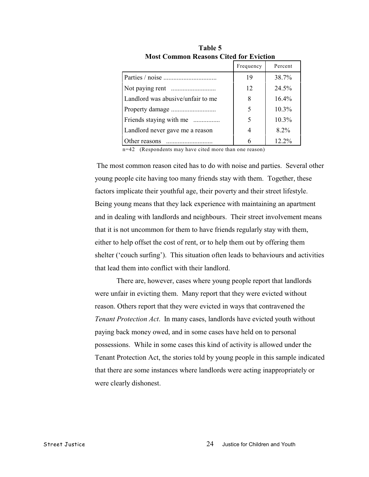|                                   | Frequency | Percent  |
|-----------------------------------|-----------|----------|
|                                   | 19        | 38.7%    |
|                                   | 12        | 24.5%    |
| Landlord was abusive/unfair to me | 8         | $16.4\%$ |
|                                   | 5         | 10.3%    |
| Friends staying with me           | 5         | $10.3\%$ |
| Landlord never gave me a reason   | 4         | $8.2\%$  |
| ther reasons                      | 6         | 12.2%    |

**Table 5 Most Common Reasons Cited for Eviction**

n=42 (Respondents may have cited more than one reason)

 The most common reason cited has to do with noise and parties. Several other young people cite having too many friends stay with them. Together, these factors implicate their youthful age, their poverty and their street lifestyle. Being young means that they lack experience with maintaining an apartment and in dealing with landlords and neighbours. Their street involvement means that it is not uncommon for them to have friends regularly stay with them, either to help offset the cost of rent, or to help them out by offering them shelter ('couch surfing'). This situation often leads to behaviours and activities that lead them into conflict with their landlord.

There are, however, cases where young people report that landlords were unfair in evicting them. Many report that they were evicted without reason. Others report that they were evicted in ways that contravened the *Tenant Protection Act*. In many cases, landlords have evicted youth without paying back money owed, and in some cases have held on to personal possessions. While in some cases this kind of activity is allowed under the Tenant Protection Act, the stories told by young people in this sample indicated that there are some instances where landlords were acting inappropriately or were clearly dishonest.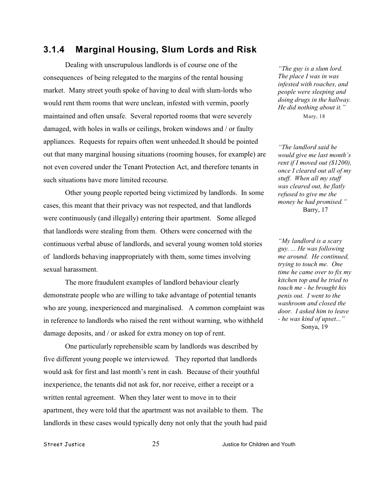#### **3.1.4 Marginal Housing, Slum Lords and Risk**

Dealing with unscrupulous landlords is of course one of the consequences of being relegated to the margins of the rental housing market. Many street youth spoke of having to deal with slum-lords who would rent them rooms that were unclean, infested with vermin, poorly maintained and often unsafe. Several reported rooms that were severely damaged, with holes in walls or ceilings, broken windows and / or faulty appliances. Requests for repairs often went unheeded.It should be pointed out that many marginal housing situations (rooming houses, for example) are not even covered under the Tenant Protection Act, and therefore tenants in such situations have more limited recourse.

Other young people reported being victimized by landlords. In some cases, this meant that their privacy was not respected, and that landlords were continuously (and illegally) entering their apartment. Some alleged that landlords were stealing from them. Others were concerned with the continuous verbal abuse of landlords, and several young women told stories of landlords behaving inappropriately with them, some times involving sexual harassment.

The more fraudulent examples of landlord behaviour clearly demonstrate people who are willing to take advantage of potential tenants who are young, inexperienced and marginalised. A common complaint was in reference to landlords who raised the rent without warning, who withheld damage deposits, and / or asked for extra money on top of rent.

One particularly reprehensible scam by landlords was described by five different young people we interviewed. They reported that landlords would ask for first and last month's rent in cash. Because of their youthful inexperience, the tenants did not ask for, nor receive, either a receipt or a written rental agreement. When they later went to move in to their apartment, they were told that the apartment was not available to them. The landlords in these cases would typically deny not only that the youth had paid

*"The guy is a slum lord. The place I was in was infested with roaches, and people were sleeping and doing drugs in the hallway. He did nothing about it."* Mary, 18

*"The landlord said he would give me last month's rent if I moved out (\$1200), once I cleared out all of my stuff. When all my stuff was cleared out, he flatly refused to give me the money he had promised."* Barry, 17

*"My landlord is a scary guy. ... He was following me around. He continued, trying to touch me. One time he came over to fix my kitchen top and he tried to touch me - he brought his penis out. I went to the washroom and closed the door. I asked him to leave - he was kind of upset..."*  Sonya, 19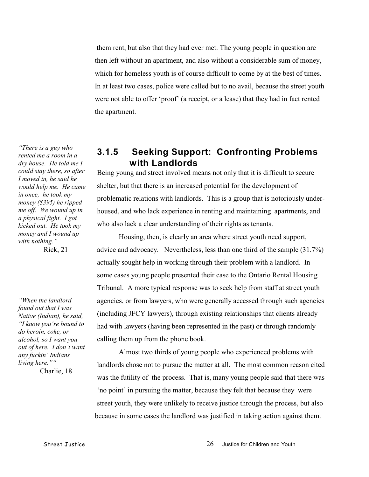them rent, but also that they had ever met. The young people in question are then left without an apartment, and also without a considerable sum of money, which for homeless youth is of course difficult to come by at the best of times. In at least two cases, police were called but to no avail, because the street youth were not able to offer 'proof' (a receipt, or a lease) that they had in fact rented the apartment.

#### **3.1.5 Seeking Support: Confronting Problems with Landlords** Being young and street involved means not only that it is difficult to secure

shelter, but that there is an increased potential for the development of problematic relations with landlords. This is a group that is notoriously underhoused, and who lack experience in renting and maintaining apartments, and who also lack a clear understanding of their rights as tenants.

Housing, then, is clearly an area where street youth need support, advice and advocacy. Nevertheless, less than one third of the sample (31.7%) actually sought help in working through their problem with a landlord. In some cases young people presented their case to the Ontario Rental Housing Tribunal. A more typical response was to seek help from staff at street youth agencies, or from lawyers, who were generally accessed through such agencies (including JFCY lawyers), through existing relationships that clients already had with lawyers (having been represented in the past) or through randomly calling them up from the phone book.

Almost two thirds of young people who experienced problems with landlords chose not to pursue the matter at all. The most common reason cited was the futility of the process. That is, many young people said that there was 'no point' in pursuing the matter, because they felt that because they were street youth, they were unlikely to receive justice through the process, but also because in some cases the landlord was justified in taking action against them.

*"There is a guy who rented me a room in a dry house. He told me I could stay there, so after I moved in, he said he would help me. He came in once, he took my money (\$395) he ripped me off. We wound up in a physical fight. I got kicked out. He took my money and I wound up with nothing."*

Rick, 21

*"When the landlord found out that I was Native (Indian), he said, "I know you're bound to do heroin, coke, or alcohol, so I want you out of here. I don't want any fuckin' Indians living here.""*

Charlie, 18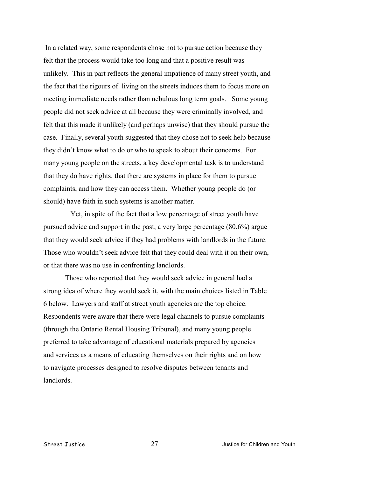In a related way, some respondents chose not to pursue action because they felt that the process would take too long and that a positive result was unlikely. This in part reflects the general impatience of many street youth, and the fact that the rigours of living on the streets induces them to focus more on meeting immediate needs rather than nebulous long term goals. Some young people did not seek advice at all because they were criminally involved, and felt that this made it unlikely (and perhaps unwise) that they should pursue the case. Finally, several youth suggested that they chose not to seek help because they didn't know what to do or who to speak to about their concerns. For many young people on the streets, a key developmental task is to understand that they do have rights, that there are systems in place for them to pursue complaints, and how they can access them. Whether young people do (or should) have faith in such systems is another matter.

 Yet, in spite of the fact that a low percentage of street youth have pursued advice and support in the past, a very large percentage (80.6%) argue that they would seek advice if they had problems with landlords in the future. Those who wouldn't seek advice felt that they could deal with it on their own, or that there was no use in confronting landlords.

Those who reported that they would seek advice in general had a strong idea of where they would seek it, with the main choices listed in Table 6 below. Lawyers and staff at street youth agencies are the top choice. Respondents were aware that there were legal channels to pursue complaints (through the Ontario Rental Housing Tribunal), and many young people preferred to take advantage of educational materials prepared by agencies and services as a means of educating themselves on their rights and on how to navigate processes designed to resolve disputes between tenants and landlords.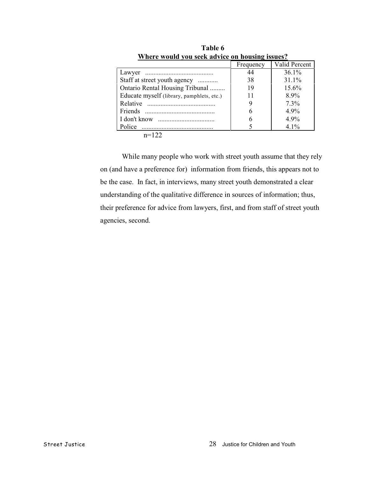|                                           | Frequency | Valid Percent |
|-------------------------------------------|-----------|---------------|
|                                           | 44        | 36.1%         |
| Staff at street youth agency              | 38        | 31.1%         |
| Ontario Rental Housing Tribunal           | 19        | $15.6\%$      |
| Educate myself (library, pamphlets, etc.) |           | 8.9%          |
|                                           |           | $7.3\%$       |
|                                           | h         | $4.9\%$       |
|                                           | h         | $4.9\%$       |
| Police                                    |           | $4.1\%$       |
| $\sim$ 100                                |           |               |

**Table 6 Where would you seek advice on housing issues?**

n=122

While many people who work with street youth assume that they rely on (and have a preference for) information from friends, this appears not to be the case. In fact, in interviews, many street youth demonstrated a clear understanding of the qualitative difference in sources of information; thus, their preference for advice from lawyers, first, and from staff of street youth agencies, second.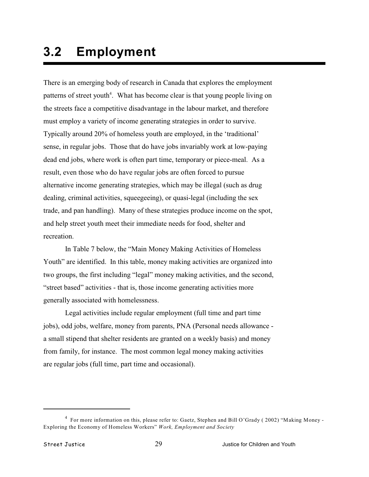# **3.2 Employment**

There is an emerging body of research in Canada that explores the employment patterns of street youth<sup>4</sup>. What has become clear is that young people living on the streets face a competitive disadvantage in the labour market, and therefore must employ a variety of income generating strategies in order to survive. Typically around 20% of homeless youth are employed, in the 'traditional' sense, in regular jobs. Those that do have jobs invariably work at low-paying dead end jobs, where work is often part time, temporary or piece-meal. As a result, even those who do have regular jobs are often forced to pursue alternative income generating strategies, which may be illegal (such as drug dealing, criminal activities, squeegeeing), or quasi-legal (including the sex trade, and pan handling). Many of these strategies produce income on the spot, and help street youth meet their immediate needs for food, shelter and recreation.

In Table 7 below, the "Main Money Making Activities of Homeless Youth" are identified. In this table, money making activities are organized into two groups, the first including "legal" money making activities, and the second, "street based" activities - that is, those income generating activities more generally associated with homelessness.

Legal activities include regular employment (full time and part time jobs), odd jobs, welfare, money from parents, PNA (Personal needs allowance a small stipend that shelter residents are granted on a weekly basis) and money from family, for instance. The most common legal money making activities are regular jobs (full time, part time and occasional).

<sup>&</sup>lt;sup>4</sup> For more information on this, please refer to: Gaetz, Stephen and Bill O'Grady (2002) "Making Money -Exploring the Economy of Homeless Workers" *Work, Employment and Society*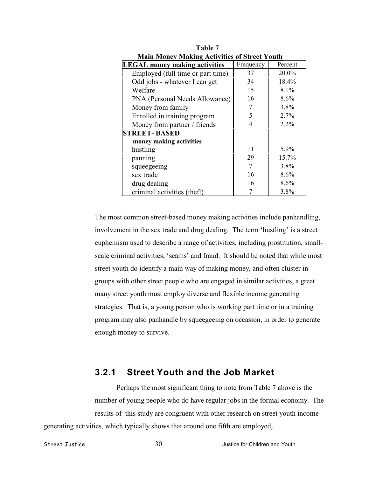| <b>Main Money Making Activities of Street Youth</b>          |    |         |  |  |
|--------------------------------------------------------------|----|---------|--|--|
| Frequency<br><b>LEGAL money making activities</b><br>Percent |    |         |  |  |
| Employed (full time or part time)                            | 37 | 20.0%   |  |  |
| Odd jobs - whatever I can get                                | 34 | 18.4%   |  |  |
| Welfare                                                      | 15 | $8.1\%$ |  |  |
| PNA (Personal Needs Allowance)                               | 16 | 8.6%    |  |  |
| Money from family                                            |    | $3.8\%$ |  |  |
| Enrolled in training program                                 | 5  | 2.7%    |  |  |
| Money from partner / friends                                 | 4  | 2.2%    |  |  |
| <b>STREET-BASED</b>                                          |    |         |  |  |
| money making activities                                      |    |         |  |  |
| hustling                                                     | 11 | 5.9%    |  |  |
| panning                                                      | 29 | 15.7%   |  |  |
| squeegeeing                                                  | 7  | 3.8%    |  |  |
| sex trade                                                    | 16 | 8.6%    |  |  |
| drug dealing                                                 | 16 | 8.6%    |  |  |
| criminal activities (theft)                                  |    | 3.8%    |  |  |

**Table 7 Main Money Making Activities of Street Youth**

The most common street-based money making activities include panhandling, involvement in the sex trade and drug dealing. The term 'hustling' is a street euphemism used to describe a range of activities, including prostitution, smallscale criminal activities, 'scams' and fraud. It should be noted that while most street youth do identify a main way of making money, and often cluster in groups with other street people who are engaged in similar activities, a great many street youth must employ diverse and flexible income generating strategies. That is, a young person who is working part time or in a training program may also panhandle by squeegeeing on occasion, in order to generate enough money to survive.

# **3.2.1 Street Youth and the Job Market**

Perhaps the most significant thing to note from Table 7 above is the number of young people who do have regular jobs in the formal economy. The results of this study are congruent with other research on street youth income generating activities, which typically shows that around one fifth are employed,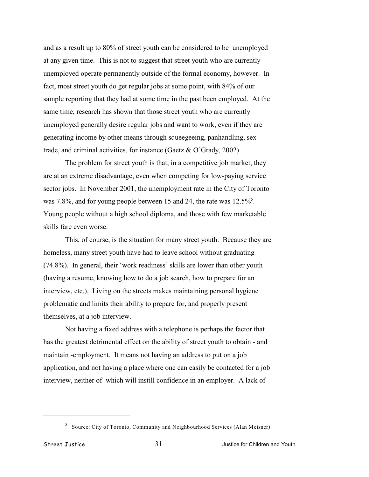and as a result up to 80% of street youth can be considered to be unemployed at any given time. This is not to suggest that street youth who are currently unemployed operate permanently outside of the formal economy, however. In fact, most street youth do get regular jobs at some point, with 84% of our sample reporting that they had at some time in the past been employed. At the same time, research has shown that those street youth who are currently unemployed generally desire regular jobs and want to work, even if they are generating income by other means through squeegeeing, panhandling, sex trade, and criminal activities, for instance (Gaetz & O'Grady, 2002).

The problem for street youth is that, in a competitive job market, they are at an extreme disadvantage, even when competing for low-paying service sector jobs. In November 2001, the unemployment rate in the City of Toronto was 7.8%, and for young people between 15 and 24, the rate was 12.5%<sup>5</sup>. Young people without a high school diploma, and those with few marketable skills fare even worse.

This, of course, is the situation for many street youth. Because they are homeless, many street youth have had to leave school without graduating (74.8%). In general, their 'work readiness' skills are lower than other youth (having a resume, knowing how to do a job search, how to prepare for an interview, etc.). Living on the streets makes maintaining personal hygiene problematic and limits their ability to prepare for, and properly present themselves, at a job interview.

Not having a fixed address with a telephone is perhaps the factor that has the greatest detrimental effect on the ability of street youth to obtain - and maintain -employment. It means not having an address to put on a job application, and not having a place where one can easily be contacted for a job interview, neither of which will instill confidence in an employer. A lack of

<sup>&</sup>lt;sup>5</sup> Source: City of Toronto, Community and Neighbourhood Services (Alan Meisner)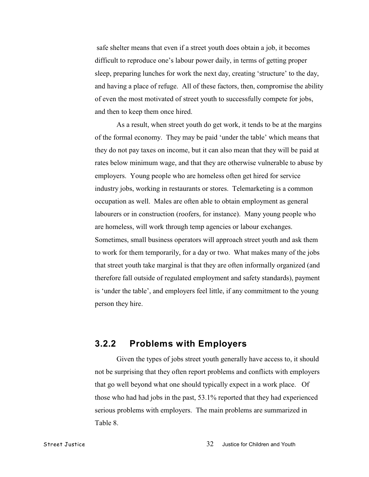safe shelter means that even if a street youth does obtain a job, it becomes difficult to reproduce one's labour power daily, in terms of getting proper sleep, preparing lunches for work the next day, creating 'structure' to the day, and having a place of refuge. All of these factors, then, compromise the ability of even the most motivated of street youth to successfully compete for jobs, and then to keep them once hired.

As a result, when street youth do get work, it tends to be at the margins of the formal economy. They may be paid 'under the table' which means that they do not pay taxes on income, but it can also mean that they will be paid at rates below minimum wage, and that they are otherwise vulnerable to abuse by employers. Young people who are homeless often get hired for service industry jobs, working in restaurants or stores. Telemarketing is a common occupation as well. Males are often able to obtain employment as general labourers or in construction (roofers, for instance). Many young people who are homeless, will work through temp agencies or labour exchanges. Sometimes, small business operators will approach street youth and ask them to work for them temporarily, for a day or two. What makes many of the jobs that street youth take marginal is that they are often informally organized (and therefore fall outside of regulated employment and safety standards), payment is 'under the table', and employers feel little, if any commitment to the young person they hire.

### **3.2.2 Problems with Employers**

Given the types of jobs street youth generally have access to, it should not be surprising that they often report problems and conflicts with employers that go well beyond what one should typically expect in a work place. Of those who had had jobs in the past, 53.1% reported that they had experienced serious problems with employers. The main problems are summarized in Table 8.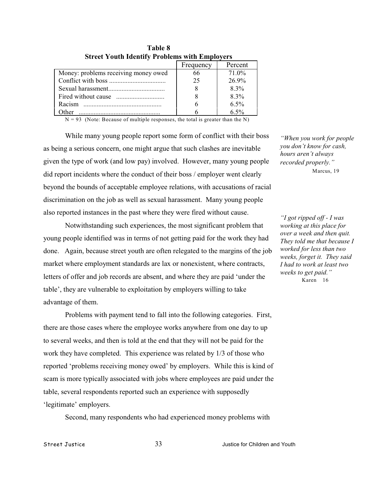|                                      | Frequency | Percent |
|--------------------------------------|-----------|---------|
| Money: problems receiving money owed | 66        | 71.0%   |
|                                      | 25        | 26.9%   |
|                                      |           | $8.3\%$ |
|                                      |           | $8.3\%$ |
| Racism                               |           | 6.5%    |
| ther                                 |           | 6.5%    |

**Table 8 Street Youth Identify Problems with Employers**

 $N = 93$  (Note: Because of multiple responses, the total is greater than the N)

While many young people report some form of conflict with their boss as being a serious concern, one might argue that such clashes are inevitable given the type of work (and low pay) involved. However, many young people did report incidents where the conduct of their boss / employer went clearly beyond the bounds of acceptable employee relations, with accusations of racial discrimination on the job as well as sexual harassment. Many young people also reported instances in the past where they were fired without cause.

Notwithstanding such experiences, the most significant problem that young people identified was in terms of not getting paid for the work they had done. Again, because street youth are often relegated to the margins of the job market where employment standards are lax or nonexistent, where contracts, letters of offer and job records are absent, and where they are paid 'under the table', they are vulnerable to exploitation by employers willing to take advantage of them.

Problems with payment tend to fall into the following categories. First, there are those cases where the employee works anywhere from one day to up to several weeks, and then is told at the end that they will not be paid for the work they have completed. This experience was related by 1/3 of those who reported 'problems receiving money owed' by employers. While this is kind of scam is more typically associated with jobs where employees are paid under the table, several respondents reported such an experience with supposedly 'legitimate' employers.

Second, many respondents who had experienced money problems with

*"When you work for people you don't know for cash, hours aren't always recorded properly."* Marcus, 19

*"I got ripped off - I was working at this place for over a week and then quit. They told me that because I worked for less than two weeks, forget it. They said I had to work at least two weeks to get paid."* Karen 16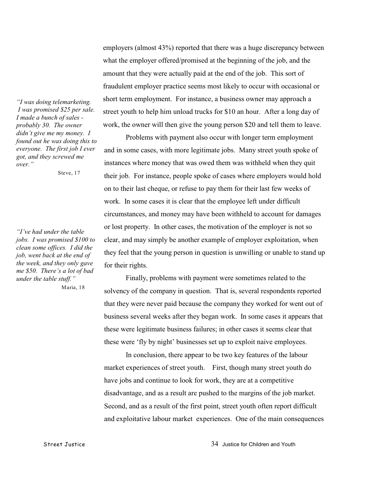*"I was doing telemarketing. I was promised \$25 per sale. I made a bunch of sales probably 30. The owner didn't give me my money. I found out he was doing this to everyone. The first job I ever got, and they screwed me over."*

Steve, 17

*"I've had under the table jobs. I was promised \$100 to clean some offices. I did the job, went back at the end of the week, and they only gave me \$50. There's a lot of bad under the table stuff."*

Maria, 18

employers (almost 43%) reported that there was a huge discrepancy between what the employer offered/promised at the beginning of the job, and the amount that they were actually paid at the end of the job. This sort of fraudulent employer practice seems most likely to occur with occasional or short term employment. For instance, a business owner may approach a street youth to help him unload trucks for \$10 an hour. After a long day of work, the owner will then give the young person \$20 and tell them to leave.

Problems with payment also occur with longer term employment and in some cases, with more legitimate jobs. Many street youth spoke of instances where money that was owed them was withheld when they quit their job. For instance, people spoke of cases where employers would hold on to their last cheque, or refuse to pay them for their last few weeks of work. In some cases it is clear that the employee left under difficult circumstances, and money may have been withheld to account for damages or lost property. In other cases, the motivation of the employer is not so clear, and may simply be another example of employer exploitation, when they feel that the young person in question is unwilling or unable to stand up for their rights.

Finally, problems with payment were sometimes related to the solvency of the company in question. That is, several respondents reported that they were never paid because the company they worked for went out of business several weeks after they began work. In some cases it appears that these were legitimate business failures; in other cases it seems clear that these were 'fly by night' businesses set up to exploit naive employees.

In conclusion, there appear to be two key features of the labour market experiences of street youth. First, though many street youth do have jobs and continue to look for work, they are at a competitive disadvantage, and as a result are pushed to the margins of the job market. Second, and as a result of the first point, street youth often report difficult and exploitative labour market experiences. One of the main consequences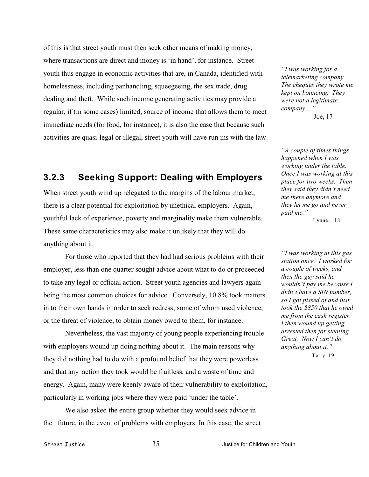of this is that street youth must then seek other means of making money, where transactions are direct and money is 'in hand', for instance. Street youth thus engage in economic activities that are, in Canada, identified with homelessness, including panhandling, squeegeeing, the sex trade, drug dealing and theft. While such income generating activities may provide a regular, if (in some cases) limited, source of income that allows them to meet immediate needs (for food, for instance), it is also the case that because such activities are quasi-legal or illegal, street youth will have run ins with the law.

## **3.2.3 Seeking Support: Dealing with Employers**

When street youth wind up relegated to the margins of the labour market, there is a clear potential for exploitation by unethical employers. Again, youthful lack of experience, poverty and marginality make them vulnerable. These same characteristics may also make it unlikely that they will do anything about it.

For those who reported that they had had serious problems with their employer, less than one quarter sought advice about what to do or proceeded to take any legal or official action. Street youth agencies and lawyers again being the most common choices for advice. Conversely, 10.8% took matters in to their own hands in order to seek redress; some of whom used violence, or the threat of violence, to obtain money owed to them, for instance.

Nevertheless, the vast majority of young people experiencing trouble with employers wound up doing nothing about it. The main reasons why they did nothing had to do with a profound belief that they were powerless and that any action they took would be fruitless, and a waste of time and energy. Again, many were keenly aware of their vulnerability to exploitation, particularly in working jobs where they were paid 'under the table'.

We also asked the entire group whether they would seek advice in the future, in the event of problems with employers. In this case, the street

*"I was working for a telemarketing company. The cheques they wrote me kept on bouncing. They were not a legitimate company ..."* Joe, 17

*"A couple of times things happened when I was working under the table. Once I was working at this place for two weeks. Then they said they didn't need me there anymore and they let me go and never paid me."*

Lynne, 18

*"I was working at this gas station once. I worked for a couple of weeks, and then the guy said he wouldn't pay me because I didn't have a SIN number, so I got pissed of and just took the \$850 that he owed me from the cash register. I then wound up getting arrested then for stealing. Great. Now I can't do anything about it."* Terry, 19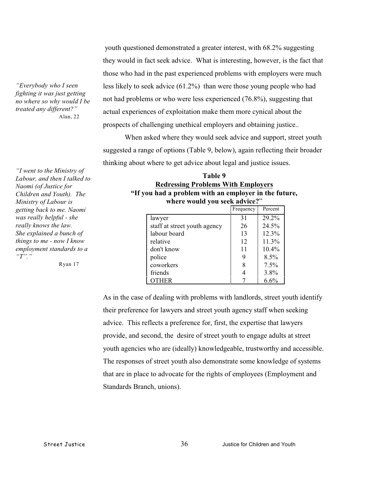youth questioned demonstrated a greater interest, with 68.2% suggesting they would in fact seek advice. What is interesting, however, is the fact that those who had in the past experienced problems with employers were much less likely to seek advice (61.2%) than were those young people who had not had problems or who were less experienced (76.8%), suggesting that actual experiences of exploitation make them more cynical about the prospects of challenging unethical employers and obtaining justice..

When asked where they would seek advice and support, street youth suggested a range of options (Table 9, below), again reflecting their broader thinking about where to get advice about legal and justice issues.

**Table 9 Redressing Problems With Employers "If you had a problem with an employer in the future, where would you seek advice?**"  $E_{\text{reduonov}}$   $D_{\text{osc}}$ 

|                              | 11 Culture | T CICCII |
|------------------------------|------------|----------|
| lawyer                       | 31         | 29.2%    |
| staff at street youth agency | 26         | 24.5%    |
| labour board                 | 13         | 12.3%    |
| relative                     | 12         | 11.3%    |
| don't know                   | 11         | $10.4\%$ |
| police                       |            | $8.5\%$  |
| coworkers                    |            | 7.5%     |
| friends                      |            | 3.8%     |
| OTHER                        |            | 6.6%     |

As in the case of dealing with problems with landlords, street youth identify their preference for lawyers and street youth agency staff when seeking advice. This reflects a preference for, first, the expertise that lawyers provide, and second, the desire of street youth to engage adults at street youth agencies who are (ideally) knowledgeable, trustworthy and accessible. The responses of street youth also demonstrate some knowledge of systems that are in place to advocate for the rights of employees (Employment and Standards Branch, unions).

*"Everybody who I seen fighting it was just getting no where so why would I be treated any different?"* Alan, 22

*"I went to the Ministry of Labour, and then I talked to Naomi (of Justice for Children and Youth). The Ministry of Labour is getting back to me. Naomi was really helpful - she really knows the law. She explained a bunch of things to me - now I know employment standards to a "T"."*

Ryan 17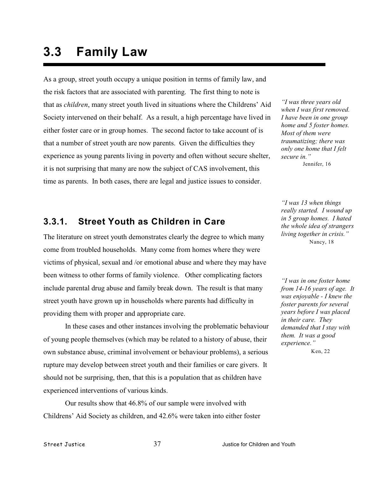# **3.3 Family Law**

As a group, street youth occupy a unique position in terms of family law, and the risk factors that are associated with parenting. The first thing to note is that as *children*, many street youth lived in situations where the Childrens' Aid Society intervened on their behalf. As a result, a high percentage have lived in either foster care or in group homes. The second factor to take account of is that a number of street youth are now parents. Given the difficulties they experience as young parents living in poverty and often without secure shelter, it is not surprising that many are now the subject of CAS involvement, this time as parents. In both cases, there are legal and justice issues to consider.

# **3.3.1. Street Youth as Children in Care**

The literature on street youth demonstrates clearly the degree to which many come from troubled households. Many come from homes where they were victims of physical, sexual and /or emotional abuse and where they may have been witness to other forms of family violence. Other complicating factors include parental drug abuse and family break down. The result is that many street youth have grown up in households where parents had difficulty in providing them with proper and appropriate care.

In these cases and other instances involving the problematic behaviour of young people themselves (which may be related to a history of abuse, their own substance abuse, criminal involvement or behaviour problems), a serious rupture may develop between street youth and their families or care givers. It should not be surprising, then, that this is a population that as children have experienced interventions of various kinds.

Our results show that 46.8% of our sample were involved with Childrens' Aid Society as children, and 42.6% were taken into either foster

*"I was three years old when I was first removed. I have been in one group home and 5 foster homes. Most of them were traumatizing; there was only one home that I felt secure in."*  Jennifer, 16

*"I was 13 when things really started. I wound up in 5 group homes. I hated the whole idea of strangers living together in crisis."* Nancy, 18

*"I was in one foster home from 14-16 years of age. It was enjoyable - I knew the foster parents for several years before I was placed in their care. They demanded that I stay with them. It was a good experience."*

Ken, 22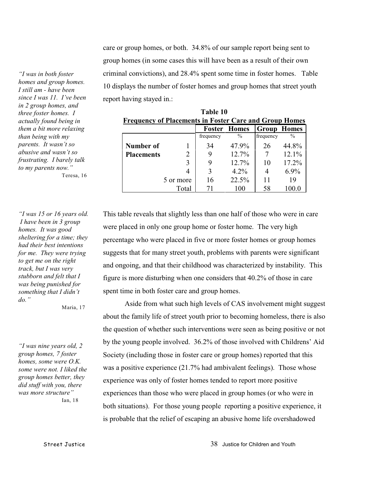care or group homes, or both. 34.8% of our sample report being sent to group homes (in some cases this will have been as a result of their own criminal convictions), and 28.4% spent some time in foster homes. Table 10 displays the number of foster homes and group homes that street youth report having stayed in.:

| <b>Frequency of Placements in Foster Care and Group Homes</b> |                |           |                     |                    |         |
|---------------------------------------------------------------|----------------|-----------|---------------------|--------------------|---------|
|                                                               |                |           | <b>Foster Homes</b> | <b>Group Homes</b> |         |
|                                                               |                | frequency | $\%$                | frequency          | $\%$    |
| Number of                                                     |                | 34        | 47.9%               | 26                 | 44.8%   |
| <b>Placements</b>                                             | $\overline{2}$ |           | 12.7%               |                    | 12.1%   |
|                                                               | 3              | 9         | 12.7%               | 10                 | 17.2%   |
|                                                               | 4              | 3         | 4.2%                | 4                  | $6.9\%$ |
|                                                               | 5 or more      | 16        | 22.5%               |                    | 19      |
|                                                               | Total          |           | 100                 | 58                 |         |

**Table 10**

This table reveals that slightly less than one half of those who were in care were placed in only one group home or foster home. The very high percentage who were placed in five or more foster homes or group homes suggests that for many street youth, problems with parents were significant and ongoing, and that their childhood was characterized by instability. This figure is more disturbing when one considers that 40.2% of those in care spent time in both foster care and group homes.

Aside from what such high levels of CAS involvement might suggest about the family life of street youth prior to becoming homeless, there is also the question of whether such interventions were seen as being positive or not by the young people involved. 36.2% of those involved with Childrens' Aid Society (including those in foster care or group homes) reported that this was a positive experience (21.7% had ambivalent feelings). Those whose experience was only of foster homes tended to report more positive experiences than those who were placed in group homes (or who were in both situations). For those young people reporting a positive experience, it is probable that the relief of escaping an abusive home life overshadowed

*"I was in both foster homes and group homes. I still am - have been since I was 11. I've been in 2 group homes, and three foster homes. I actually found being in them a bit more relaxing than being with my parents. It wasn't so abusive and wasn't so frustrating. I barely talk to my parents now."* Teresa, 16

*"I was 15 or 16 years old. I have been in 3 group homes. It was good sheltering for a time; they had their best intentions for me. They were trying to get me on the right track, but I was very stubborn and felt that I was being punished for something that I didn't do."* 

Maria, 17

*"I was nine years old, 2 group homes, 7 foster homes, some were O.K. some were not. I liked the group homes better, they did stuff with you, there was more structure"*

Ian, 18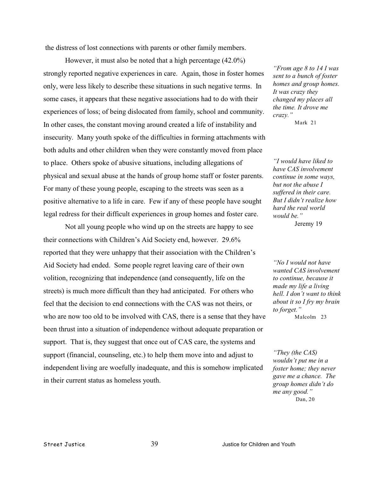the distress of lost connections with parents or other family members.

However, it must also be noted that a high percentage (42.0%) strongly reported negative experiences in care. Again, those in foster homes only, were less likely to describe these situations in such negative terms. In some cases, it appears that these negative associations had to do with their experiences of loss; of being dislocated from family, school and community. In other cases, the constant moving around created a life of instability and insecurity. Many youth spoke of the difficulties in forming attachments with both adults and other children when they were constantly moved from place to place. Others spoke of abusive situations, including allegations of physical and sexual abuse at the hands of group home staff or foster parents. For many of these young people, escaping to the streets was seen as a positive alternative to a life in care. Few if any of these people have sought legal redress for their difficult experiences in group homes and foster care.

Not all young people who wind up on the streets are happy to see their connections with Children's Aid Society end, however. 29.6% reported that they were unhappy that their association with the Children's Aid Society had ended. Some people regret leaving care of their own volition, recognizing that independence (and consequently, life on the streets) is much more difficult than they had anticipated. For others who feel that the decision to end connections with the CAS was not theirs, or who are now too old to be involved with CAS, there is a sense that they have been thrust into a situation of independence without adequate preparation or support. That is, they suggest that once out of CAS care, the systems and support (financial, counseling, etc.) to help them move into and adjust to independent living are woefully inadequate, and this is somehow implicated in their current status as homeless youth.

*"From age 8 to 14 I was sent to a bunch of foster homes and group homes. It was crazy they changed my places all the time. It drove me crazy."*

Mark 21

*"I would have liked to have CAS involvement continue in some ways, but not the abuse I suffered in their care. But I didn't realize how hard the real world would be."* Jeremy 19

*"No I would not have wanted CAS involvement to continue, because it made my life a living hell. I don't want to think about it so I fry my brain to forget."*

Malcolm 23

*"They (the CAS) wouldn't put me in a foster home; they never gave me a chance. The group homes didn't do me any good."* Dan, 20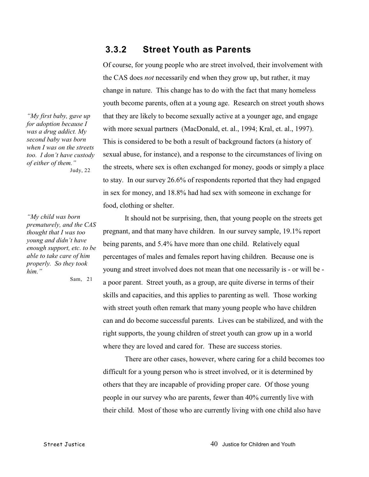### **3.3.2 Street Youth as Parents**

Of course, for young people who are street involved, their involvement with the CAS does *not* necessarily end when they grow up, but rather, it may change in nature. This change has to do with the fact that many homeless youth become parents, often at a young age. Research on street youth shows that they are likely to become sexually active at a younger age, and engage with more sexual partners (MacDonald, et. al., 1994; Kral, et. al., 1997). This is considered to be both a result of background factors (a history of sexual abuse, for instance), and a response to the circumstances of living on the streets, where sex is often exchanged for money, goods or simply a place to stay. In our survey 26.6% of respondents reported that they had engaged in sex for money, and 18.8% had had sex with someone in exchange for food, clothing or shelter.

*"My first baby, gave up for adoption because I was a drug addict. My second baby was born when I was on the streets too. I don't have custody of either of them."* Judy, 22

*"My child was born prematurely, and the CAS thought that I was too young and didn't have enough support, etc. to be able to take care of him properly. So they took him."*

Sam, 21

It should not be surprising, then, that young people on the streets get pregnant, and that many have children. In our survey sample, 19.1% report being parents, and 5.4% have more than one child. Relatively equal percentages of males and females report having children. Because one is young and street involved does not mean that one necessarily is - or will be a poor parent. Street youth, as a group, are quite diverse in terms of their skills and capacities, and this applies to parenting as well. Those working with street youth often remark that many young people who have children can and do become successful parents. Lives can be stabilized, and with the right supports, the young children of street youth can grow up in a world where they are loved and cared for. These are success stories.

There are other cases, however, where caring for a child becomes too difficult for a young person who is street involved, or it is determined by others that they are incapable of providing proper care. Of those young people in our survey who are parents, fewer than 40% currently live with their child. Most of those who are currently living with one child also have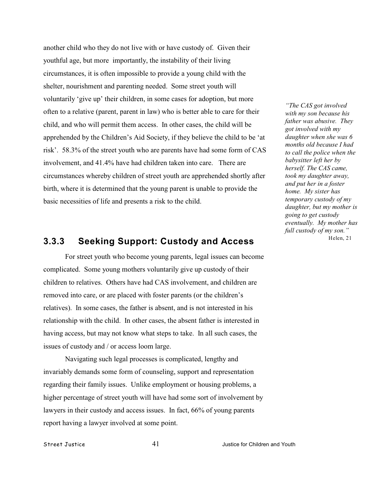another child who they do not live with or have custody of. Given their youthful age, but more importantly, the instability of their living circumstances, it is often impossible to provide a young child with the shelter, nourishment and parenting needed. Some street youth will voluntarily 'give up' their children, in some cases for adoption, but more often to a relative (parent, parent in law) who is better able to care for their child, and who will permit them access. In other cases, the child will be apprehended by the Children's Aid Society, if they believe the child to be 'at risk'. 58.3% of the street youth who are parents have had some form of CAS involvement, and 41.4% have had children taken into care. There are circumstances whereby children of street youth are apprehended shortly after birth, where it is determined that the young parent is unable to provide the basic necessities of life and presents a risk to the child.

### **3.3.3 Seeking Support: Custody and Access**

For street youth who become young parents, legal issues can become complicated. Some young mothers voluntarily give up custody of their children to relatives. Others have had CAS involvement, and children are removed into care, or are placed with foster parents (or the children's relatives). In some cases, the father is absent, and is not interested in his relationship with the child. In other cases, the absent father is interested in having access, but may not know what steps to take. In all such cases, the issues of custody and / or access loom large.

Navigating such legal processes is complicated, lengthy and invariably demands some form of counseling, support and representation regarding their family issues. Unlike employment or housing problems, a higher percentage of street youth will have had some sort of involvement by lawyers in their custody and access issues. In fact, 66% of young parents report having a lawyer involved at some point.

*"The CAS got involved with my son because his father was abusive. They got involved with my daughter when she was 6 months old because I had to call the police when the babysitter left her by herself. The CAS came, took my daughter away, and put her in a foster home. My sister has temporary custody of my daughter, but my mother is going to get custody eventually. My mother has full custody of my son."* Helen, 21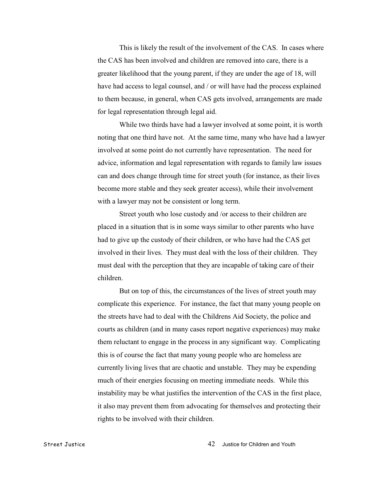This is likely the result of the involvement of the CAS. In cases where the CAS has been involved and children are removed into care, there is a greater likelihood that the young parent, if they are under the age of 18, will have had access to legal counsel, and / or will have had the process explained to them because, in general, when CAS gets involved, arrangements are made for legal representation through legal aid.

While two thirds have had a lawyer involved at some point, it is worth noting that one third have not. At the same time, many who have had a lawyer involved at some point do not currently have representation. The need for advice, information and legal representation with regards to family law issues can and does change through time for street youth (for instance, as their lives become more stable and they seek greater access), while their involvement with a lawyer may not be consistent or long term.

Street youth who lose custody and /or access to their children are placed in a situation that is in some ways similar to other parents who have had to give up the custody of their children, or who have had the CAS get involved in their lives. They must deal with the loss of their children. They must deal with the perception that they are incapable of taking care of their children.

But on top of this, the circumstances of the lives of street youth may complicate this experience. For instance, the fact that many young people on the streets have had to deal with the Childrens Aid Society, the police and courts as children (and in many cases report negative experiences) may make them reluctant to engage in the process in any significant way. Complicating this is of course the fact that many young people who are homeless are currently living lives that are chaotic and unstable. They may be expending much of their energies focusing on meeting immediate needs. While this instability may be what justifies the intervention of the CAS in the first place, it also may prevent them from advocating for themselves and protecting their rights to be involved with their children.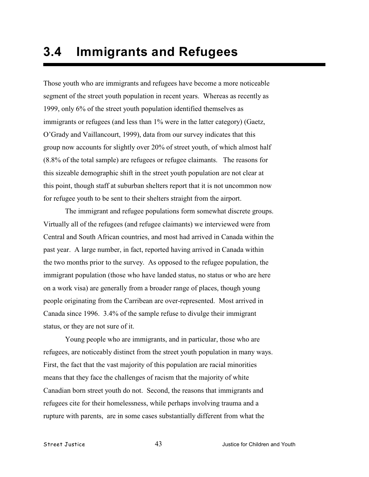Those youth who are immigrants and refugees have become a more noticeable segment of the street youth population in recent years. Whereas as recently as 1999, only 6% of the street youth population identified themselves as immigrants or refugees (and less than 1% were in the latter category) (Gaetz, O'Grady and Vaillancourt, 1999), data from our survey indicates that this group now accounts for slightly over 20% of street youth, of which almost half (8.8% of the total sample) are refugees or refugee claimants. The reasons for this sizeable demographic shift in the street youth population are not clear at this point, though staff at suburban shelters report that it is not uncommon now for refugee youth to be sent to their shelters straight from the airport.

The immigrant and refugee populations form somewhat discrete groups. Virtually all of the refugees (and refugee claimants) we interviewed were from Central and South African countries, and most had arrived in Canada within the past year. A large number, in fact, reported having arrived in Canada within the two months prior to the survey. As opposed to the refugee population, the immigrant population (those who have landed status, no status or who are here on a work visa) are generally from a broader range of places, though young people originating from the Carribean are over-represented. Most arrived in Canada since 1996. 3.4% of the sample refuse to divulge their immigrant status, or they are not sure of it.

Young people who are immigrants, and in particular, those who are refugees, are noticeably distinct from the street youth population in many ways. First, the fact that the vast majority of this population are racial minorities means that they face the challenges of racism that the majority of white Canadian born street youth do not. Second, the reasons that immigrants and refugees cite for their homelessness, while perhaps involving trauma and a rupture with parents, are in some cases substantially different from what the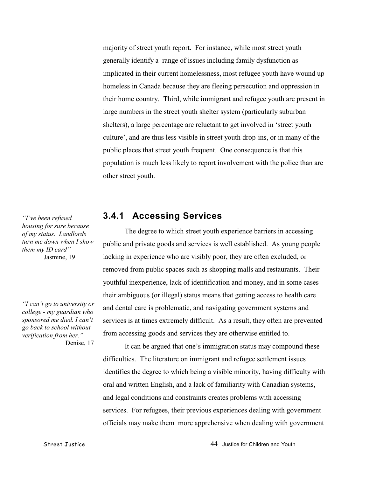majority of street youth report. For instance, while most street youth generally identify a range of issues including family dysfunction as implicated in their current homelessness, most refugee youth have wound up homeless in Canada because they are fleeing persecution and oppression in their home country. Third, while immigrant and refugee youth are present in large numbers in the street youth shelter system (particularly suburban shelters), a large percentage are reluctant to get involved in 'street youth culture', and are thus less visible in street youth drop-ins, or in many of the public places that street youth frequent. One consequence is that this population is much less likely to report involvement with the police than are other street youth.

### **3.4.1 Accessing Services**

The degree to which street youth experience barriers in accessing public and private goods and services is well established. As young people lacking in experience who are visibly poor, they are often excluded, or removed from public spaces such as shopping malls and restaurants. Their youthful inexperience, lack of identification and money, and in some cases their ambiguous (or illegal) status means that getting access to health care and dental care is problematic, and navigating government systems and services is at times extremely difficult. As a result, they often are prevented from accessing goods and services they are otherwise entitled to.

It can be argued that one's immigration status may compound these difficulties. The literature on immigrant and refugee settlement issues identifies the degree to which being a visible minority, having difficulty with oral and written English, and a lack of familiarity with Canadian systems, and legal conditions and constraints creates problems with accessing services. For refugees, their previous experiences dealing with government officials may make them more apprehensive when dealing with government

*"I've been refused housing for sure because of my status. Landlords turn me down when I show them my ID card"* Jasmine, 19

*"I can't go to university or college - my guardian who sponsored me died. I can't go back to school without verification from her."* Denise, 17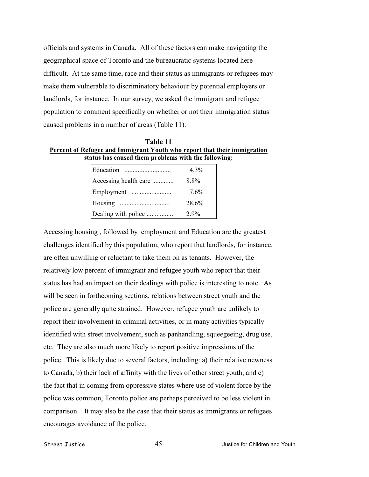officials and systems in Canada. All of these factors can make navigating the geographical space of Toronto and the bureaucratic systems located here difficult. At the same time, race and their status as immigrants or refugees may make them vulnerable to discriminatory behaviour by potential employers or landlords, for instance. In our survey, we asked the immigrant and refugee population to comment specifically on whether or not their immigration status caused problems in a number of areas (Table 11).

**Table 11 Percent of Refugee and Immigrant Youth who report that their immigration status has caused them problems with the following:**

| Education             | $14.3\%$ |
|-----------------------|----------|
| Accessing health care | 8.8%     |
|                       | 17.6%    |
|                       | 28.6%    |
| Dealing with police   | $2.9\%$  |

Accessing housing , followed by employment and Education are the greatest challenges identified by this population, who report that landlords, for instance, are often unwilling or reluctant to take them on as tenants. However, the relatively low percent of immigrant and refugee youth who report that their status has had an impact on their dealings with police is interesting to note. As will be seen in forthcoming sections, relations between street youth and the police are generally quite strained. However, refugee youth are unlikely to report their involvement in criminal activities, or in many activities typically identified with street involvement, such as panhandling, squeegeeing, drug use, etc. They are also much more likely to report positive impressions of the police. This is likely due to several factors, including: a) their relative newness to Canada, b) their lack of affinity with the lives of other street youth, and c) the fact that in coming from oppressive states where use of violent force by the police was common, Toronto police are perhaps perceived to be less violent in comparison. It may also be the case that their status as immigrants or refugees encourages avoidance of the police.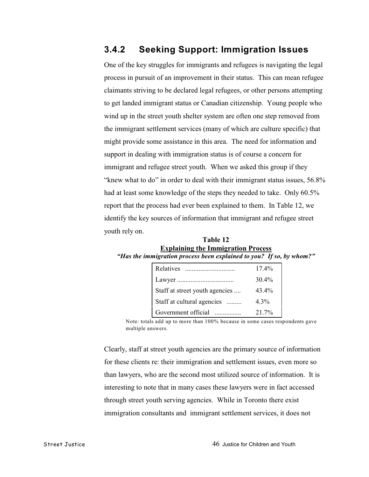# **3.4.2 Seeking Support: Immigration Issues**

One of the key struggles for immigrants and refugees is navigating the legal process in pursuit of an improvement in their status. This can mean refugee claimants striving to be declared legal refugees, or other persons attempting to get landed immigrant status or Canadian citizenship. Young people who wind up in the street youth shelter system are often one step removed from the immigrant settlement services (many of which are culture specific) that might provide some assistance in this area. The need for information and support in dealing with immigration status is of course a concern for immigrant and refugee street youth. When we asked this group if they "knew what to do" in order to deal with their immigrant status issues, 56.8% had at least some knowledge of the steps they needed to take. Only 60.5% report that the process had ever been explained to them. In Table 12, we identify the key sources of information that immigrant and refugee street youth rely on.

| Table 12                                                             |
|----------------------------------------------------------------------|
| <b>Explaining the Immigration Process</b>                            |
| "Has the immigration process been explained to you? If so, by whom?" |

| Relatives                      | $17.4\%$ |
|--------------------------------|----------|
|                                | 30.4%    |
| Staff at street youth agencies | 43.4%    |
| Staff at cultural agencies     | $4.3\%$  |
| Government official            | 21.7%    |

 Note: totals add up to more than 100% because in some cases respondents gave multiple answers.

Clearly, staff at street youth agencies are the primary source of information for these clients re: their immigration and settlement issues, even more so than lawyers, who are the second most utilized source of information. It is interesting to note that in many cases these lawyers were in fact accessed through street youth serving agencies. While in Toronto there exist immigration consultants and immigrant settlement services, it does not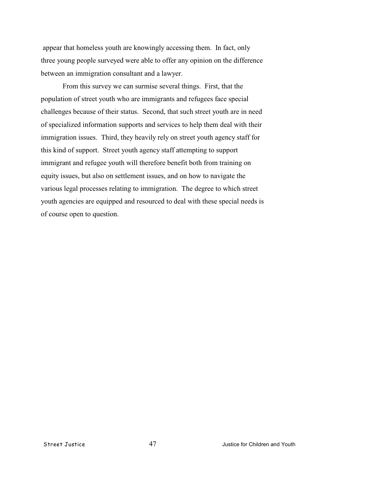appear that homeless youth are knowingly accessing them. In fact, only three young people surveyed were able to offer any opinion on the difference between an immigration consultant and a lawyer.

From this survey we can surmise several things. First, that the population of street youth who are immigrants and refugees face special challenges because of their status. Second, that such street youth are in need of specialized information supports and services to help them deal with their immigration issues. Third, they heavily rely on street youth agency staff for this kind of support. Street youth agency staff attempting to support immigrant and refugee youth will therefore benefit both from training on equity issues, but also on settlement issues, and on how to navigate the various legal processes relating to immigration. The degree to which street youth agencies are equipped and resourced to deal with these special needs is of course open to question.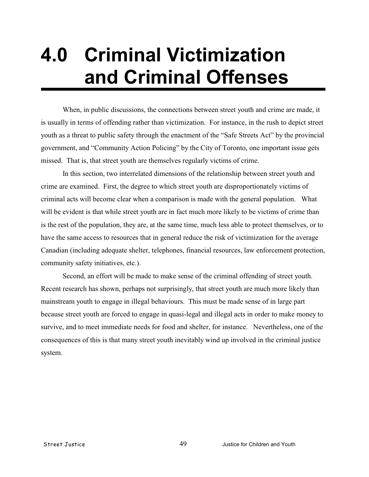# **4.0 Criminal Victimization and Criminal Offenses**

When, in public discussions, the connections between street youth and crime are made, it is usually in terms of offending rather than victimization. For instance, in the rush to depict street youth as a threat to public safety through the enactment of the "Safe Streets Act" by the provincial government, and "Community Action Policing" by the City of Toronto, one important issue gets missed. That is, that street youth are themselves regularly victims of crime.

In this section, two interrelated dimensions of the relationship between street youth and crime are examined. First, the degree to which street youth are disproportionately victims of criminal acts will become clear when a comparison is made with the general population. What will be evident is that while street youth are in fact much more likely to be victims of crime than is the rest of the population, they are, at the same time, much less able to protect themselves, or to have the same access to resources that in general reduce the risk of victimization for the average Canadian (including adequate shelter, telephones, financial resources, law enforcement protection, community safety initiatives, etc.).

Second, an effort will be made to make sense of the criminal offending of street youth. Recent research has shown, perhaps not surprisingly, that street youth are much more likely than mainstream youth to engage in illegal behaviours. This must be made sense of in large part because street youth are forced to engage in quasi-legal and illegal acts in order to make money to survive, and to meet immediate needs for food and shelter, for instance. Nevertheless, one of the consequences of this is that many street youth inevitably wind up involved in the criminal justice system.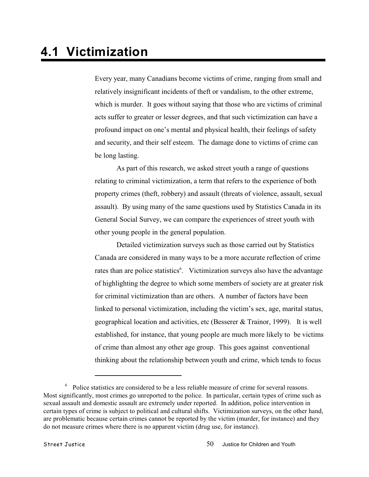Every year, many Canadians become victims of crime, ranging from small and relatively insignificant incidents of theft or vandalism, to the other extreme, which is murder. It goes without saying that those who are victims of criminal acts suffer to greater or lesser degrees, and that such victimization can have a profound impact on one's mental and physical health, their feelings of safety and security, and their self esteem. The damage done to victims of crime can be long lasting.

As part of this research, we asked street youth a range of questions relating to criminal victimization, a term that refers to the experience of both property crimes (theft, robbery) and assault (threats of violence, assault, sexual assault). By using many of the same questions used by Statistics Canada in its General Social Survey, we can compare the experiences of street youth with other young people in the general population.

Detailed victimization surveys such as those carried out by Statistics Canada are considered in many ways to be a more accurate reflection of crime rates than are police statistics<sup>6</sup>. Victimization surveys also have the advantage of highlighting the degree to which some members of society are at greater risk for criminal victimization than are others. A number of factors have been linked to personal victimization, including the victim's sex, age, marital status, geographical location and activities, etc (Besserer & Trainor, 1999). It is well established, for instance, that young people are much more likely to be victims of crime than almost any other age group. This goes against conventional thinking about the relationship between youth and crime, which tends to focus

 $6\degree$  Police statistics are considered to be a less reliable measure of crime for several reasons. Most significantly, most crimes go unreported to the police. In particular, certain types of crime such as sexual assault and domestic assault are extremely under reported. In addition, police intervention in certain types of crime is subject to political and cultural shifts. Victimization surveys, on the other hand, are problematic because certain crimes cannot be reported by the victim (murder, for instance) and they do not measure crimes where there is no apparent victim (drug use, for instance).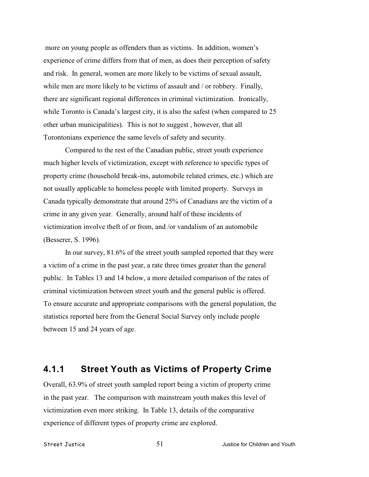more on young people as offenders than as victims. In addition, women's experience of crime differs from that of men, as does their perception of safety and risk. In general, women are more likely to be victims of sexual assault, while men are more likely to be victims of assault and / or robbery. Finally, there are significant regional differences in criminal victimization. Ironically, while Toronto is Canada's largest city, it is also the safest (when compared to 25 other urban municipalities). This is not to suggest , however, that all Torontonians experience the same levels of safety and security.

Compared to the rest of the Canadian public, street youth experience much higher levels of victimization, except with reference to specific types of property crime (household break-ins, automobile related crimes, etc.) which are not usually applicable to homeless people with limited property. Surveys in Canada typically demonstrate that around 25% of Canadians are the victim of a crime in any given year. Generally, around half of these incidents of victimization involve theft of or from, and /or vandalism of an automobile (Besserer, S. 1996).

In our survey, 81.6% of the street youth sampled reported that they were a victim of a crime in the past year, a rate three times greater than the general public. In Tables 13 and 14 below, a more detailed comparison of the rates of criminal victimization between street youth and the general public is offered. To ensure accurate and appropriate comparisons with the general population, the statistics reported here from the General Social Survey only include people between 15 and 24 years of age.

### **4.1.1 Street Youth as Victims of Property Crime**

Overall, 63.9% of street youth sampled report being a victim of property crime in the past year. The comparison with mainstream youth makes this level of victimization even more striking. In Table 13, details of the comparative experience of different types of property crime are explored.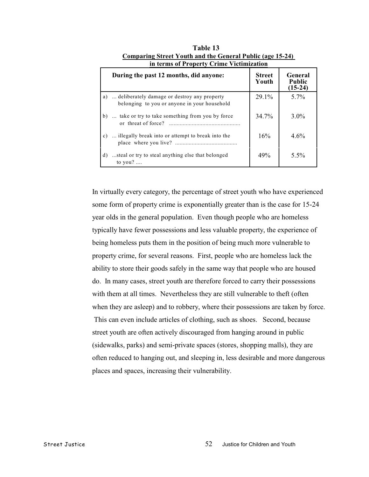| During the past 12 months, did anyone:                                                          | <b>Street</b><br>Youth | General<br><b>Public</b><br>$(15-24)$ |
|-------------------------------------------------------------------------------------------------|------------------------|---------------------------------------|
| a)  deliberately damage or destroy any property<br>belonging to you or anyone in your household | $29.1\%$               | $5.7\%$                               |
| b)  take or try to take something from you by force                                             | 34.7%                  | $3.0\%$                               |
| c)  illegally break into or attempt to break into the                                           | 16%                    | $4.6\%$                               |
| steal or try to steal anything else that belonged<br>d)<br>to $you?$                            | 49%                    | $5.5\%$                               |

**Table 13 Comparing Street Youth and the General Public (age 15-24) in terms of Property Crime Victimization**

In virtually every category, the percentage of street youth who have experienced some form of property crime is exponentially greater than is the case for 15-24 year olds in the general population. Even though people who are homeless typically have fewer possessions and less valuable property, the experience of being homeless puts them in the position of being much more vulnerable to property crime, for several reasons. First, people who are homeless lack the ability to store their goods safely in the same way that people who are housed do. In many cases, street youth are therefore forced to carry their possessions with them at all times. Nevertheless they are still vulnerable to theft (often when they are asleep) and to robbery, where their possessions are taken by force. This can even include articles of clothing, such as shoes. Second, because street youth are often actively discouraged from hanging around in public (sidewalks, parks) and semi-private spaces (stores, shopping malls), they are often reduced to hanging out, and sleeping in, less desirable and more dangerous places and spaces, increasing their vulnerability.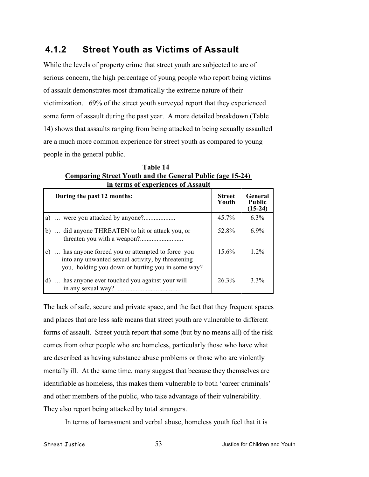# **4.1.2 Street Youth as Victims of Assault**

While the levels of property crime that street youth are subjected to are of serious concern, the high percentage of young people who report being victims of assault demonstrates most dramatically the extreme nature of their victimization. 69% of the street youth surveyed report that they experienced some form of assault during the past year. A more detailed breakdown (Table 14) shows that assaults ranging from being attacked to being sexually assaulted are a much more common experience for street youth as compared to young people in the general public.

| III terms of experiences of Assaure |                                                                                                                                                           |                        |                                       |  |
|-------------------------------------|-----------------------------------------------------------------------------------------------------------------------------------------------------------|------------------------|---------------------------------------|--|
|                                     | During the past 12 months:                                                                                                                                | <b>Street</b><br>Youth | General<br><b>Public</b><br>$(15-24)$ |  |
|                                     |                                                                                                                                                           | $45.7\%$               | $6.3\%$                               |  |
| b)                                  | did anyone THREATEN to hit or attack you, or                                                                                                              | 52.8%                  | $6.9\%$                               |  |
| c)                                  | has anyone forced you or attempted to force you<br>into any unwanted sexual activity, by threatening<br>you, holding you down or hurting you in some way? | $15.6\%$               | 1.2%                                  |  |
| d)                                  | has anyone ever touched you against your will<br>in any sexual way?<br>                                                                                   | 26.3%                  | $3.3\%$                               |  |

**Table 14 Comparing Street Youth and the General Public (age 15-24)**  in terms of experiences of Assault

The lack of safe, secure and private space, and the fact that they frequent spaces and places that are less safe means that street youth are vulnerable to different forms of assault. Street youth report that some (but by no means all) of the risk comes from other people who are homeless, particularly those who have what are described as having substance abuse problems or those who are violently mentally ill. At the same time, many suggest that because they themselves are identifiable as homeless, this makes them vulnerable to both 'career criminals' and other members of the public, who take advantage of their vulnerability. They also report being attacked by total strangers.

In terms of harassment and verbal abuse, homeless youth feel that it is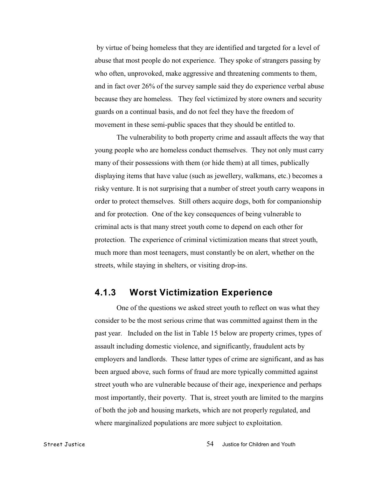by virtue of being homeless that they are identified and targeted for a level of abuse that most people do not experience. They spoke of strangers passing by who often, unprovoked, make aggressive and threatening comments to them, and in fact over 26% of the survey sample said they do experience verbal abuse because they are homeless. They feel victimized by store owners and security guards on a continual basis, and do not feel they have the freedom of movement in these semi-public spaces that they should be entitled to.

The vulnerability to both property crime and assault affects the way that young people who are homeless conduct themselves. They not only must carry many of their possessions with them (or hide them) at all times, publically displaying items that have value (such as jewellery, walkmans, etc.) becomes a risky venture. It is not surprising that a number of street youth carry weapons in order to protect themselves. Still others acquire dogs, both for companionship and for protection. One of the key consequences of being vulnerable to criminal acts is that many street youth come to depend on each other for protection. The experience of criminal victimization means that street youth, much more than most teenagers, must constantly be on alert, whether on the streets, while staying in shelters, or visiting drop-ins.

### **4.1.3 Worst Victimization Experience**

One of the questions we asked street youth to reflect on was what they consider to be the most serious crime that was committed against them in the past year. Included on the list in Table 15 below are property crimes, types of assault including domestic violence, and significantly, fraudulent acts by employers and landlords. These latter types of crime are significant, and as has been argued above, such forms of fraud are more typically committed against street youth who are vulnerable because of their age, inexperience and perhaps most importantly, their poverty. That is, street youth are limited to the margins of both the job and housing markets, which are not properly regulated, and where marginalized populations are more subject to exploitation.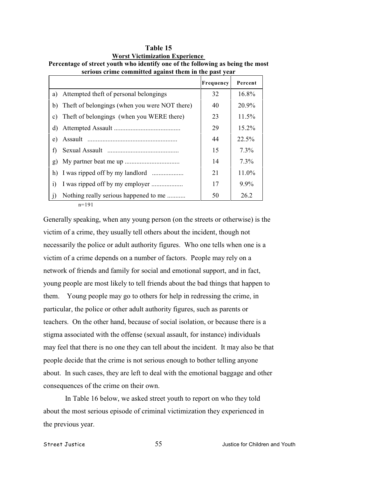|                |                                               | Frequency | Percent |
|----------------|-----------------------------------------------|-----------|---------|
|                | a) Attempted theft of personal belongings     | 32        | 16.8%   |
| b)             | Theft of belongings (when you were NOT there) | 40        | 20.9%   |
| $\mathbf{c}$ ) | Theft of belongings (when you WERE there)     | 23        | 11.5%   |
| d)             |                                               | 29        | 15.2%   |
| e)             |                                               | 44        | 22.5%   |
| f)             |                                               | 15        | $7.3\%$ |
| $\mathbf{g}$   |                                               | 14        | $7.3\%$ |
|                |                                               | 21        | 11.0%   |
| $\ddot{1}$     |                                               | 17        | $9.9\%$ |
| j)             | Nothing really serious happened to me         | 50        | 26.2    |

| 1 avit 19                                                                      |
|--------------------------------------------------------------------------------|
| <b>Worst Victimization Experience</b>                                          |
| Percentage of street youth who identify one of the following as being the most |
| serious crime committed against them in the nast year                          |

**Table 15**

n=191

Generally speaking, when any young person (on the streets or otherwise) is the victim of a crime, they usually tell others about the incident, though not necessarily the police or adult authority figures. Who one tells when one is a victim of a crime depends on a number of factors. People may rely on a network of friends and family for social and emotional support, and in fact, young people are most likely to tell friends about the bad things that happen to them. Young people may go to others for help in redressing the crime, in particular, the police or other adult authority figures, such as parents or teachers. On the other hand, because of social isolation, or because there is a stigma associated with the offense (sexual assault, for instance) individuals may feel that there is no one they can tell about the incident. It may also be that people decide that the crime is not serious enough to bother telling anyone about. In such cases, they are left to deal with the emotional baggage and other consequences of the crime on their own.

In Table 16 below, we asked street youth to report on who they told about the most serious episode of criminal victimization they experienced in the previous year.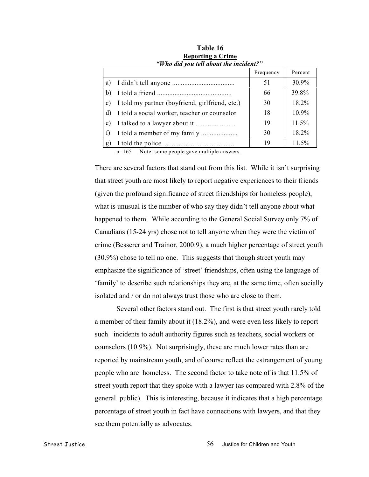|                 |                                                 | Frequency | Percent  |
|-----------------|-------------------------------------------------|-----------|----------|
| a)              |                                                 | 51        | $30.9\%$ |
| b)              |                                                 | 66        | 39.8%    |
| $\mathcal{C}$ ) | I told my partner (boyfriend, girlfriend, etc.) | 30        | $18.2\%$ |
|                 | I told a social worker, teacher or counselor    | 18        | $10.9\%$ |
| e)              |                                                 | 19        | 11.5%    |
|                 |                                                 | 30        | 18.2%    |
| g               |                                                 | 19        | 11.5%    |

**Table 16 Reporting a Crime** *"Who did you tell about the incident?"*

n=165 Note: some people gave multiple answers.

There are several factors that stand out from this list. While it isn't surprising that street youth are most likely to report negative experiences to their friends (given the profound significance of street friendships for homeless people), what is unusual is the number of who say they didn't tell anyone about what happened to them. While according to the General Social Survey only 7% of Canadians (15-24 yrs) chose not to tell anyone when they were the victim of crime (Besserer and Trainor, 2000:9), a much higher percentage of street youth (30.9%) chose to tell no one. This suggests that though street youth may emphasize the significance of 'street' friendships, often using the language of 'family' to describe such relationships they are, at the same time, often socially isolated and / or do not always trust those who are close to them.

Several other factors stand out. The first is that street youth rarely told a member of their family about it (18.2%), and were even less likely to report such incidents to adult authority figures such as teachers, social workers or counselors (10.9%). Not surprisingly, these are much lower rates than are reported by mainstream youth, and of course reflect the estrangement of young people who are homeless. The second factor to take note of is that 11.5% of street youth report that they spoke with a lawyer (as compared with 2.8% of the general public). This is interesting, because it indicates that a high percentage percentage of street youth in fact have connections with lawyers, and that they see them potentially as advocates.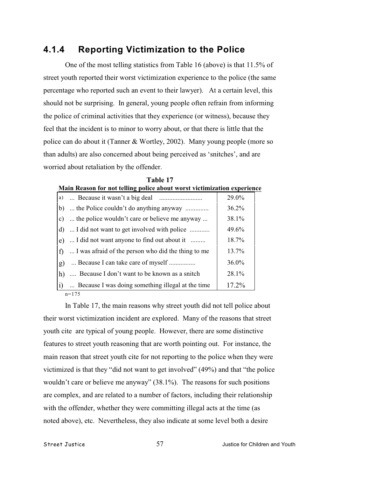# **4.1.4 Reporting Victimization to the Police**

One of the most telling statistics from Table 16 (above) is that 11.5% of street youth reported their worst victimization experience to the police (the same percentage who reported such an event to their lawyer). At a certain level, this should not be surprising. In general, young people often refrain from informing the police of criminal activities that they experience (or witness), because they feel that the incident is to minor to worry about, or that there is little that the police can do about it (Tanner & Wortley, 2002). Many young people (more so than adults) are also concerned about being perceived as 'snitches', and are worried about retaliation by the offender.

| Main Reason for not telling police about worst victimization experience |                                                     |          |  |  |  |
|-------------------------------------------------------------------------|-----------------------------------------------------|----------|--|--|--|
| a)                                                                      |                                                     | 29.0%    |  |  |  |
| b)                                                                      |                                                     | 36.2%    |  |  |  |
| $\mathbf{c}$ )                                                          | the police wouldn't care or believe me anyway       | 38.1%    |  |  |  |
| d)                                                                      | I did not want to get involved with police          | 49.6%    |  |  |  |
| e)                                                                      | I did not want anyone to find out about it          | 18.7%    |  |  |  |
| f                                                                       | I was afraid of the person who did the thing to me. | 13.7%    |  |  |  |
| $\mathbf{g}$                                                            | Because I can take care of myself                   | $36.0\%$ |  |  |  |
| h)                                                                      | Because I don't want to be known as a snitch        | 28.1%    |  |  |  |
|                                                                         | Because I was doing something illegal at the time   | 17.2%    |  |  |  |
| $n = 175$                                                               |                                                     |          |  |  |  |

**Table 17**

In Table 17, the main reasons why street youth did not tell police about their worst victimization incident are explored. Many of the reasons that street youth cite are typical of young people. However, there are some distinctive features to street youth reasoning that are worth pointing out. For instance, the main reason that street youth cite for not reporting to the police when they were victimized is that they "did not want to get involved" (49%) and that "the police wouldn't care or believe me anyway" (38.1%). The reasons for such positions are complex, and are related to a number of factors, including their relationship with the offender, whether they were committing illegal acts at the time (as noted above), etc. Nevertheless, they also indicate at some level both a desire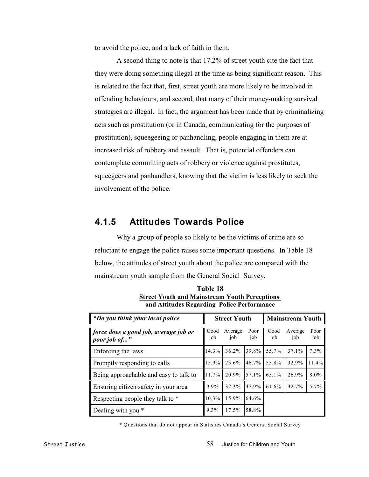to avoid the police, and a lack of faith in them.

A second thing to note is that 17.2% of street youth cite the fact that they were doing something illegal at the time as being significant reason. This is related to the fact that, first, street youth are more likely to be involved in offending behaviours, and second, that many of their money-making survival strategies are illegal. In fact, the argument has been made that by criminalizing acts such as prostitution (or in Canada, communicating for the purposes of prostitution), squeegeeing or panhandling, people engaging in them are at increased risk of robbery and assault. That is, potential offenders can contemplate committing acts of robbery or violence against prostitutes, squeegeers and panhandlers, knowing that the victim is less likely to seek the involvement of the police.

### **4.1.5 Attitudes Towards Police**

Why a group of people so likely to be the victims of crime are so reluctant to engage the police raises some important questions. In Table 18 below, the attitudes of street youth about the police are compared with the mainstream youth sample from the General Social Survey.

| "Do you think your local police"                      |             | <b>Street Youth</b> |             |             | <b>Mainstream Youth</b> |             |  |
|-------------------------------------------------------|-------------|---------------------|-------------|-------------|-------------------------|-------------|--|
| force does a good job, average job or<br>poor job of" | Good<br>job | Average<br>job      | Poor<br>job | Good<br>job | Average<br>job          | Poor<br>job |  |
| Enforcing the laws                                    | 14.3%       | $36.2\%$            | 39.8%       | 55.7%       | 37.1%                   | $7.3\%$     |  |
| Promptly responding to calls                          | 15.9%       | 25.6%               | 46.7%       | 55.8%       | 32.9%                   | 11.4%       |  |
| Being approachable and easy to talk to                | 11.7%       | 20.9%               | 57.1%       | 65.1%       | 26.9%                   | 8.0%        |  |
| Ensuring citizen safety in your area                  | 9.9%        | 32.3%               | 47.9%       | 61.6%       | 32.7%                   | 5.7%        |  |
| Respecting people they talk to *                      | $10.3\%$    | 15.9%               | 64.6%       |             |                         |             |  |
| Dealing with you *                                    | $9.3\%$     | $17.5\%$            | 58.8%       |             |                         |             |  |

**Table 18 Street Youth and Mainstream Youth Perceptions and Attitudes Regarding Police Performance**

\* Questions that do not appear in Statistics Canada's General Social Survey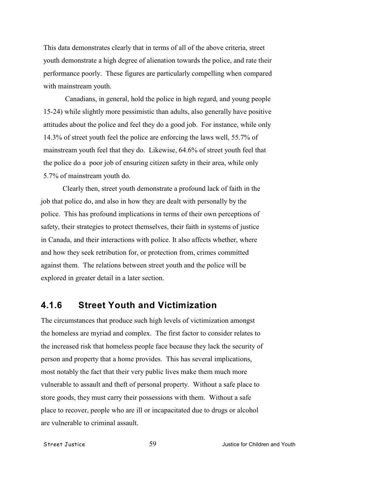This data demonstrates clearly that in terms of all of the above criteria, street youth demonstrate a high degree of alienation towards the police, and rate their performance poorly. These figures are particularly compelling when compared with mainstream youth.

Canadians, in general, hold the police in high regard, and young people 15-24) while slightly more pessimistic than adults, also generally have positive attitudes about the police and feel they do a good job. For instance, while only 14.3% of street youth feel the police are enforcing the laws well, 55.7% of mainstream youth feel that they do. Likewise, 64.6% of street youth feel that the police do a poor job of ensuring citizen safety in their area, while only 5.7% of mainstream youth do.

Clearly then, street youth demonstrate a profound lack of faith in the job that police do, and also in how they are dealt with personally by the police. This has profound implications in terms of their own perceptions of safety, their strategies to protect themselves, their faith in systems of justice in Canada, and their interactions with police. It also affects whether, where and how they seek retribution for, or protection from, crimes committed against them. The relations between street youth and the police will be explored in greater detail in a later section.

# **4.1.6 Street Youth and Victimization**

The circumstances that produce such high levels of victimization amongst the homeless are myriad and complex. The first factor to consider relates to the increased risk that homeless people face because they lack the security of person and property that a home provides. This has several implications, most notably the fact that their very public lives make them much more vulnerable to assault and theft of personal property. Without a safe place to store goods, they must carry their possessions with them. Without a safe place to recover, people who are ill or incapacitated due to drugs or alcohol are vulnerable to criminal assault.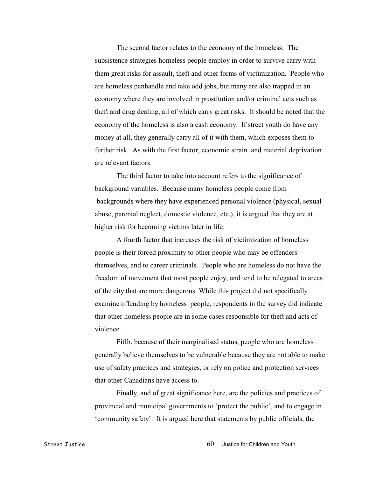The second factor relates to the economy of the homeless. The subsistence strategies homeless people employ in order to survive carry with them great risks for assault, theft and other forms of victimization. People who are homeless panhandle and take odd jobs, but many are also trapped in an economy where they are involved in prostitution and/or criminal acts such as theft and drug dealing, all of which carry great risks. It should be noted that the economy of the homeless is also a cash economy. If street youth do have any money at all, they generally carry all of it with them, which exposes them to further risk. As with the first factor, economic strain and material deprivation are relevant factors.

The third factor to take into account refers to the significance of background variables. Because many homeless people come from backgrounds where they have experienced personal violence (physical, sexual abuse, parental neglect, domestic violence, etc.), it is argued that they are at higher risk for becoming victims later in life.

A fourth factor that increases the risk of victimization of homeless people is their forced proximity to other people who may be offenders themselves, and to career criminals. People who are homeless do not have the freedom of movement that most people enjoy, and tend to be relegated to areas of the city that are more dangerous. While this project did not specifically examine offending by homeless people, respondents in the survey did indicate that other homeless people are in some cases responsible for theft and acts of violence.

Fifth, because of their marginalised status, people who are homeless generally believe themselves to be vulnerable because they are not able to make use of safety practices and strategies, or rely on police and protection services that other Canadians have access to.

Finally, and of great significance here, are the policies and practices of provincial and municipal governments to 'protect the public', and to engage in 'community safety'. It is argued here that statements by public officials, the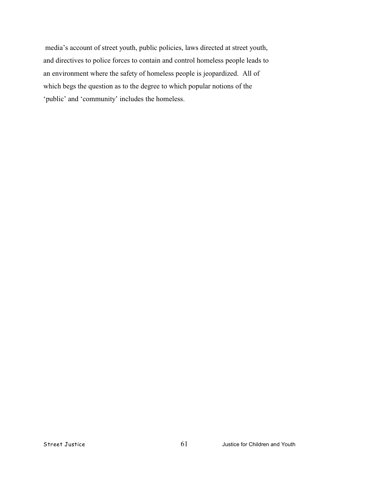media's account of street youth, public policies, laws directed at street youth, and directives to police forces to contain and control homeless people leads to an environment where the safety of homeless people is jeopardized. All of which begs the question as to the degree to which popular notions of the 'public' and 'community' includes the homeless.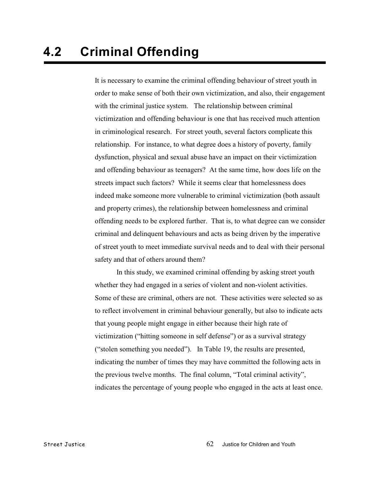It is necessary to examine the criminal offending behaviour of street youth in order to make sense of both their own victimization, and also, their engagement with the criminal justice system. The relationship between criminal victimization and offending behaviour is one that has received much attention in criminological research. For street youth, several factors complicate this relationship. For instance, to what degree does a history of poverty, family dysfunction, physical and sexual abuse have an impact on their victimization and offending behaviour as teenagers? At the same time, how does life on the streets impact such factors? While it seems clear that homelessness does indeed make someone more vulnerable to criminal victimization (both assault and property crimes), the relationship between homelessness and criminal offending needs to be explored further. That is, to what degree can we consider criminal and delinquent behaviours and acts as being driven by the imperative of street youth to meet immediate survival needs and to deal with their personal safety and that of others around them?

In this study, we examined criminal offending by asking street youth whether they had engaged in a series of violent and non-violent activities. Some of these are criminal, others are not. These activities were selected so as to reflect involvement in criminal behaviour generally, but also to indicate acts that young people might engage in either because their high rate of victimization ("hitting someone in self defense") or as a survival strategy ("stolen something you needed"). In Table 19, the results are presented, indicating the number of times they may have committed the following acts in the previous twelve months. The final column, "Total criminal activity", indicates the percentage of young people who engaged in the acts at least once.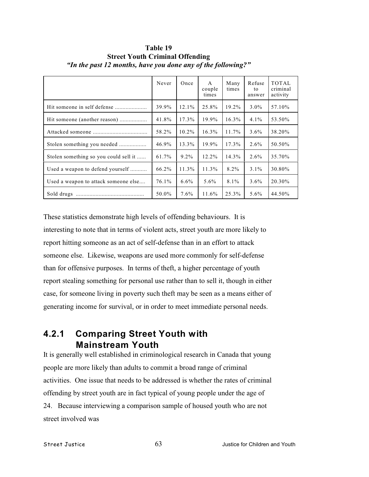|                                       | Never | Once     | $\mathsf{A}$<br>couple<br>times | Many<br>times | Refuse<br>to<br>answer | <b>TOTAL</b><br>criminal<br>activity |
|---------------------------------------|-------|----------|---------------------------------|---------------|------------------------|--------------------------------------|
| Hit someone in self defense           | 39.9% | $12.1\%$ | 25.8%                           | 19.2%         | $3.0\%$                | 57.10%                               |
| Hit someone (another reason)          | 41.8% | 17.3%    | 19.9%                           | $16.3\%$      | $4.1\%$                | 53.50%                               |
|                                       | 58.2% | $10.2\%$ | $16.3\%$                        | 11.7%         | $3.6\%$                | 38.20%                               |
| Stolen something you needed           | 46.9% | 13.3%    | 19.9%                           | 17.3%         | $2.6\%$                | 50.50%                               |
| Stolen something so you could sell it | 61.7% | $9.2\%$  | 12.2%                           | 14.3%         | $2.6\%$                | 35.70%                               |
| Used a weapon to defend yourself      | 66.2% | 11.3%    | $11.3\%$                        | 8.2%          | $3.1\%$                | 30.80%                               |
| Used a weapon to attack someone else  | 76.1% | $6.6\%$  | $5.6\%$                         | $8.1\%$       | $3.6\%$                | 20.30%                               |
| Sold drugs                            | 50.0% | $7.6\%$  | 11.6%                           | 25.3%         | $5.6\%$                | 44.50%                               |

**Table 19 Street Youth Criminal Offending** *"In the past 12 months, have you done any of the following?"*

These statistics demonstrate high levels of offending behaviours. It is interesting to note that in terms of violent acts, street youth are more likely to report hitting someone as an act of self-defense than in an effort to attack someone else. Likewise, weapons are used more commonly for self-defense than for offensive purposes. In terms of theft, a higher percentage of youth report stealing something for personal use rather than to sell it, though in either case, for someone living in poverty such theft may be seen as a means either of generating income for survival, or in order to meet immediate personal needs.

# **4.2.1 Comparing Street Youth with Mainstream Youth**

It is generally well established in criminological research in Canada that young people are more likely than adults to commit a broad range of criminal activities. One issue that needs to be addressed is whether the rates of criminal offending by street youth are in fact typical of young people under the age of 24. Because interviewing a comparison sample of housed youth who are not street involved was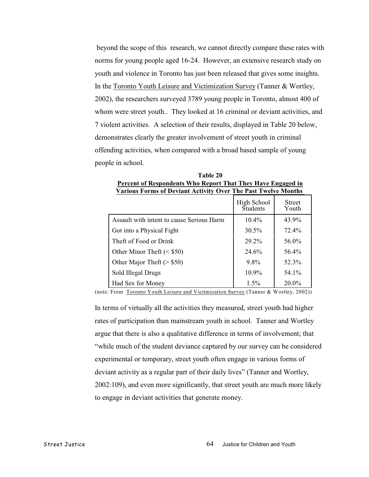beyond the scope of this research, we cannot directly compare these rates with norms for young people aged 16-24. However, an extensive research study on youth and violence in Toronto has just been released that gives some insights. In the Toronto Youth Leisure and Victimization Survey (Tanner & Wortley, 2002), the researchers surveyed 3789 young people in Toronto, almost 400 of whom were street youth.. They looked at 16 criminal or deviant activities, and 7 violent activities. A selection of their results, displayed in Table 20 below, demonstrates clearly the greater involvement of street youth in criminal offending activities, when compared with a broad based sample of young people in school.

| Percent of Respondents Who Report That They Have Engaged in<br><b>Various Forms of Deviant Activity Over The Past Twelve Months</b> |                                |                        |  |  |  |
|-------------------------------------------------------------------------------------------------------------------------------------|--------------------------------|------------------------|--|--|--|
|                                                                                                                                     | High School<br><b>Students</b> | <b>Street</b><br>Youth |  |  |  |
| Assault with intent to cause Serious Harm                                                                                           | $10.4\%$                       | 43.9%                  |  |  |  |
| Got into a Physical Fight                                                                                                           | $30.5\%$                       | 72.4%                  |  |  |  |
| Theft of Food or Drink                                                                                                              | 29.2%                          | 56.0%                  |  |  |  |
| Other Minor Theft $(<$ \$50)                                                                                                        | 24.6%                          | 56.4%                  |  |  |  |
| Other Major Theft ( $>$ \$50)                                                                                                       | $9.8\%$                        | 52.3%                  |  |  |  |
| Sold Illegal Drugs                                                                                                                  | 10.9%                          | 54.1%                  |  |  |  |
| Had Sex for Money                                                                                                                   | $1.5\%$                        | $20.0\%$               |  |  |  |

**Table 20**

(note: From Toronto Youth Leisure and Victimization Survey (Tanner & Wortley, 2002))

In terms of virtually all the activities they measured, street youth had higher rates of participation than mainstream youth in school. Tanner and Wortley argue that there is also a qualitative difference in terms of involvement; that "while much of the student deviance captured by our survey can be considered experimental or temporary, street youth often engage in various forms of deviant activity as a regular part of their daily lives" (Tanner and Wortley, 2002:109), and even more significantly, that street youth are much more likely to engage in deviant activities that generate money.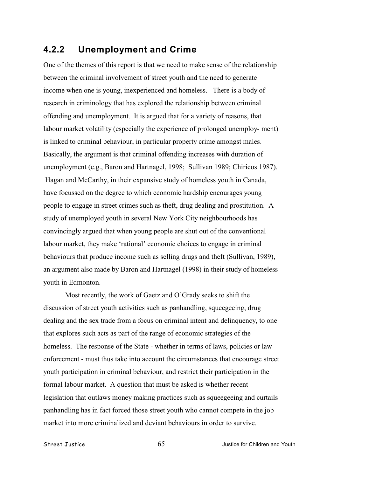# **4.2.2 Unemployment and Crime**

One of the themes of this report is that we need to make sense of the relationship between the criminal involvement of street youth and the need to generate income when one is young, inexperienced and homeless. There is a body of research in criminology that has explored the relationship between criminal offending and unemployment. It is argued that for a variety of reasons, that labour market volatility (especially the experience of prolonged unemploy- ment) is linked to criminal behaviour, in particular property crime amongst males. Basically, the argument is that criminal offending increases with duration of unemployment (e.g., Baron and Hartnagel, 1998; Sullivan 1989; Chiricos 1987). Hagan and McCarthy, in their expansive study of homeless youth in Canada, have focussed on the degree to which economic hardship encourages young people to engage in street crimes such as theft, drug dealing and prostitution. A study of unemployed youth in several New York City neighbourhoods has convincingly argued that when young people are shut out of the conventional labour market, they make 'rational' economic choices to engage in criminal behaviours that produce income such as selling drugs and theft (Sullivan, 1989), an argument also made by Baron and Hartnagel (1998) in their study of homeless youth in Edmonton.

Most recently, the work of Gaetz and O'Grady seeks to shift the discussion of street youth activities such as panhandling, squeegeeing, drug dealing and the sex trade from a focus on criminal intent and delinquency, to one that explores such acts as part of the range of economic strategies of the homeless. The response of the State - whether in terms of laws, policies or law enforcement - must thus take into account the circumstances that encourage street youth participation in criminal behaviour, and restrict their participation in the formal labour market. A question that must be asked is whether recent legislation that outlaws money making practices such as squeegeeing and curtails panhandling has in fact forced those street youth who cannot compete in the job market into more criminalized and deviant behaviours in order to survive.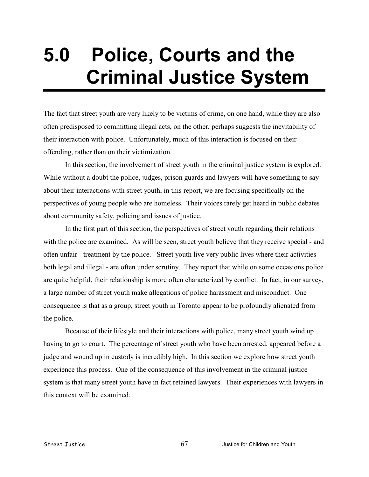# **5.0 Police, Courts and the Criminal Justice System**

The fact that street youth are very likely to be victims of crime, on one hand, while they are also often predisposed to committing illegal acts, on the other, perhaps suggests the inevitability of their interaction with police. Unfortunately, much of this interaction is focused on their offending, rather than on their victimization.

In this section, the involvement of street youth in the criminal justice system is explored. While without a doubt the police, judges, prison guards and lawyers will have something to say about their interactions with street youth, in this report, we are focusing specifically on the perspectives of young people who are homeless. Their voices rarely get heard in public debates about community safety, policing and issues of justice.

In the first part of this section, the perspectives of street youth regarding their relations with the police are examined. As will be seen, street youth believe that they receive special - and often unfair - treatment by the police. Street youth live very public lives where their activities both legal and illegal - are often under scrutiny. They report that while on some occasions police are quite helpful, their relationship is more often characterized by conflict. In fact, in our survey, a large number of street youth make allegations of police harassment and misconduct. One consequence is that as a group, street youth in Toronto appear to be profoundly alienated from the police.

Because of their lifestyle and their interactions with police, many street youth wind up having to go to court. The percentage of street youth who have been arrested, appeared before a judge and wound up in custody is incredibly high. In this section we explore how street youth experience this process. One of the consequence of this involvement in the criminal justice system is that many street youth have in fact retained lawyers. Their experiences with lawyers in this context will be examined.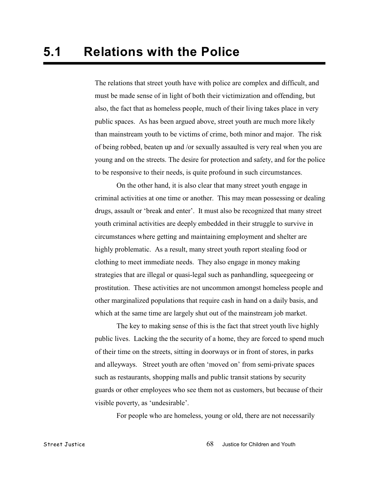The relations that street youth have with police are complex and difficult, and must be made sense of in light of both their victimization and offending, but also, the fact that as homeless people, much of their living takes place in very public spaces. As has been argued above, street youth are much more likely than mainstream youth to be victims of crime, both minor and major. The risk of being robbed, beaten up and /or sexually assaulted is very real when you are young and on the streets. The desire for protection and safety, and for the police to be responsive to their needs, is quite profound in such circumstances.

On the other hand, it is also clear that many street youth engage in criminal activities at one time or another. This may mean possessing or dealing drugs, assault or 'break and enter'. It must also be recognized that many street youth criminal activities are deeply embedded in their struggle to survive in circumstances where getting and maintaining employment and shelter are highly problematic. As a result, many street youth report stealing food or clothing to meet immediate needs. They also engage in money making strategies that are illegal or quasi-legal such as panhandling, squeegeeing or prostitution. These activities are not uncommon amongst homeless people and other marginalized populations that require cash in hand on a daily basis, and which at the same time are largely shut out of the mainstream job market.

The key to making sense of this is the fact that street youth live highly public lives. Lacking the the security of a home, they are forced to spend much of their time on the streets, sitting in doorways or in front of stores, in parks and alleyways. Street youth are often 'moved on' from semi-private spaces such as restaurants, shopping malls and public transit stations by security guards or other employees who see them not as customers, but because of their visible poverty, as 'undesirable'.

For people who are homeless, young or old, there are not necessarily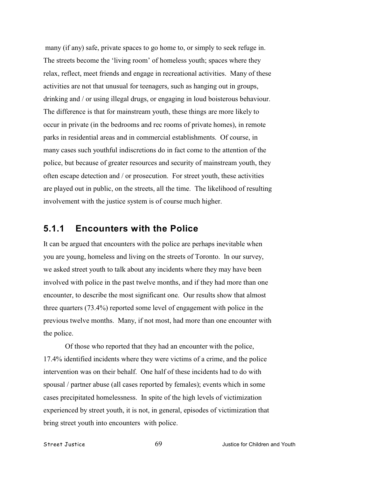many (if any) safe, private spaces to go home to, or simply to seek refuge in. The streets become the 'living room' of homeless youth; spaces where they relax, reflect, meet friends and engage in recreational activities. Many of these activities are not that unusual for teenagers, such as hanging out in groups, drinking and / or using illegal drugs, or engaging in loud boisterous behaviour. The difference is that for mainstream youth, these things are more likely to occur in private (in the bedrooms and rec rooms of private homes), in remote parks in residential areas and in commercial establishments. Of course, in many cases such youthful indiscretions do in fact come to the attention of the police, but because of greater resources and security of mainstream youth, they often escape detection and / or prosecution. For street youth, these activities are played out in public, on the streets, all the time. The likelihood of resulting involvement with the justice system is of course much higher.

#### **5.1.1 Encounters with the Police**

It can be argued that encounters with the police are perhaps inevitable when you are young, homeless and living on the streets of Toronto. In our survey, we asked street youth to talk about any incidents where they may have been involved with police in the past twelve months, and if they had more than one encounter, to describe the most significant one. Our results show that almost three quarters (73.4%) reported some level of engagement with police in the previous twelve months. Many, if not most, had more than one encounter with the police.

Of those who reported that they had an encounter with the police, 17.4% identified incidents where they were victims of a crime, and the police intervention was on their behalf. One half of these incidents had to do with spousal / partner abuse (all cases reported by females); events which in some cases precipitated homelessness. In spite of the high levels of victimization experienced by street youth, it is not, in general, episodes of victimization that bring street youth into encounters with police.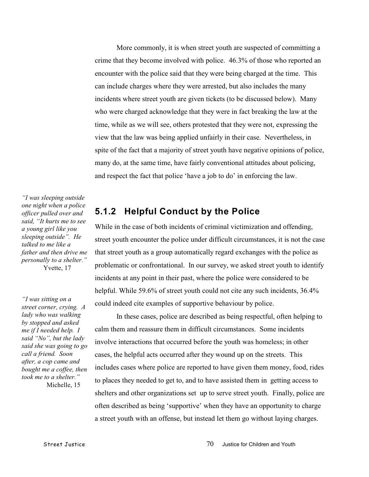More commonly, it is when street youth are suspected of committing a crime that they become involved with police. 46.3% of those who reported an encounter with the police said that they were being charged at the time. This can include charges where they were arrested, but also includes the many incidents where street youth are given tickets (to be discussed below). Many who were charged acknowledge that they were in fact breaking the law at the time, while as we will see, others protested that they were not, expressing the view that the law was being applied unfairly in their case. Nevertheless, in spite of the fact that a majority of street youth have negative opinions of police, many do, at the same time, have fairly conventional attitudes about policing, and respect the fact that police 'have a job to do' in enforcing the law.

*"I was sleeping outside one night when a police officer pulled over and said, "It hurts me to see a young girl like you sleeping outside". He talked to me like a father and then drive me personally to a shelter."* Yvette, 17

*"I was sitting on a street corner, crying. A lady who was walking by stopped and asked me if I needed help. I said "No", but the lady said she was going to go call a friend. Soon after, a cop came and bought me a coffee, then took me to a shelter."* Michelle, 15

### **5.1.2 Helpful Conduct by the Police**

While in the case of both incidents of criminal victimization and offending, street youth encounter the police under difficult circumstances, it is not the case that street youth as a group automatically regard exchanges with the police as problematic or confrontational. In our survey, we asked street youth to identify incidents at any point in their past, where the police were considered to be helpful. While 59.6% of street youth could not cite any such incidents,  $36.4\%$ could indeed cite examples of supportive behaviour by police.

In these cases, police are described as being respectful, often helping to calm them and reassure them in difficult circumstances. Some incidents involve interactions that occurred before the youth was homeless; in other cases, the helpful acts occurred after they wound up on the streets. This includes cases where police are reported to have given them money, food, rides to places they needed to get to, and to have assisted them in getting access to shelters and other organizations set up to serve street youth. Finally, police are often described as being 'supportive' when they have an opportunity to charge a street youth with an offense, but instead let them go without laying charges.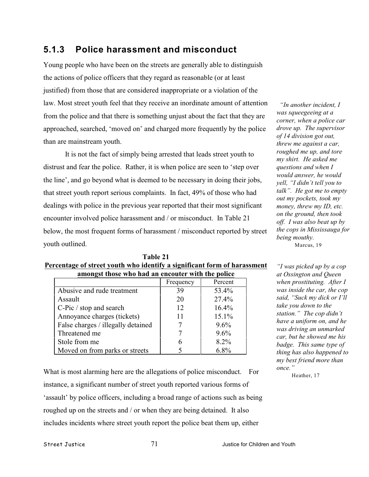# **5.1.3 Police harassment and misconduct**

Young people who have been on the streets are generally able to distinguish the actions of police officers that they regard as reasonable (or at least justified) from those that are considered inappropriate or a violation of the law. Most street youth feel that they receive an inordinate amount of attention from the police and that there is something unjust about the fact that they are approached, searched, 'moved on' and charged more frequently by the police than are mainstream youth.

It is not the fact of simply being arrested that leads street youth to distrust and fear the police. Rather, it is when police are seen to 'step over the line', and go beyond what is deemed to be necessary in doing their jobs, that street youth report serious complaints. In fact, 49% of those who had dealings with police in the previous year reported that their most significant encounter involved police harassment and / or misconduct. In Table 21 below, the most frequent forms of harassment / misconduct reported by street youth outlined.

**Table 21 Percentage of street youth who identify a significant form of harassment**

 *"In another incident, I was squeegeeing at a corner, when a police car drove up. The supervisor of 14 division got out, threw me against a car, roughed me up, and tore my shirt. He asked me questions and when I would answer, he would yell, "I didn't tell you to talk". He got me to empty out my pockets, took my money, threw my ID, etc. on the ground, then took off. I was also beat up by the cops in Mississauga for being mouthy.* Marcus, 19

| amongst those who had an encouter with the police |           |         |
|---------------------------------------------------|-----------|---------|
|                                                   | Frequency | Percent |
| Abusive and rude treatment                        | 39        | 53.4%   |
| Assault                                           | 20        | 27.4%   |
| C-Pic / stop and search                           | 12        | 16.4%   |
| Annoyance charges (tickets)                       | 11        | 15.1%   |
| False charges / illegally detained                |           | $9.6\%$ |
| Threatened me                                     |           | $9.6\%$ |
| Stole from me                                     |           | $8.2\%$ |
| Moved on from parks or streets                    |           | $6.8\%$ |

What is most alarming here are the allegations of police misconduct. For instance, a significant number of street youth reported various forms of 'assault' by police officers, including a broad range of actions such as being roughed up on the streets and / or when they are being detained. It also includes incidents where street youth report the police beat them up, either

*"I was picked up by a cop at Ossington and Queen when prostituting. After I was inside the car, the cop said, "Suck my dick or I'll take you down to the station." The cop didn't have a uniform on, and he was driving an unmarked car, but he showed me his badge. This same type of thing has also happened to my best friend more than once."*

Heather, 17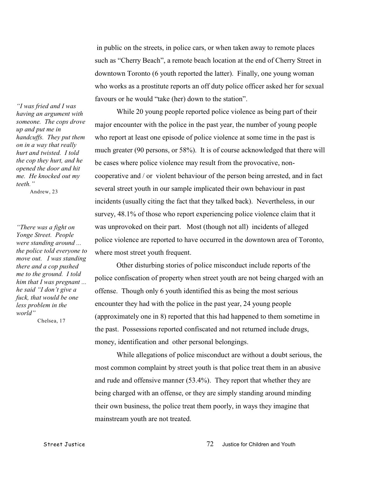in public on the streets, in police cars, or when taken away to remote places such as "Cherry Beach", a remote beach location at the end of Cherry Street in downtown Toronto (6 youth reported the latter). Finally, one young woman who works as a prostitute reports an off duty police officer asked her for sexual favours or he would "take (her) down to the station".

While 20 young people reported police violence as being part of their major encounter with the police in the past year, the number of young people who report at least one episode of police violence at some time in the past is much greater (90 persons, or 58%). It is of course acknowledged that there will be cases where police violence may result from the provocative, noncooperative and / or violent behaviour of the person being arrested, and in fact several street youth in our sample implicated their own behaviour in past incidents (usually citing the fact that they talked back). Nevertheless, in our survey, 48.1% of those who report experiencing police violence claim that it was unprovoked on their part. Most (though not all) incidents of alleged police violence are reported to have occurred in the downtown area of Toronto, where most street youth frequent.

Other disturbing stories of police misconduct include reports of the police confiscation of property when street youth are not being charged with an offense. Though only 6 youth identified this as being the most serious encounter they had with the police in the past year, 24 young people (approximately one in 8) reported that this had happened to them sometime in the past. Possessions reported confiscated and not returned include drugs, money, identification and other personal belongings.

While allegations of police misconduct are without a doubt serious, the most common complaint by street youth is that police treat them in an abusive and rude and offensive manner (53.4%). They report that whether they are being charged with an offense, or they are simply standing around minding their own business, the police treat them poorly, in ways they imagine that mainstream youth are not treated.

*"I was fried and I was having an argument with someone. The cops drove up and put me in handcuffs. They put them on in a way that really hurt and twisted. I told the cop they hurt, and he opened the door and hit me. He knocked out my teeth."*

Andrew, 23

*"There was a fight on Yonge Street. People were standing around ... the police told everyone to move out. I was standing there and a cop pushed me to the ground. I told him that I was pregnant ... he said "I don't give a fuck, that would be one less problem in the world"*

Chelsea, 17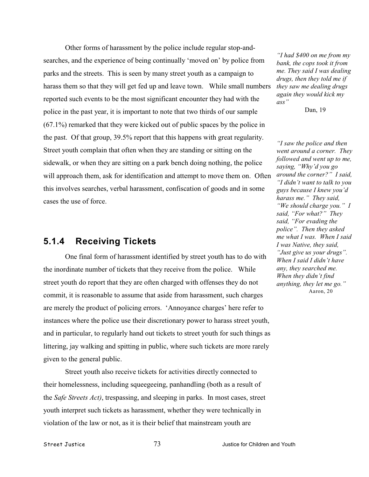Other forms of harassment by the police include regular stop-andsearches, and the experience of being continually 'moved on' by police from parks and the streets. This is seen by many street youth as a campaign to harass them so that they will get fed up and leave town. While small numbers reported such events to be the most significant encounter they had with the police in the past year, it is important to note that two thirds of our sample (67.1%) remarked that they were kicked out of public spaces by the police in the past. Of that group, 39.5% report that this happens with great regularity. Street youth complain that often when they are standing or sitting on the sidewalk, or when they are sitting on a park bench doing nothing, the police will approach them, ask for identification and attempt to move them on. Often this involves searches, verbal harassment, confiscation of goods and in some cases the use of force.

#### **5.1.4 Receiving Tickets**

One final form of harassment identified by street youth has to do with the inordinate number of tickets that they receive from the police. While street youth do report that they are often charged with offenses they do not commit, it is reasonable to assume that aside from harassment, such charges are merely the product of policing errors. 'Annoyance charges' here refer to instances where the police use their discretionary power to harass street youth, and in particular, to regularly hand out tickets to street youth for such things as littering, jay walking and spitting in public, where such tickets are more rarely given to the general public.

Street youth also receive tickets for activities directly connected to their homelessness, including squeegeeing, panhandling (both as a result of the *Safe Streets Act)*, trespassing, and sleeping in parks. In most cases, street youth interpret such tickets as harassment, whether they were technically in violation of the law or not, as it is their belief that mainstream youth are

*"I had \$400 on me from my bank, the cops took it from me. They said I was dealing drugs, then they told me if they saw me dealing drugs again they would kick my ass"*

Dan, 19

*"I saw the police and then went around a corner. They followed and went up to me, saying, "Why'd you go around the corner?" I said, "I didn't want to talk to you guys because I knew you'd harass me." They said, "We should charge you." I said, "For what?" They said, "For evading the police". Then they asked me what I was. When I said I was Native, they said, "Just give us your drugs". When I said I didn't have any, they searched me. When they didn't find anything, they let me go."* Aaron, 20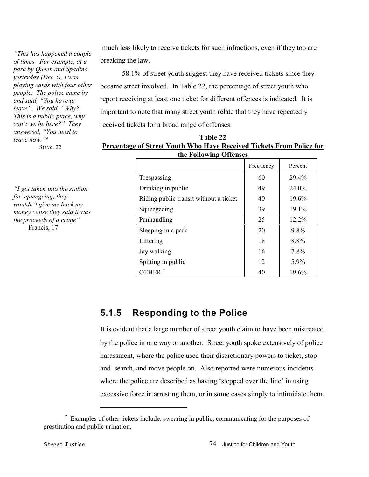*"This has happened a couple of times. For example, at a park by Queen and Spadina yesterday (Dec.5), I was playing cards with four other people. The police came by and said, "You have to leave". We said, "Why? This is a public place, why can't we be here?" They answered, "You need to leave now."*"

Steve, 22

*"I got taken into the station for squeegeing, they wouldn't give me back my money cause they said it was the proceeds of a crime"* Francis, 17

 much less likely to receive tickets for such infractions, even if they too are breaking the law.

58.1% of street youth suggest they have received tickets since they became street involved. In Table 22, the percentage of street youth who report receiving at least one ticket for different offences is indicated. It is important to note that many street youth relate that they have repeatedly received tickets for a broad range of offenses.

| Table 22                                                             |
|----------------------------------------------------------------------|
| Percentage of Street Youth Who Have Received Tickets From Police for |
| the Following Offenses                                               |

|                                        | Frequency | Percent  |
|----------------------------------------|-----------|----------|
| Trespassing                            | 60        | 29.4%    |
| Drinking in public                     | 49        | 24.0%    |
| Riding public transit without a ticket | 40        | 19.6%    |
| Squeegeeing                            | 39        | 19.1%    |
| Panhandling                            | 25        | $12.2\%$ |
| Sleeping in a park                     | 20        | $9.8\%$  |
| Littering                              | 18        | 8.8%     |
| Jay walking                            | 16        | 7.8%     |
| Spitting in public                     | 12        | $5.9\%$  |
| OTHER $^7$                             | 40        | 19.6%    |

# **5.1.5 Responding to the Police**

It is evident that a large number of street youth claim to have been mistreated by the police in one way or another. Street youth spoke extensively of police harassment, where the police used their discretionary powers to ticket, stop and search, and move people on. Also reported were numerous incidents where the police are described as having 'stepped over the line' in using excessive force in arresting them, or in some cases simply to intimidate them.

 $\frac{7}{7}$  Examples of other tickets include: swearing in public, communicating for the purposes of prostitution and public urination.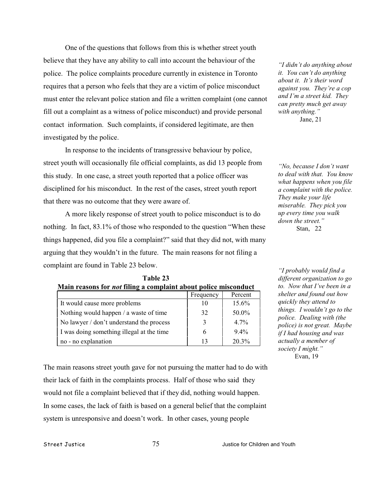One of the questions that follows from this is whether street youth believe that they have any ability to call into account the behaviour of the police. The police complaints procedure currently in existence in Toronto requires that a person who feels that they are a victim of police misconduct must enter the relevant police station and file a written complaint (one cannot fill out a complaint as a witness of police misconduct) and provide personal contact information. Such complaints, if considered legitimate, are then investigated by the police.

In response to the incidents of transgressive behaviour by police, street youth will occasionally file official complaints, as did 13 people from this study. In one case, a street youth reported that a police officer was disciplined for his misconduct. In the rest of the cases, street youth report that there was no outcome that they were aware of.

A more likely response of street youth to police misconduct is to do nothing. In fact, 83.1% of those who responded to the question "When these things happened, did you file a complaint?" said that they did not, with many arguing that they wouldn't in the future. The main reasons for not filing a complaint are found in Table 23 below.

| $1.1$ and $1.0000$ and $101.1000$ and $1.001$ at $0.0000$ | un out polite miljeonunt |         |
|-----------------------------------------------------------|--------------------------|---------|
|                                                           | Frequency                | Percent |
| It would cause more problems                              | 10                       | 15.6%   |
| Nothing would happen $\ell$ a waste of time               | 32                       | 50.0%   |
| No lawyer / don't understand the process                  | 3                        | $4.7\%$ |
| I was doing something illegal at the time                 | 6                        | $9.4\%$ |
| no - no explanation                                       | 13                       | 20.3%   |

**Table 23 Main reasons for** *not* **filing a complaint about police misconduct**

The main reasons street youth gave for not pursuing the matter had to do with their lack of faith in the complaints process. Half of those who said they would not file a complaint believed that if they did, nothing would happen. In some cases, the lack of faith is based on a general belief that the complaint system is unresponsive and doesn't work. In other cases, young people

*"I didn't do anything about it. You can't do anything about it. It's their word against you. They're a cop and I'm a street kid. They can pretty much get away with anything."* Jane, 21

*"No, because I don't want to deal with that. You know what happens when you file a complaint with the police. They make your life miserable. They pick you up every time you walk down the street."* Stan, 22

*"I probably would find a different organization to go to. Now that I've been in a shelter and found out how quickly they attend to things. I wouldn't go to the police. Dealing with (the police) is not great. Maybe if I had housing and was actually a member of society I might."* Evan, 19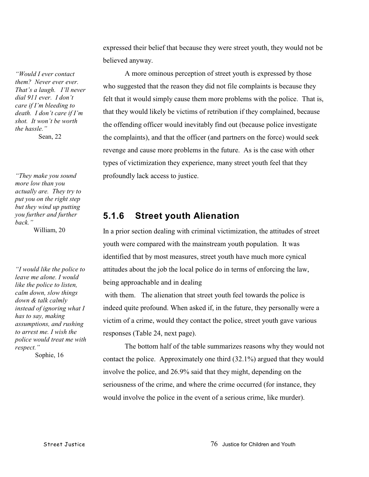*"Would I ever contact them? Never ever ever. That's a laugh. I'll never dial 911 ever. I don't care if I'm bleeding to death. I don't care if I'm shot. It won't be worth the hassle."* Sean, 22

*"They make you sound more low than you actually are. They try to put you on the right step but they wind up putting you further and further back."*

William, 20

*"I would like the police to leave me alone. I would like the police to listen, calm down, slow things down & talk calmly instead of ignoring what I has to say, making assumptions, and rushing to arrest me. I wish the police would treat me with respect."* Sophie, 16

expressed their belief that because they were street youth, they would not be believed anyway.

A more ominous perception of street youth is expressed by those who suggested that the reason they did not file complaints is because they felt that it would simply cause them more problems with the police. That is, that they would likely be victims of retribution if they complained, because the offending officer would inevitably find out (because police investigate the complaints), and that the officer (and partners on the force) would seek revenge and cause more problems in the future. As is the case with other types of victimization they experience, many street youth feel that they profoundly lack access to justice.

# **5.1.6 Street youth Alienation**

In a prior section dealing with criminal victimization, the attitudes of street youth were compared with the mainstream youth population. It was identified that by most measures, street youth have much more cynical attitudes about the job the local police do in terms of enforcing the law, being approachable and in dealing

 with them. The alienation that street youth feel towards the police is indeed quite profound. When asked if, in the future, they personally were a victim of a crime, would they contact the police, street youth gave various responses (Table 24, next page).

The bottom half of the table summarizes reasons why they would not contact the police. Approximately one third (32.1%) argued that they would involve the police, and 26.9% said that they might, depending on the seriousness of the crime, and where the crime occurred (for instance, they would involve the police in the event of a serious crime, like murder).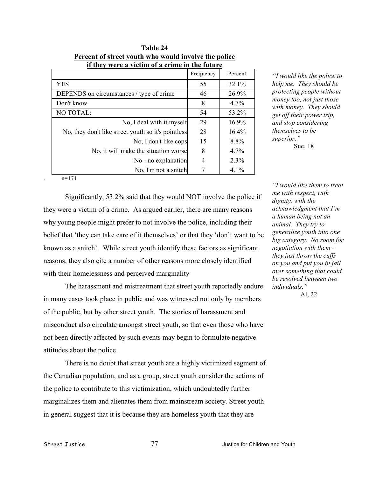| were a vieum of a crime in the future              |           |          |
|----------------------------------------------------|-----------|----------|
|                                                    | Frequency | Percent  |
| <b>YES</b>                                         | 55        | 32.1%    |
| DEPENDS on circumstances / type of crime           | 46        | 26.9%    |
| Don't know                                         | 8         | $4.7\%$  |
| NO TOTAL:                                          | 54        | 53.2%    |
| No, I deal with it myself                          | 29        | 16.9%    |
| No, they don't like street youth so it's pointless | 28        | $16.4\%$ |
| No, I don't like cops                              | 15        | 8.8%     |
| No, it will make the situation worse               | 8         | $4.7\%$  |
| No - no explanation                                | 4         | $2.3\%$  |
| No, I'm not a snitch                               |           | 4.1%     |

**Table 24 Percent of street youth who would involve the police if they were a victim of a crime in the future**

*"I would like the police to help me. They should be protecting people without money too, not just those with money. They should get off their power trip, and stop considering themselves to be superior."* Sue, 18

 $n=171$ 

Significantly, 53.2% said that they would NOT involve the police if they were a victim of a crime. As argued earlier, there are many reasons why young people might prefer to not involve the police, including their belief that 'they can take care of it themselves' or that they 'don't want to be known as a snitch'. While street youth identify these factors as significant reasons, they also cite a number of other reasons more closely identified with their homelessness and perceived marginality

The harassment and mistreatment that street youth reportedly endure in many cases took place in public and was witnessed not only by members of the public, but by other street youth. The stories of harassment and misconduct also circulate amongst street youth, so that even those who have not been directly affected by such events may begin to formulate negative attitudes about the police.

There is no doubt that street youth are a highly victimized segment of the Canadian population, and as a group, street youth consider the actions of the police to contribute to this victimization, which undoubtedly further marginalizes them and alienates them from mainstream society. Street youth in general suggest that it is because they are homeless youth that they are

*"I would like them to treat me with respect, with dignity, with the acknowledgment that I'm a human being not an animal. They try to generalize youth into one big category. No room for negotiation with them they just throw the cuffs on you and put you in jail over something that could be resolved between two individuals."*

Al, 22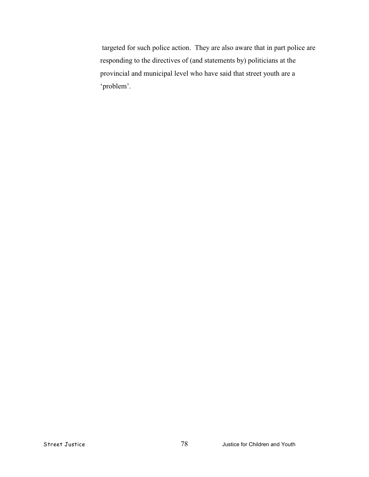targeted for such police action. They are also aware that in part police are responding to the directives of (and statements by) politicians at the provincial and municipal level who have said that street youth are a 'problem'.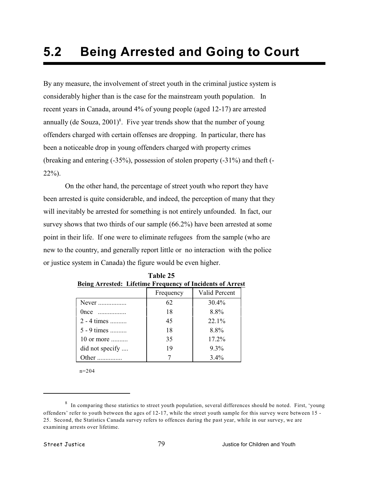# **5.2 Being Arrested and Going to Court**

By any measure, the involvement of street youth in the criminal justice system is considerably higher than is the case for the mainstream youth population. In recent years in Canada, around 4% of young people (aged 12-17) are arrested annually (de Souza,  $2001$ <sup>8</sup>. Five year trends show that the number of young offenders charged with certain offenses are dropping. In particular, there has been a noticeable drop in young offenders charged with property crimes (breaking and entering (-35%), possession of stolen property (-31%) and theft (- 22%).

On the other hand, the percentage of street youth who report they have been arrested is quite considerable, and indeed, the perception of many that they will inevitably be arrested for something is not entirely unfounded. In fact, our survey shows that two thirds of our sample (66.2%) have been arrested at some point in their life. If one were to eliminate refugees from the sample (who are new to the country, and generally report little or no interaction with the police or justice system in Canada) the figure would be even higher.

|                 | Frequency | Valid Percent |
|-----------------|-----------|---------------|
| Never           | 62        | 30.4%         |
| $0$ nce         | 18        | 8.8%          |
| 2 - 4 times     | 45        | $22.1\%$      |
| 5 - 9 times     | 18        | 8.8%          |
| 10 or more      | 35        | 17.2%         |
| did not specify | 19        | $9.3\%$       |
| )ther           |           | $3.4\%$       |

**Table 25 Being Arrested: Lifetime Frequency of Incidents of Arrest**

n=204

 $8$  In comparing these statistics to street youth population, several differences should be noted. First, 'young offenders' refer to youth between the ages of 12-17, while the street youth sample for this survey were between 15 - 25. Second, the Statistics Canada survey refers to offences during the past year, while in our survey, we are examining arrests over lifetime.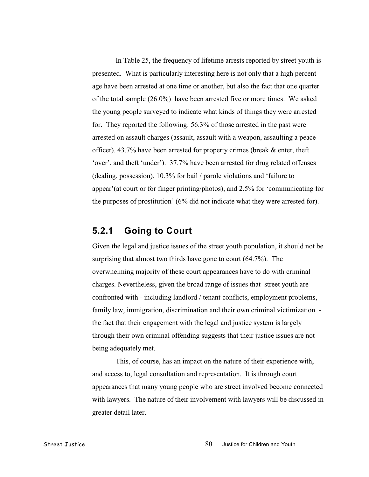In Table 25, the frequency of lifetime arrests reported by street youth is presented. What is particularly interesting here is not only that a high percent age have been arrested at one time or another, but also the fact that one quarter of the total sample (26.0%) have been arrested five or more times. We asked the young people surveyed to indicate what kinds of things they were arrested for. They reported the following: 56.3% of those arrested in the past were arrested on assault charges (assault, assault with a weapon, assaulting a peace officer). 43.7% have been arrested for property crimes (break & enter, theft 'over', and theft 'under'). 37.7% have been arrested for drug related offenses (dealing, possession), 10.3% for bail / parole violations and 'failure to appear'(at court or for finger printing/photos), and 2.5% for 'communicating for the purposes of prostitution' (6% did not indicate what they were arrested for).

#### **5.2.1 Going to Court**

Given the legal and justice issues of the street youth population, it should not be surprising that almost two thirds have gone to court (64.7%). The overwhelming majority of these court appearances have to do with criminal charges. Nevertheless, given the broad range of issues that street youth are confronted with - including landlord / tenant conflicts, employment problems, family law, immigration, discrimination and their own criminal victimization the fact that their engagement with the legal and justice system is largely through their own criminal offending suggests that their justice issues are not being adequately met.

 This, of course, has an impact on the nature of their experience with, and access to, legal consultation and representation. It is through court appearances that many young people who are street involved become connected with lawyers. The nature of their involvement with lawyers will be discussed in greater detail later.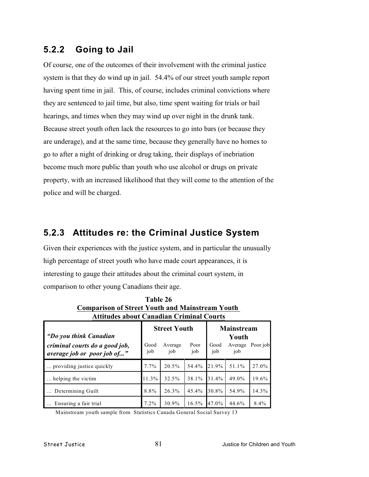# **5.2.2 Going to Jail**

Of course, one of the outcomes of their involvement with the criminal justice system is that they do wind up in jail. 54.4% of our street youth sample report having spent time in jail. This, of course, includes criminal convictions where they are sentenced to jail time, but also, time spent waiting for trials or bail hearings, and times when they may wind up over night in the drunk tank. Because street youth often lack the resources to go into bars (or because they are underage), and at the same time, because they generally have no homes to go to after a night of drinking or drug taking, their displays of inebriation become much more public than youth who use alcohol or drugs on private property, with an increased likelihood that they will come to the attention of the police and will be charged.

# **5.2.3 Attitudes re: the Criminal Justice System**

Given their experiences with the justice system, and in particular the unusually high percentage of street youth who have made court appearances, it is interesting to gauge their attitudes about the criminal court system, in comparison to other young Canadians their age.

| Comparison of Bulcet Touth and Manistream Touth<br><b>Attitudes about Canadian Criminal Courts</b> |         |                                                                                         |          |          |       |         |
|----------------------------------------------------------------------------------------------------|---------|-----------------------------------------------------------------------------------------|----------|----------|-------|---------|
| "Do you think Canadian"<br>criminal courts do a good job,                                          | Good    | <b>Mainstream</b><br><b>Street Youth</b><br>Youth<br>Good<br>Poor<br>Average<br>Average |          | Poor job |       |         |
| average job or poor job of"                                                                        | job     | job                                                                                     | job      | job      | job   |         |
| providing justice quickly                                                                          | $7.7\%$ | 20.5%                                                                                   | 54.4%    | 21.9%    | 51.1% | 27.0%   |
| helping the victim.                                                                                | 11.3%   | 32.5%                                                                                   | 38.1%    | 31.4%    | 49.0% | 19.6%   |
| Determining Guilt                                                                                  | 8.8%    | 26.3%                                                                                   | 45.4%    | 30.8%    | 54.9% | 14.3%   |
| Ensuring a fair trial                                                                              | $7.2\%$ | 30.9%                                                                                   | $16.5\%$ | 47.0%    | 44.6% | $8.4\%$ |

**Table 26 Comparison of Street Youth and Mainstream Youth** 

Mainstream youth sample from Statistics Canada General Social Survey 13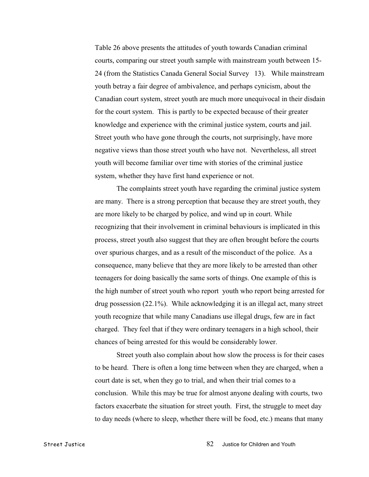Table 26 above presents the attitudes of youth towards Canadian criminal courts, comparing our street youth sample with mainstream youth between 15- 24 (from the Statistics Canada General Social Survey 13). While mainstream youth betray a fair degree of ambivalence, and perhaps cynicism, about the Canadian court system, street youth are much more unequivocal in their disdain for the court system. This is partly to be expected because of their greater knowledge and experience with the criminal justice system, courts and jail. Street youth who have gone through the courts, not surprisingly, have more negative views than those street youth who have not. Nevertheless, all street youth will become familiar over time with stories of the criminal justice system, whether they have first hand experience or not.

The complaints street youth have regarding the criminal justice system are many. There is a strong perception that because they are street youth, they are more likely to be charged by police, and wind up in court. While recognizing that their involvement in criminal behaviours is implicated in this process, street youth also suggest that they are often brought before the courts over spurious charges, and as a result of the misconduct of the police. As a consequence, many believe that they are more likely to be arrested than other teenagers for doing basically the same sorts of things. One example of this is the high number of street youth who report youth who report being arrested for drug possession (22.1%). While acknowledging it is an illegal act, many street youth recognize that while many Canadians use illegal drugs, few are in fact charged. They feel that if they were ordinary teenagers in a high school, their chances of being arrested for this would be considerably lower.

Street youth also complain about how slow the process is for their cases to be heard. There is often a long time between when they are charged, when a court date is set, when they go to trial, and when their trial comes to a conclusion. While this may be true for almost anyone dealing with courts, two factors exacerbate the situation for street youth. First, the struggle to meet day to day needs (where to sleep, whether there will be food, etc.) means that many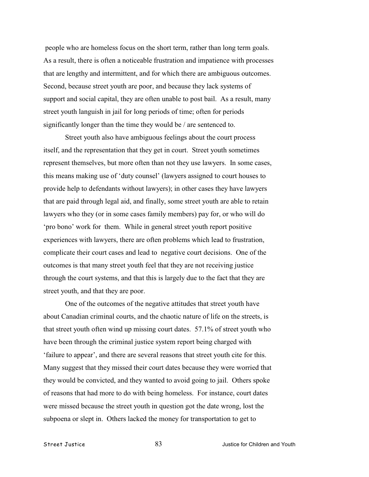people who are homeless focus on the short term, rather than long term goals. As a result, there is often a noticeable frustration and impatience with processes that are lengthy and intermittent, and for which there are ambiguous outcomes. Second, because street youth are poor, and because they lack systems of support and social capital, they are often unable to post bail. As a result, many street youth languish in jail for long periods of time; often for periods significantly longer than the time they would be / are sentenced to.

Street youth also have ambiguous feelings about the court process itself, and the representation that they get in court. Street youth sometimes represent themselves, but more often than not they use lawyers. In some cases, this means making use of 'duty counsel' (lawyers assigned to court houses to provide help to defendants without lawyers); in other cases they have lawyers that are paid through legal aid, and finally, some street youth are able to retain lawyers who they (or in some cases family members) pay for, or who will do 'pro bono' work for them. While in general street youth report positive experiences with lawyers, there are often problems which lead to frustration, complicate their court cases and lead to negative court decisions. One of the outcomes is that many street youth feel that they are not receiving justice through the court systems, and that this is largely due to the fact that they are street youth, and that they are poor.

One of the outcomes of the negative attitudes that street youth have about Canadian criminal courts, and the chaotic nature of life on the streets, is that street youth often wind up missing court dates. 57.1% of street youth who have been through the criminal justice system report being charged with 'failure to appear', and there are several reasons that street youth cite for this. Many suggest that they missed their court dates because they were worried that they would be convicted, and they wanted to avoid going to jail. Others spoke of reasons that had more to do with being homeless. For instance, court dates were missed because the street youth in question got the date wrong, lost the subpoena or slept in. Others lacked the money for transportation to get to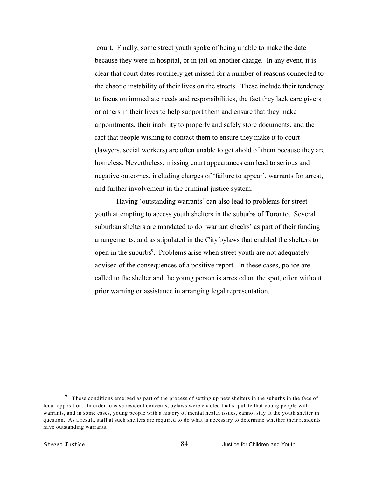court. Finally, some street youth spoke of being unable to make the date because they were in hospital, or in jail on another charge. In any event, it is clear that court dates routinely get missed for a number of reasons connected to the chaotic instability of their lives on the streets. These include their tendency to focus on immediate needs and responsibilities, the fact they lack care givers or others in their lives to help support them and ensure that they make appointments, their inability to properly and safely store documents, and the fact that people wishing to contact them to ensure they make it to court (lawyers, social workers) are often unable to get ahold of them because they are homeless. Nevertheless, missing court appearances can lead to serious and negative outcomes, including charges of 'failure to appear', warrants for arrest, and further involvement in the criminal justice system.

Having 'outstanding warrants' can also lead to problems for street youth attempting to access youth shelters in the suburbs of Toronto. Several suburban shelters are mandated to do 'warrant checks' as part of their funding arrangements, and as stipulated in the City bylaws that enabled the shelters to open in the suburbs<sup>9</sup>. Problems arise when street youth are not adequately advised of the consequences of a positive report. In these cases, police are called to the shelter and the young person is arrested on the spot, often without prior warning or assistance in arranging legal representation.

 $9$  These conditions emerged as part of the process of setting up new shelters in the suburbs in the face of local opposition. In order to ease resident concerns, bylaws were enacted that stipulate that young people with warrants, and in some cases, young people with a history of mental health issues, cannot stay at the youth shelter in question. As a result, staff at such shelters are required to do what is necessary to determine whether their residents have outstanding warrants.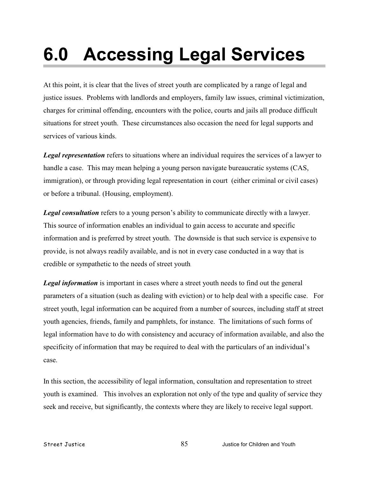# **6.0 Accessing Legal Services**

At this point, it is clear that the lives of street youth are complicated by a range of legal and justice issues. Problems with landlords and employers, family law issues, criminal victimization, charges for criminal offending, encounters with the police, courts and jails all produce difficult situations for street youth. These circumstances also occasion the need for legal supports and services of various kinds.

*Legal representation* refers to situations where an individual requires the services of a lawyer to handle a case. This may mean helping a young person navigate bureaucratic systems (CAS, immigration), or through providing legal representation in court (either criminal or civil cases) or before a tribunal. (Housing, employment).

*Legal consultation* refers to a young person's ability to communicate directly with a lawyer. This source of information enables an individual to gain access to accurate and specific information and is preferred by street youth. The downside is that such service is expensive to provide, is not always readily available, and is not in every case conducted in a way that is credible or sympathetic to the needs of street youth.

**Legal information** is important in cases where a street youth needs to find out the general parameters of a situation (such as dealing with eviction) or to help deal with a specific case. For street youth, legal information can be acquired from a number of sources, including staff at street youth agencies, friends, family and pamphlets, for instance. The limitations of such forms of legal information have to do with consistency and accuracy of information available, and also the specificity of information that may be required to deal with the particulars of an individual's case.

In this section, the accessibility of legal information, consultation and representation to street youth is examined. This involves an exploration not only of the type and quality of service they seek and receive, but significantly, the contexts where they are likely to receive legal support.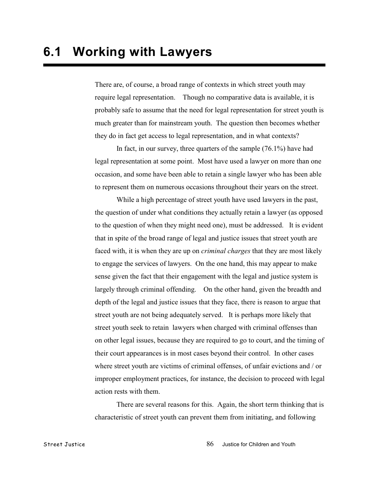There are, of course, a broad range of contexts in which street youth may require legal representation. Though no comparative data is available, it is probably safe to assume that the need for legal representation for street youth is much greater than for mainstream youth. The question then becomes whether they do in fact get access to legal representation, and in what contexts?

In fact, in our survey, three quarters of the sample (76.1%) have had legal representation at some point. Most have used a lawyer on more than one occasion, and some have been able to retain a single lawyer who has been able to represent them on numerous occasions throughout their years on the street.

While a high percentage of street youth have used lawyers in the past, the question of under what conditions they actually retain a lawyer (as opposed to the question of when they might need one), must be addressed. It is evident that in spite of the broad range of legal and justice issues that street youth are faced with, it is when they are up on *criminal charges* that they are most likely to engage the services of lawyers. On the one hand, this may appear to make sense given the fact that their engagement with the legal and justice system is largely through criminal offending. On the other hand, given the breadth and depth of the legal and justice issues that they face, there is reason to argue that street youth are not being adequately served. It is perhaps more likely that street youth seek to retain lawyers when charged with criminal offenses than on other legal issues, because they are required to go to court, and the timing of their court appearances is in most cases beyond their control. In other cases where street youth are victims of criminal offenses, of unfair evictions and / or improper employment practices, for instance, the decision to proceed with legal action rests with them.

There are several reasons for this. Again, the short term thinking that is characteristic of street youth can prevent them from initiating, and following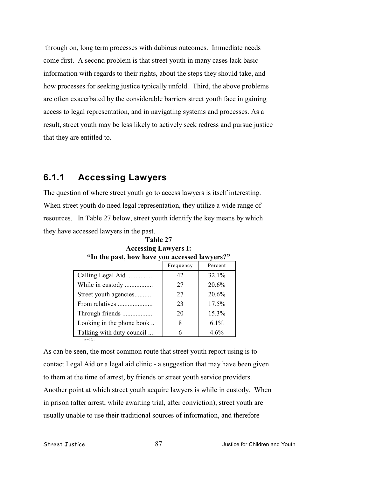through on, long term processes with dubious outcomes. Immediate needs come first. A second problem is that street youth in many cases lack basic information with regards to their rights, about the steps they should take, and how processes for seeking justice typically unfold. Third, the above problems are often exacerbated by the considerable barriers street youth face in gaining access to legal representation, and in navigating systems and processes. As a result, street youth may be less likely to actively seek redress and pursue justice that they are entitled to.

### **6.1.1 Accessing Lawyers**

The question of where street youth go to access lawyers is itself interesting. When street youth do need legal representation, they utilize a wide range of resources. In Table 27 below, street youth identify the key means by which they have accessed lawyers in the past.

|                           | Frequency | Percent  |
|---------------------------|-----------|----------|
| Calling Legal Aid         | 42        | 32.1%    |
| While in custody          | 27        | $20.6\%$ |
| Street youth agencies     | 27        | 20.6%    |
|                           | 23        | $17.5\%$ |
| Through friends           | 20        | 15.3%    |
| Looking in the phone book | 8         | $6.1\%$  |
| Talking with duty council |           | 4.6%     |
| $n = 131$                 |           |          |

| Table 27                                      |
|-----------------------------------------------|
| <b>Accessing Lawyers I:</b>                   |
| "In the past, how have you accessed lawyers?" |

As can be seen, the most common route that street youth report using is to contact Legal Aid or a legal aid clinic - a suggestion that may have been given to them at the time of arrest, by friends or street youth service providers. Another point at which street youth acquire lawyers is while in custody. When in prison (after arrest, while awaiting trial, after conviction), street youth are usually unable to use their traditional sources of information, and therefore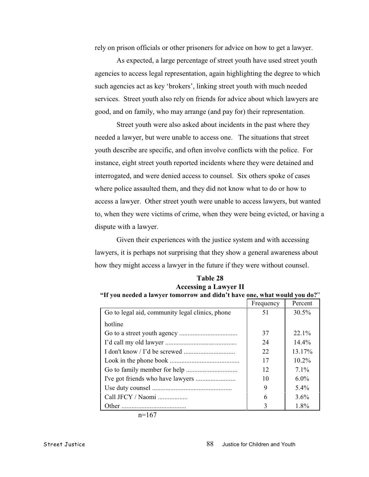rely on prison officials or other prisoners for advice on how to get a lawyer.

As expected, a large percentage of street youth have used street youth agencies to access legal representation, again highlighting the degree to which such agencies act as key 'brokers', linking street youth with much needed services. Street youth also rely on friends for advice about which lawyers are good, and on family, who may arrange (and pay for) their representation.

Street youth were also asked about incidents in the past where they needed a lawyer, but were unable to access one. The situations that street youth describe are specific, and often involve conflicts with the police. For instance, eight street youth reported incidents where they were detained and interrogated, and were denied access to counsel. Six others spoke of cases where police assaulted them, and they did not know what to do or how to access a lawyer. Other street youth were unable to access lawyers, but wanted to, when they were victims of crime, when they were being evicted, or having a dispute with a lawyer.

Given their experiences with the justice system and with accessing lawyers, it is perhaps not surprising that they show a general awareness about how they might access a lawyer in the future if they were without counsel.

|                                                 | Frequency | Percent  |
|-------------------------------------------------|-----------|----------|
| Go to legal aid, community legal clinics, phone | 51        | $30.5\%$ |
| hotline                                         |           |          |
|                                                 | 37        | $22.1\%$ |
|                                                 | 24        | $14.4\%$ |
|                                                 | 22        | 13.17%   |
|                                                 | 17        | $10.2\%$ |
|                                                 | 12        | $7.1\%$  |
|                                                 | 10        | $6.0\%$  |
|                                                 | 9         | $5.4\%$  |
| Call JFCY / Naomi                               | 6         | $3.6\%$  |
|                                                 | 3         | 1.8%     |

**Table 28 Accessing a Lawyer II "If you needed a lawyer tomorrow and didn't have one, what would you do?**"

 $n=167$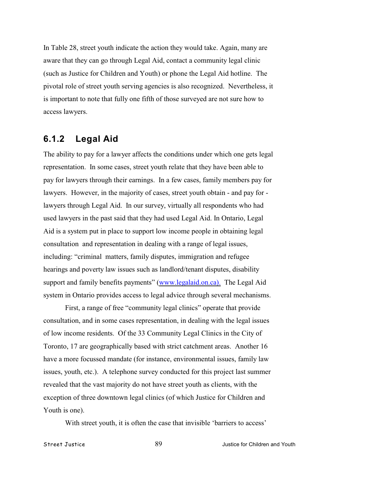In Table 28, street youth indicate the action they would take. Again, many are aware that they can go through Legal Aid, contact a community legal clinic (such as Justice for Children and Youth) or phone the Legal Aid hotline. The pivotal role of street youth serving agencies is also recognized. Nevertheless, it is important to note that fully one fifth of those surveyed are not sure how to access lawyers.

#### **6.1.2 Legal Aid**

The ability to pay for a lawyer affects the conditions under which one gets legal representation. In some cases, street youth relate that they have been able to pay for lawyers through their earnings. In a few cases, family members pay for lawyers. However, in the majority of cases, street youth obtain - and pay for lawyers through Legal Aid. In our survey, virtually all respondents who had used lawyers in the past said that they had used Legal Aid. In Ontario, Legal Aid is a system put in place to support low income people in obtaining legal consultation and representation in dealing with a range of legal issues, including: "criminal matters, family disputes, immigration and refugee hearings and poverty law issues such as landlord/tenant disputes, disability support and family benefits payments" [\(www.legalaid.on.ca\).](http://www.legalaid.on.ca) The Legal Aid system in Ontario provides access to legal advice through several mechanisms.

First, a range of free "community legal clinics" operate that provide consultation, and in some cases representation, in dealing with the legal issues of low income residents. Of the 33 Community Legal Clinics in the City of Toronto, 17 are geographically based with strict catchment areas. Another 16 have a more focussed mandate (for instance, environmental issues, family law issues, youth, etc.). A telephone survey conducted for this project last summer revealed that the vast majority do not have street youth as clients, with the exception of three downtown legal clinics (of which Justice for Children and Youth is one).

With street youth, it is often the case that invisible 'barriers to access'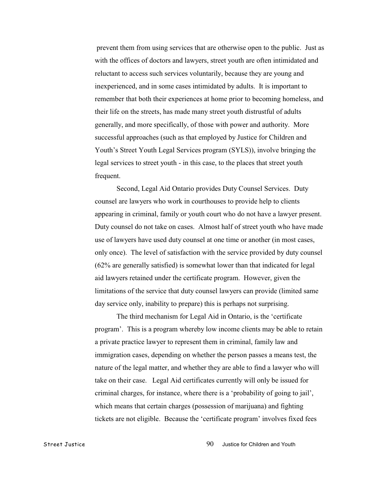prevent them from using services that are otherwise open to the public. Just as with the offices of doctors and lawyers, street youth are often intimidated and reluctant to access such services voluntarily, because they are young and inexperienced, and in some cases intimidated by adults. It is important to remember that both their experiences at home prior to becoming homeless, and their life on the streets, has made many street youth distrustful of adults generally, and more specifically, of those with power and authority. More successful approaches (such as that employed by Justice for Children and Youth's Street Youth Legal Services program (SYLS)), involve bringing the legal services to street youth - in this case, to the places that street youth frequent.

Second, Legal Aid Ontario provides Duty Counsel Services. Duty counsel are lawyers who work in courthouses to provide help to clients appearing in criminal, family or youth court who do not have a lawyer present. Duty counsel do not take on cases. Almost half of street youth who have made use of lawyers have used duty counsel at one time or another (in most cases, only once). The level of satisfaction with the service provided by duty counsel (62% are generally satisfied) is somewhat lower than that indicated for legal aid lawyers retained under the certificate program. However, given the limitations of the service that duty counsel lawyers can provide (limited same day service only, inability to prepare) this is perhaps not surprising.

The third mechanism for Legal Aid in Ontario, is the 'certificate program'. This is a program whereby low income clients may be able to retain a private practice lawyer to represent them in criminal, family law and immigration cases, depending on whether the person passes a means test, the nature of the legal matter, and whether they are able to find a lawyer who will take on their case. Legal Aid certificates currently will only be issued for criminal charges, for instance, where there is a 'probability of going to jail', which means that certain charges (possession of marijuana) and fighting tickets are not eligible. Because the 'certificate program' involves fixed fees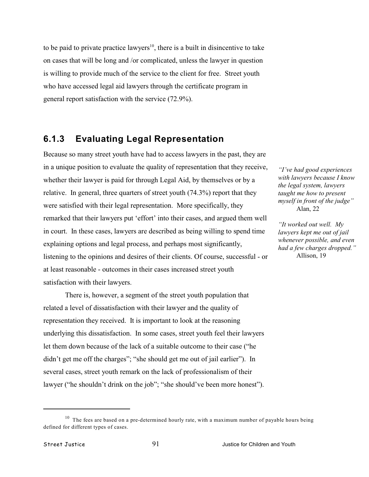to be paid to private practice lawyers<sup>10</sup>, there is a built in disincentive to take on cases that will be long and /or complicated, unless the lawyer in question is willing to provide much of the service to the client for free. Street youth who have accessed legal aid lawyers through the certificate program in general report satisfaction with the service (72.9%).

#### **6.1.3 Evaluating Legal Representation**

Because so many street youth have had to access lawyers in the past, they are in a unique position to evaluate the quality of representation that they receive, whether their lawyer is paid for through Legal Aid, by themselves or by a relative. In general, three quarters of street youth (74.3%) report that they were satisfied with their legal representation. More specifically, they remarked that their lawyers put 'effort' into their cases, and argued them well in court. In these cases, lawyers are described as being willing to spend time explaining options and legal process, and perhaps most significantly, listening to the opinions and desires of their clients. Of course, successful - or at least reasonable - outcomes in their cases increased street youth satisfaction with their lawyers.

There is, however, a segment of the street youth population that related a level of dissatisfaction with their lawyer and the quality of representation they received. It is important to look at the reasoning underlying this dissatisfaction. In some cases, street youth feel their lawyers let them down because of the lack of a suitable outcome to their case ("he didn't get me off the charges"; "she should get me out of jail earlier"). In several cases, street youth remark on the lack of professionalism of their lawyer ("he shouldn't drink on the job"; "she should've been more honest").

*"I've had good experiences with lawyers because I know the legal system, lawyers taught me how to present myself in front of the judge"* Alan, 22

*"It worked out well. My lawyers kept me out of jail whenever possible, and even had a few charges dropped."* Allison, 19

 $10$  The fees are based on a pre-determined hourly rate, with a maximum number of payable hours being defined for different types of cases.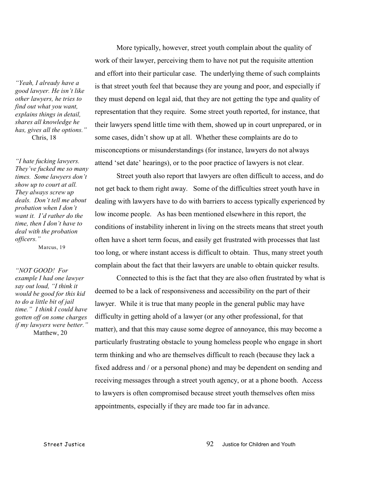*"Yeah, I already have a good lawyer. He isn't like other lawyers, he tries to find out what you want, explains things in detail, shares all knowledge he has, gives all the options."* Chris, 18

*"I hate fucking lawyers. They've fucked me so many times. Some lawyers don't show up to court at all. They always screw up deals. Don't tell me about probation when I don't want it. I'd rather do the time, then I don't have to deal with the probation officers."*

Marcus, 19

*"NOT GOOD! For example I had one lawyer say out loud, "I think it would be good for this kid to do a little bit of jail time." I think I could have gotten off on some charges if my lawyers were better."* Matthew, 20

More typically, however, street youth complain about the quality of work of their lawyer, perceiving them to have not put the requisite attention and effort into their particular case. The underlying theme of such complaints is that street youth feel that because they are young and poor, and especially if they must depend on legal aid, that they are not getting the type and quality of representation that they require. Some street youth reported, for instance, that their lawyers spend little time with them, showed up in court unprepared, or in some cases, didn't show up at all. Whether these complaints are do to misconceptions or misunderstandings (for instance, lawyers do not always attend 'set date' hearings), or to the poor practice of lawyers is not clear.

Street youth also report that lawyers are often difficult to access, and do not get back to them right away. Some of the difficulties street youth have in dealing with lawyers have to do with barriers to access typically experienced by low income people. As has been mentioned elsewhere in this report, the conditions of instability inherent in living on the streets means that street youth often have a short term focus, and easily get frustrated with processes that last too long, or where instant access is difficult to obtain. Thus, many street youth complain about the fact that their lawyers are unable to obtain quicker results.

Connected to this is the fact that they are also often frustrated by what is deemed to be a lack of responsiveness and accessibility on the part of their lawyer. While it is true that many people in the general public may have difficulty in getting ahold of a lawyer (or any other professional, for that matter), and that this may cause some degree of annoyance, this may become a particularly frustrating obstacle to young homeless people who engage in short term thinking and who are themselves difficult to reach (because they lack a fixed address and / or a personal phone) and may be dependent on sending and receiving messages through a street youth agency, or at a phone booth. Access to lawyers is often compromised because street youth themselves often miss appointments, especially if they are made too far in advance.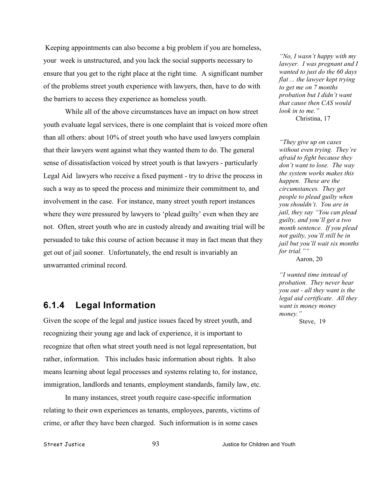Keeping appointments can also become a big problem if you are homeless, your week is unstructured, and you lack the social supports necessary to ensure that you get to the right place at the right time. A significant number of the problems street youth experience with lawyers, then, have to do with the barriers to access they experience as homeless youth.

While all of the above circumstances have an impact on how street youth evaluate legal services, there is one complaint that is voiced more often than all others: about 10% of street youth who have used lawyers complain that their lawyers went against what they wanted them to do. The general sense of dissatisfaction voiced by street youth is that lawyers - particularly Legal Aid lawyers who receive a fixed payment - try to drive the process in such a way as to speed the process and minimize their commitment to, and involvement in the case. For instance, many street youth report instances where they were pressured by lawyers to 'plead guilty' even when they are not. Often, street youth who are in custody already and awaiting trial will be persuaded to take this course of action because it may in fact mean that they get out of jail sooner. Unfortunately, the end result is invariably an unwarranted criminal record.

### **6.1.4 Legal Information**

Given the scope of the legal and justice issues faced by street youth, and recognizing their young age and lack of experience, it is important to recognize that often what street youth need is not legal representation, but rather, information. This includes basic information about rights. It also means learning about legal processes and systems relating to, for instance, immigration, landlords and tenants, employment standards, family law, etc.

In many instances, street youth require case-specific information relating to their own experiences as tenants, employees, parents, victims of crime, or after they have been charged. Such information is in some cases

*"No, I wasn't happy with my lawyer. I was pregnant and I wanted to just do the 60 days flat ... the lawyer kept trying to get me on 7 months probation but I didn't want that cause then CAS would look in to me."* Christina, 17

*"They give up on cases without even trying. They're afraid to fight because they don't want to lose. The way the system works makes this happen. These are the circumstances. They get people to plead guilty when you shouldn't. You are in jail, they say "You can plead guilty, and you'll get a two month sentence. If you plead not guilty, you'll still be in jail but you'll wait six months for trial.""*

Aaron, 20

*"I wanted time instead of probation. They never hear you out - all they want is the legal aid certificate. All they want is money money money."*

Steve, 19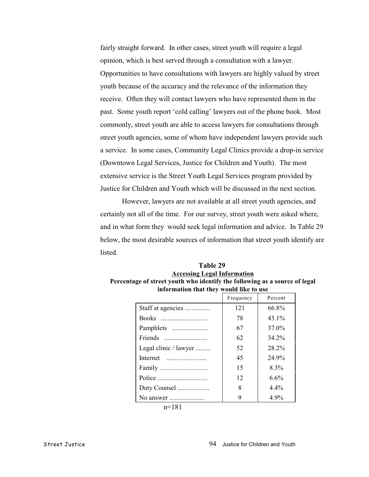fairly straight forward. In other cases, street youth will require a legal opinion, which is best served through a consultation with a lawyer. Opportunities to have consultations with lawyers are highly valued by street youth because of the accuracy and the relevance of the information they receive. Often they will contact lawyers who have represented them in the past. Some youth report 'cold calling' lawyers out of the phone book. Most commonly, street youth are able to access lawyers for consultations through street youth agencies, some of whom have independent lawyers provide such a service. In some cases, Community Legal Clinics provide a drop-in service (Downtown Legal Services, Justice for Children and Youth). The most extensive service is the Street Youth Legal Services program provided by Justice for Children and Youth which will be discussed in the next section.

However, lawyers are not available at all street youth agencies, and certainly not all of the time. For our survey, street youth were asked where, and in what form they would seek legal information and advice. In Table 29 below, the most desirable sources of information that street youth identify are listed.

| information that they would like to use |           |          |
|-----------------------------------------|-----------|----------|
|                                         | Frequency | Percent  |
| Staff at agencies                       | 121       | 66.8%    |
| Books                                   | 78        | $43.1\%$ |
| Pamphlets                               | 67        | 37.0%    |
|                                         | 62        | 34.2%    |
| Legal clinic / lawyer                   | 52        | 28.2%    |
|                                         | 45        | 24.9%    |
|                                         | 15        | $8.3\%$  |
|                                         | 12        | 6.6%     |
| Duty Counsel                            | 8         | $4.4\%$  |
| No answer                               |           | $4.9\%$  |

| Table 29                                                                   |
|----------------------------------------------------------------------------|
| <b>Accessing Legal Information</b>                                         |
| Percentage of street youth who identify the following as a source of legal |
| information that they would like to use                                    |

n=181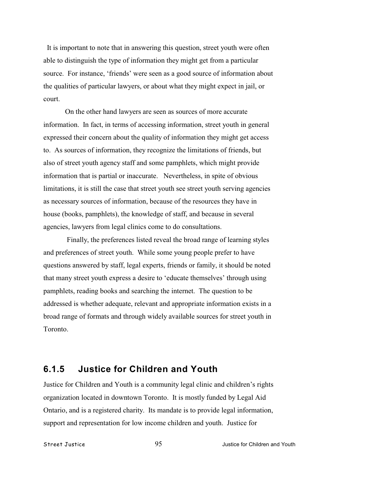It is important to note that in answering this question, street youth were often able to distinguish the type of information they might get from a particular source. For instance, 'friends' were seen as a good source of information about the qualities of particular lawyers, or about what they might expect in jail, or court.

On the other hand lawyers are seen as sources of more accurate information. In fact, in terms of accessing information, street youth in general expressed their concern about the quality of information they might get access to. As sources of information, they recognize the limitations of friends, but also of street youth agency staff and some pamphlets, which might provide information that is partial or inaccurate. Nevertheless, in spite of obvious limitations, it is still the case that street youth see street youth serving agencies as necessary sources of information, because of the resources they have in house (books, pamphlets), the knowledge of staff, and because in several agencies, lawyers from legal clinics come to do consultations.

 Finally, the preferences listed reveal the broad range of learning styles and preferences of street youth. While some young people prefer to have questions answered by staff, legal experts, friends or family, it should be noted that many street youth express a desire to 'educate themselves' through using pamphlets, reading books and searching the internet. The question to be addressed is whether adequate, relevant and appropriate information exists in a broad range of formats and through widely available sources for street youth in Toronto.

#### **6.1.5 Justice for Children and Youth**

Justice for Children and Youth is a community legal clinic and children's rights organization located in downtown Toronto. It is mostly funded by Legal Aid Ontario, and is a registered charity. Its mandate is to provide legal information, support and representation for low income children and youth. Justice for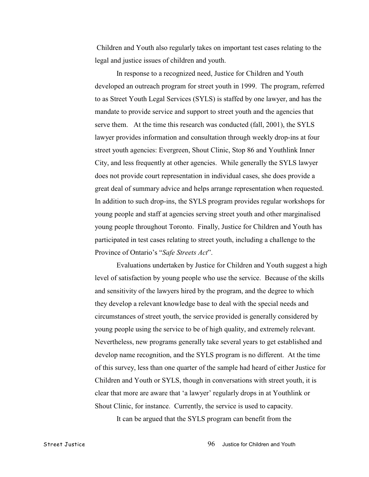Children and Youth also regularly takes on important test cases relating to the legal and justice issues of children and youth.

In response to a recognized need, Justice for Children and Youth developed an outreach program for street youth in 1999. The program, referred to as Street Youth Legal Services (SYLS) is staffed by one lawyer, and has the mandate to provide service and support to street youth and the agencies that serve them. At the time this research was conducted (fall, 2001), the SYLS lawyer provides information and consultation through weekly drop-ins at four street youth agencies: Evergreen, Shout Clinic, Stop 86 and Youthlink Inner City, and less frequently at other agencies. While generally the SYLS lawyer does not provide court representation in individual cases, she does provide a great deal of summary advice and helps arrange representation when requested. In addition to such drop-ins, the SYLS program provides regular workshops for young people and staff at agencies serving street youth and other marginalised young people throughout Toronto. Finally, Justice for Children and Youth has participated in test cases relating to street youth, including a challenge to the Province of Ontario's "*Safe Streets Act*".

Evaluations undertaken by Justice for Children and Youth suggest a high level of satisfaction by young people who use the service. Because of the skills and sensitivity of the lawyers hired by the program, and the degree to which they develop a relevant knowledge base to deal with the special needs and circumstances of street youth, the service provided is generally considered by young people using the service to be of high quality, and extremely relevant. Nevertheless, new programs generally take several years to get established and develop name recognition, and the SYLS program is no different. At the time of this survey, less than one quarter of the sample had heard of either Justice for Children and Youth or SYLS, though in conversations with street youth, it is clear that more are aware that 'a lawyer' regularly drops in at Youthlink or Shout Clinic, for instance. Currently, the service is used to capacity.

It can be argued that the SYLS program can benefit from the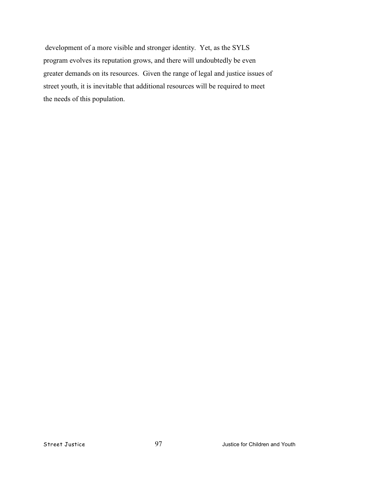development of a more visible and stronger identity. Yet, as the SYLS program evolves its reputation grows, and there will undoubtedly be even greater demands on its resources. Given the range of legal and justice issues of street youth, it is inevitable that additional resources will be required to meet the needs of this population.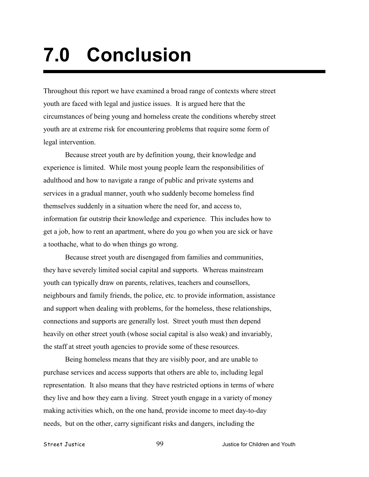# **7.0 Conclusion**

Throughout this report we have examined a broad range of contexts where street youth are faced with legal and justice issues. It is argued here that the circumstances of being young and homeless create the conditions whereby street youth are at extreme risk for encountering problems that require some form of legal intervention.

Because street youth are by definition young, their knowledge and experience is limited. While most young people learn the responsibilities of adulthood and how to navigate a range of public and private systems and services in a gradual manner, youth who suddenly become homeless find themselves suddenly in a situation where the need for, and access to, information far outstrip their knowledge and experience. This includes how to get a job, how to rent an apartment, where do you go when you are sick or have a toothache, what to do when things go wrong.

Because street youth are disengaged from families and communities, they have severely limited social capital and supports. Whereas mainstream youth can typically draw on parents, relatives, teachers and counsellors, neighbours and family friends, the police, etc. to provide information, assistance and support when dealing with problems, for the homeless, these relationships, connections and supports are generally lost. Street youth must then depend heavily on other street youth (whose social capital is also weak) and invariably, the staff at street youth agencies to provide some of these resources.

Being homeless means that they are visibly poor, and are unable to purchase services and access supports that others are able to, including legal representation. It also means that they have restricted options in terms of where they live and how they earn a living. Street youth engage in a variety of money making activities which, on the one hand, provide income to meet day-to-day needs, but on the other, carry significant risks and dangers, including the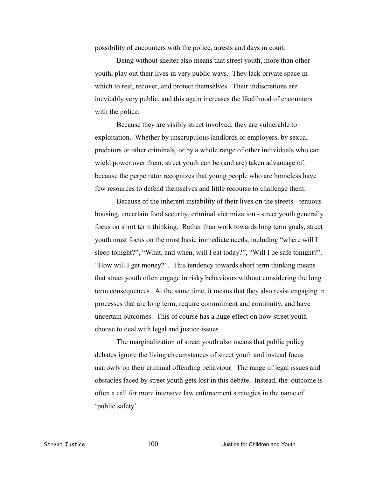possibility of encounters with the police, arrests and days in court.

Being without shelter also means that street youth, more than other youth, play out their lives in very public ways. They lack private space in which to rest, recover, and protect themselves. Their indiscretions are inevitably very public, and this again increases the likelihood of encounters with the police.

Because they are visibly street involved, they are vulnerable to exploitation. Whether by unscrupulous landlords or employers, by sexual predators or other criminals, or by a whole range of other individuals who can wield power over them, street youth can be (and are) taken advantage of, because the perpetrator recognizes that young people who are homeless have few resources to defend themselves and little recourse to challenge them.

Because of the inherent instability of their lives on the streets - tenuous housing, uncertain food security, criminal victimization - street youth generally focus on short term thinking. Rather than work towards long term goals, street youth must focus on the most basic immediate needs, including "where will I sleep tonight?", "What, and when, will I eat today?", "Will I be safe tonight?", "How will I get money?". This tendency towards short term thinking means that street youth often engage in risky behaviours without considering the long term consequences. At the same time, it means that they also resist engaging in processes that are long term, require commitment and continuity, and have uncertain outcomes. This of course has a huge effect on how street youth choose to deal with legal and justice issues.

The marginalization of street youth also means that public policy debates ignore the living circumstances of street youth and instead focus narrowly on their criminal offending behaviour. The range of legal issues and obstacles faced by street youth gets lost in this debate. Instead, the outcome is often a call for more intensive law enforcement strategies in the name of 'public safety'.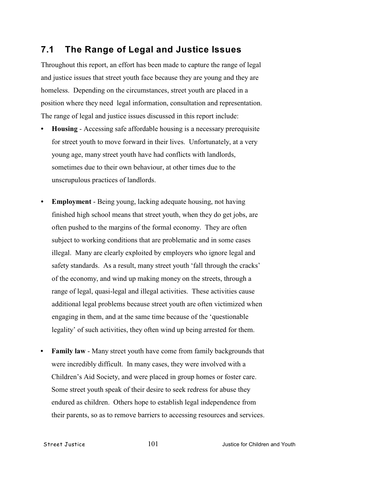### **7.1 The Range of Legal and Justice Issues**

Throughout this report, an effort has been made to capture the range of legal and justice issues that street youth face because they are young and they are homeless. Depending on the circumstances, street youth are placed in a position where they need legal information, consultation and representation. The range of legal and justice issues discussed in this report include:

- **• Housing** Accessing safe affordable housing is a necessary prerequisite for street youth to move forward in their lives. Unfortunately, at a very young age, many street youth have had conflicts with landlords, sometimes due to their own behaviour, at other times due to the unscrupulous practices of landlords.
- **• Employment** Being young, lacking adequate housing, not having finished high school means that street youth, when they do get jobs, are often pushed to the margins of the formal economy. They are often subject to working conditions that are problematic and in some cases illegal. Many are clearly exploited by employers who ignore legal and safety standards. As a result, many street youth 'fall through the cracks' of the economy, and wind up making money on the streets, through a range of legal, quasi-legal and illegal activities. These activities cause additional legal problems because street youth are often victimized when engaging in them, and at the same time because of the 'questionable legality' of such activities, they often wind up being arrested for them.
- **• Family law** Many street youth have come from family backgrounds that were incredibly difficult. In many cases, they were involved with a Children's Aid Society, and were placed in group homes or foster care. Some street youth speak of their desire to seek redress for abuse they endured as children. Others hope to establish legal independence from their parents, so as to remove barriers to accessing resources and services.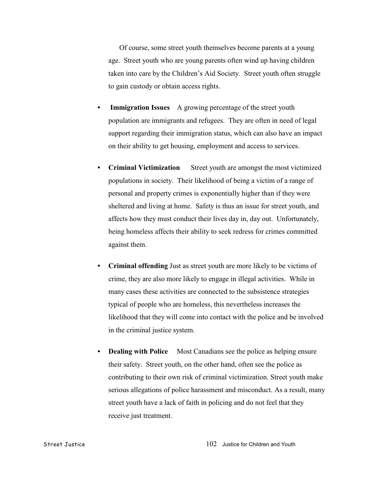Of course, some street youth themselves become parents at a young age. Street youth who are young parents often wind up having children taken into care by the Children's Aid Society. Street youth often struggle to gain custody or obtain access rights.

- **Immigration Issues** A growing percentage of the street youth population are immigrants and refugees. They are often in need of legal support regarding their immigration status, which can also have an impact on their ability to get housing, employment and access to services.
- **Criminal Victimization** Street youth are amongst the most victimized populations in society. Their likelihood of being a victim of a range of personal and property crimes is exponentially higher than if they were sheltered and living at home. Safety is thus an issue for street youth, and affects how they must conduct their lives day in, day out. Unfortunately, being homeless affects their ability to seek redress for crimes committed against them.
- **• Criminal offending** Just as street youth are more likely to be victims of crime, they are also more likely to engage in illegal activities. While in many cases these activities are connected to the subsistence strategies typical of people who are homeless, this nevertheless increases the likelihood that they will come into contact with the police and be involved in the criminal justice system.
- **Dealing with Police** Most Canadians see the police as helping ensure their safety. Street youth, on the other hand, often see the police as contributing to their own risk of criminal victimization. Street youth make serious allegations of police harassment and misconduct. As a result, many street youth have a lack of faith in policing and do not feel that they receive just treatment.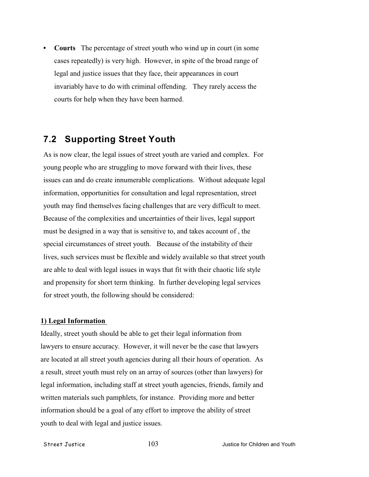**• Courts** The percentage of street youth who wind up in court (in some cases repeatedly) is very high. However, in spite of the broad range of legal and justice issues that they face, their appearances in court invariably have to do with criminal offending. They rarely access the courts for help when they have been harmed.

# **7.2 Supporting Street Youth**

As is now clear, the legal issues of street youth are varied and complex. For young people who are struggling to move forward with their lives, these issues can and do create innumerable complications. Without adequate legal information, opportunities for consultation and legal representation, street youth may find themselves facing challenges that are very difficult to meet. Because of the complexities and uncertainties of their lives, legal support must be designed in a way that is sensitive to, and takes account of , the special circumstances of street youth. Because of the instability of their lives, such services must be flexible and widely available so that street youth are able to deal with legal issues in ways that fit with their chaotic life style and propensity for short term thinking. In further developing legal services for street youth, the following should be considered:

## **1) Legal Information**

Ideally, street youth should be able to get their legal information from lawyers to ensure accuracy. However, it will never be the case that lawyers are located at all street youth agencies during all their hours of operation. As a result, street youth must rely on an array of sources (other than lawyers) for legal information, including staff at street youth agencies, friends, family and written materials such pamphlets, for instance. Providing more and better information should be a goal of any effort to improve the ability of street youth to deal with legal and justice issues.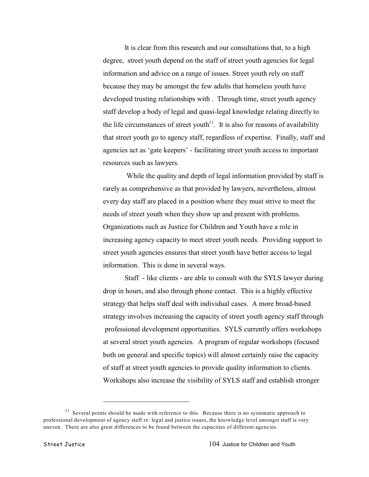It is clear from this research and our consultations that, to a high degree, street youth depend on the staff of street youth agencies for legal information and advice on a range of issues. Street youth rely on staff because they may be amongst the few adults that homeless youth have developed trusting relationships with . Through time, street youth agency staff develop a body of legal and quasi-legal knowledge relating directly to the life circumstances of street youth<sup> $11$ </sup>. It is also for reasons of availability that street youth go to agency staff, regardless of expertise. Finally, staff and agencies act as 'gate keepers' - facilitating street youth access to important resources such as lawyers.

 While the quality and depth of legal information provided by staff is rarely as comprehensive as that provided by lawyers, nevertheless, almost every day staff are placed in a position where they must strive to meet the needs of street youth when they show up and present with problems. Organizations such as Justice for Children and Youth have a role in increasing agency capacity to meet street youth needs. Providing support to street youth agencies ensures that street youth have better access to legal information. This is done in several ways.

Staff - like clients - are able to consult with the SYLS lawyer during drop in hours, and also through phone contact. This is a highly effective strategy that helps staff deal with individual cases. A more broad-based strategy involves increasing the capacity of street youth agency staff through professional development opportunities. SYLS currently offers workshops at several street youth agencies. A program of regular workshops (focused both on general and specific topics) will almost certainly raise the capacity of staff at street youth agencies to provide quality information to clients. Workshops also increase the visibility of SYLS staff and establish stronger

 $11$  Several points should be made with reference to this. Because there is no systematic approach to professional development of agency staff re: legal and justice issues, the knowledge level amongst staff is very uneven. There are also great differences to be found between the capacities of different agencies.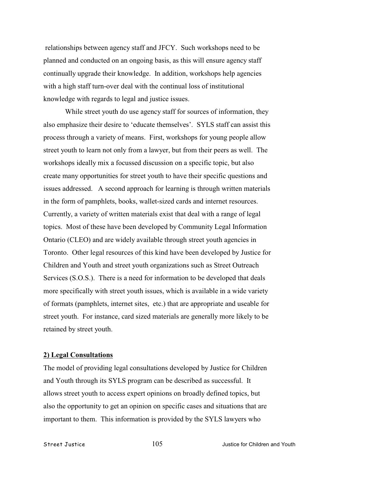relationships between agency staff and JFCY. Such workshops need to be planned and conducted on an ongoing basis, as this will ensure agency staff continually upgrade their knowledge. In addition, workshops help agencies with a high staff turn-over deal with the continual loss of institutional knowledge with regards to legal and justice issues.

While street youth do use agency staff for sources of information, they also emphasize their desire to 'educate themselves'. SYLS staff can assist this process through a variety of means. First, workshops for young people allow street youth to learn not only from a lawyer, but from their peers as well. The workshops ideally mix a focussed discussion on a specific topic, but also create many opportunities for street youth to have their specific questions and issues addressed. A second approach for learning is through written materials in the form of pamphlets, books, wallet-sized cards and internet resources. Currently, a variety of written materials exist that deal with a range of legal topics. Most of these have been developed by Community Legal Information Ontario (CLEO) and are widely available through street youth agencies in Toronto. Other legal resources of this kind have been developed by Justice for Children and Youth and street youth organizations such as Street Outreach Services (S.O.S.). There is a need for information to be developed that deals more specifically with street youth issues, which is available in a wide variety of formats (pamphlets, internet sites, etc.) that are appropriate and useable for street youth. For instance, card sized materials are generally more likely to be retained by street youth.

### **2) Legal Consultations**

The model of providing legal consultations developed by Justice for Children and Youth through its SYLS program can be described as successful. It allows street youth to access expert opinions on broadly defined topics, but also the opportunity to get an opinion on specific cases and situations that are important to them. This information is provided by the SYLS lawyers who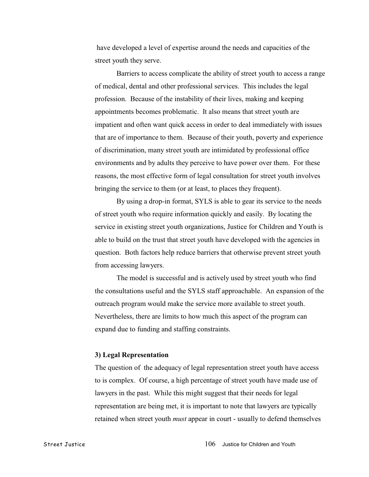have developed a level of expertise around the needs and capacities of the street youth they serve.

Barriers to access complicate the ability of street youth to access a range of medical, dental and other professional services. This includes the legal profession. Because of the instability of their lives, making and keeping appointments becomes problematic. It also means that street youth are impatient and often want quick access in order to deal immediately with issues that are of importance to them. Because of their youth, poverty and experience of discrimination, many street youth are intimidated by professional office environments and by adults they perceive to have power over them. For these reasons, the most effective form of legal consultation for street youth involves bringing the service to them (or at least, to places they frequent).

By using a drop-in format, SYLS is able to gear its service to the needs of street youth who require information quickly and easily. By locating the service in existing street youth organizations, Justice for Children and Youth is able to build on the trust that street youth have developed with the agencies in question. Both factors help reduce barriers that otherwise prevent street youth from accessing lawyers.

The model is successful and is actively used by street youth who find the consultations useful and the SYLS staff approachable. An expansion of the outreach program would make the service more available to street youth. Nevertheless, there are limits to how much this aspect of the program can expand due to funding and staffing constraints.

#### **3) Legal Representation**

The question of the adequacy of legal representation street youth have access to is complex. Of course, a high percentage of street youth have made use of lawyers in the past. While this might suggest that their needs for legal representation are being met, it is important to note that lawyers are typically retained when street youth *must* appear in court - usually to defend themselves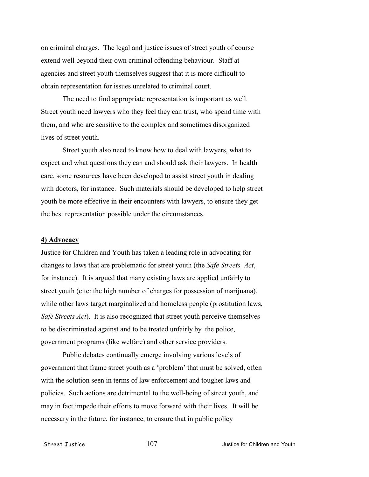on criminal charges. The legal and justice issues of street youth of course extend well beyond their own criminal offending behaviour. Staff at agencies and street youth themselves suggest that it is more difficult to obtain representation for issues unrelated to criminal court.

The need to find appropriate representation is important as well. Street youth need lawyers who they feel they can trust, who spend time with them, and who are sensitive to the complex and sometimes disorganized lives of street youth.

Street youth also need to know how to deal with lawyers, what to expect and what questions they can and should ask their lawyers. In health care, some resources have been developed to assist street youth in dealing with doctors, for instance. Such materials should be developed to help street youth be more effective in their encounters with lawyers, to ensure they get the best representation possible under the circumstances.

### **4) Advocacy**

Justice for Children and Youth has taken a leading role in advocating for changes to laws that are problematic for street youth (the *Safe Streets Act*, for instance). It is argued that many existing laws are applied unfairly to street youth (cite: the high number of charges for possession of marijuana), while other laws target marginalized and homeless people (prostitution laws, *Safe Streets Act*). It is also recognized that street youth perceive themselves to be discriminated against and to be treated unfairly by the police, government programs (like welfare) and other service providers.

Public debates continually emerge involving various levels of government that frame street youth as a 'problem' that must be solved, often with the solution seen in terms of law enforcement and tougher laws and policies. Such actions are detrimental to the well-being of street youth, and may in fact impede their efforts to move forward with their lives. It will be necessary in the future, for instance, to ensure that in public policy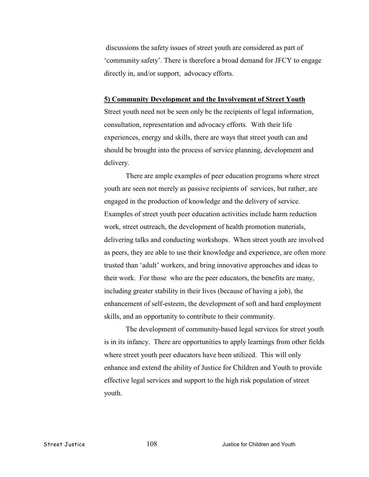discussions the safety issues of street youth are considered as part of 'community safety'. There is therefore a broad demand for JFCY to engage directly in, and/or support, advocacy efforts.

### **5) Community Development and the Involvement of Street Youth**

Street youth need not be seen only be the recipients of legal information, consultation, representation and advocacy efforts. With their life experiences, energy and skills, there are ways that street youth can and should be brought into the process of service planning, development and delivery.

There are ample examples of peer education programs where street youth are seen not merely as passive recipients of services, but rather, are engaged in the production of knowledge and the delivery of service. Examples of street youth peer education activities include harm reduction work, street outreach, the development of health promotion materials, delivering talks and conducting workshops. When street youth are involved as peers, they are able to use their knowledge and experience, are often more trusted than 'adult' workers, and bring innovative approaches and ideas to their work. For those who are the peer educators, the benefits are many, including greater stability in their lives (because of having a job), the enhancement of self-esteem, the development of soft and hard employment skills, and an opportunity to contribute to their community.

The development of community-based legal services for street youth is in its infancy. There are opportunities to apply learnings from other fields where street youth peer educators have been utilized. This will only enhance and extend the ability of Justice for Children and Youth to provide effective legal services and support to the high risk population of street youth.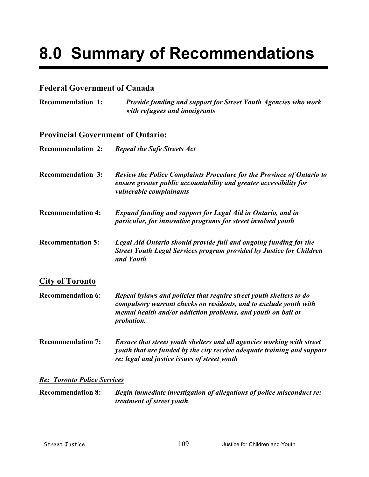# **8.0 Summary of Recommendations**

## **Federal Government of Canada**

**Recommendation 1:** *Provide funding and support for Street Youth Agencies who work with refugees and immigrants*

## **Provincial Government of Ontario:**

| <b>Recommendation 2:</b> | <b>Repeal the Safe Streets Act</b>                                                                                                                                            |
|--------------------------|-------------------------------------------------------------------------------------------------------------------------------------------------------------------------------|
| <b>Recommendation 3:</b> | <b>Review the Police Complaints Procedure for the Province of Ontario to</b><br>ensure greater public accountability and greater accessibility for<br>vulnerable complainants |
| <b>Recommendation 4:</b> | <b>Expand funding and support for Legal Aid in Ontario, and in</b><br>particular, for innovative programs for street involved youth                                           |
| <b>Recommentation 5:</b> | Legal Aid Ontario should provide full and ongoing funding for the<br>Street Youth Legal Services program provided by Justice for Children<br>and Youth                        |
| <b>City of Toronto</b>   |                                                                                                                                                                               |
|                          |                                                                                                                                                                               |

**Recommendation 6:** *Repeal bylaws and policies that require street youth shelters to do compulsory warrant checks on residents, and to exclude youth with mental health and/or addiction problems, and youth on bail or probation.*

**Recommendation 7:** *Ensure that street youth shelters and all agencies working with street youth that are funded by the city receive adequate training and support re: legal and justice issues of street youth*

### *Re: Toronto Police Services*

**Recommendation 8:** *Begin immediate investigation of allegations of police misconduct re: treatment of street youth*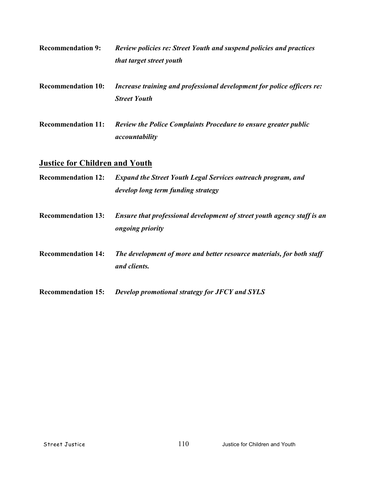- **Recommendation 9:** *Review policies re: Street Youth and suspend policies and practices that target street youth*
- **Recommendation 10:** *Increase training and professional development for police officers re: Street Youth*
- **Recommendation 11:** *Review the Police Complaints Procedure to ensure greater public accountability*

## **Justice for Children and Youth**

- **Recommendation 12:** *Expand the Street Youth Legal Services outreach program, and develop long term funding strategy*
- **Recommendation 13:** *Ensure that professional development of street youth agency staff is an ongoing priority*
- **Recommendation 14:** *The development of more and better resource materials, for both staff and clients.*
- **Recommendation 15:** *Develop promotional strategy for JFCY and SYLS*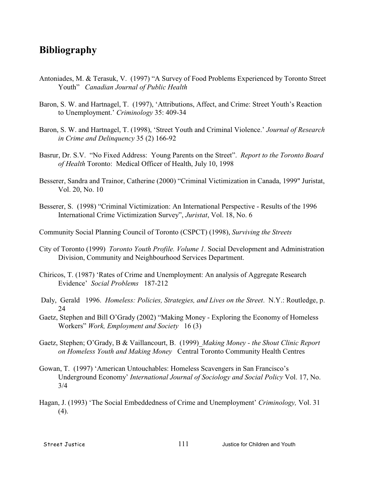## **Bibliography**

- Antoniades, M. & Terasuk, V. (1997) "A Survey of Food Problems Experienced by Toronto Street Youth" *Canadian Journal of Public Health*
- Baron, S. W. and Hartnagel, T. (1997), 'Attributions, Affect, and Crime: Street Youth's Reaction to Unemployment.' *Criminology* 35: 409-34
- Baron, S. W. and Hartnagel, T. (1998), 'Street Youth and Criminal Violence.' *Journal of Research in Crime and Delinquency* 35 (2) 166-92
- Basrur, Dr. S.V. "No Fixed Address: Young Parents on the Street". *Report to the Toronto Board of Health* Toronto: Medical Officer of Health, July 10, 1998
- Besserer, Sandra and Trainor, Catherine (2000) "Criminal Victimization in Canada, 1999" Juristat, Vol. 20, No. 10
- Besserer, S. (1998) "Criminal Victimization: An International Perspective Results of the 1996 International Crime Victimization Survey", *Juristat*, Vol. 18, No. 6

Community Social Planning Council of Toronto (CSPCT) (1998), *Surviving the Streets*

- City of Toronto (1999) *Toronto Youth Profile. Volume 1.* Social Development and Administration Division, Community and Neighbourhood Services Department.
- Chiricos, T. (1987) 'Rates of Crime and Unemployment: An analysis of Aggregate Research Evidence' *Social Problems* 187-212
- Daly, Gerald 1996. *Homeless: Policies, Strategies, and Lives on the Street*. N.Y.: Routledge, p. 24
- Gaetz, Stephen and Bill O'Grady (2002) "Making Money Exploring the Economy of Homeless Workers" *Work, Employment and Society* 16 (3)
- Gaetz, Stephen; O'Grady, B & Vaillancourt, B. (1999) *Making Money the Shout Clinic Report on Homeless Youth and Making Money* Central Toronto Community Health Centres
- Gowan, T. (1997) 'American Untouchables: Homeless Scavengers in San Francisco's Underground Economy' *International Journal of Sociology and Social Policy* Vol. 17, No. 3/4
- Hagan, J. (1993) 'The Social Embeddedness of Crime and Unemployment' *Criminology,* Vol. 31  $(4)$ .